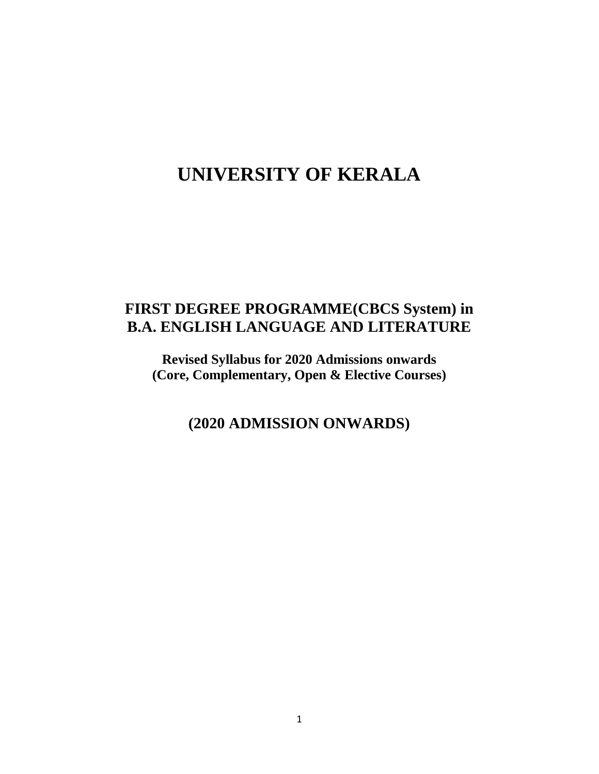# **UNIVERSITY OF KERALA**

## **FIRST DEGREE PROGRAMME(CBCS System) in B.A. ENGLISH LANGUAGE AND LITERATURE**

**Revised Syllabus for 2020 Admissions onwards (Core, Complementary, Open & Elective Courses)**

**(2020 ADMISSION ONWARDS)**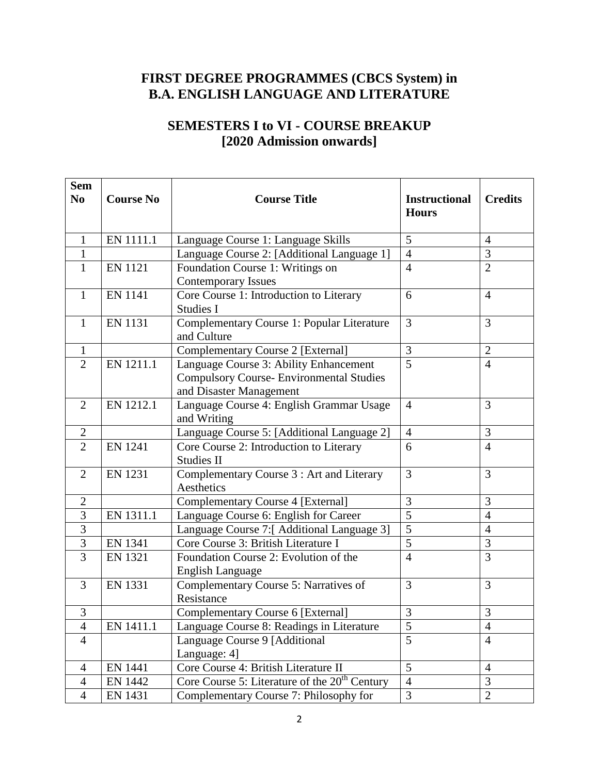## **FIRST DEGREE PROGRAMMES (CBCS System) in B.A. ENGLISH LANGUAGE AND LITERATURE**

## **SEMESTERS I to VI - COURSE BREAKUP [2020 Admission onwards]**

| <b>Sem</b><br>N <sub>0</sub> | <b>Course No</b> | <b>Course Title</b>                                                                                                  | <b>Instructional</b> | <b>Credits</b> |
|------------------------------|------------------|----------------------------------------------------------------------------------------------------------------------|----------------------|----------------|
|                              |                  |                                                                                                                      | <b>Hours</b>         |                |
| $\mathbf{1}$                 | EN 1111.1        | Language Course 1: Language Skills                                                                                   | 5                    | $\overline{4}$ |
| $\mathbf{1}$                 |                  | Language Course 2: [Additional Language 1]                                                                           | $\overline{4}$       | 3              |
| 1                            | <b>EN 1121</b>   | Foundation Course 1: Writings on<br><b>Contemporary Issues</b>                                                       | $\overline{4}$       | $\overline{2}$ |
| $\mathbf{1}$                 | <b>EN 1141</b>   | Core Course 1: Introduction to Literary<br>Studies I                                                                 | 6                    | $\overline{4}$ |
| $\mathbf{1}$                 | <b>EN 1131</b>   | Complementary Course 1: Popular Literature<br>and Culture                                                            | 3                    | 3              |
| 1                            |                  | <b>Complementary Course 2 [External]</b>                                                                             | 3                    | $\overline{2}$ |
| $\overline{2}$               | EN 1211.1        | Language Course 3: Ability Enhancement<br><b>Compulsory Course- Environmental Studies</b><br>and Disaster Management | $\overline{5}$       | $\overline{4}$ |
| $\overline{2}$               | EN 1212.1        | Language Course 4: English Grammar Usage<br>and Writing                                                              | $\overline{4}$       | 3              |
| $\overline{2}$               |                  | Language Course 5: [Additional Language 2]                                                                           | $\overline{4}$       | 3              |
| $\overline{2}$               | <b>EN 1241</b>   | Core Course 2: Introduction to Literary<br><b>Studies II</b>                                                         | 6                    | $\overline{4}$ |
| $\overline{2}$               | <b>EN 1231</b>   | Complementary Course 3 : Art and Literary<br>Aesthetics                                                              | 3                    | 3              |
| $\mathbf{2}$                 |                  | <b>Complementary Course 4 [External]</b>                                                                             | 3                    | 3              |
| 3                            | EN 1311.1        | Language Course 6: English for Career                                                                                | $\overline{5}$       | $\overline{4}$ |
| $\overline{3}$               |                  | Language Course 7:[ Additional Language 3]                                                                           | $\overline{5}$       | $\overline{4}$ |
| $\mathfrak{Z}$               | <b>EN 1341</b>   | Core Course 3: British Literature I                                                                                  | 5                    | 3              |
| $\overline{3}$               | <b>EN 1321</b>   | Foundation Course 2: Evolution of the<br>English Language                                                            | $\overline{4}$       | 3              |
| 3                            | <b>EN 1331</b>   | Complementary Course 5: Narratives of<br>Resistance                                                                  | 3                    | 3              |
| 3                            |                  | <b>Complementary Course 6 [External]</b>                                                                             | 3                    | 3              |
| $\overline{4}$               | EN 1411.1        | Language Course 8: Readings in Literature                                                                            | 5                    | $\overline{4}$ |
| $\overline{4}$               |                  | Language Course 9 [Additional<br>Language: 4]                                                                        | 5                    | $\overline{4}$ |
| $\overline{4}$               | <b>EN 1441</b>   | Core Course 4: British Literature II                                                                                 | 5                    | $\overline{4}$ |
| $\overline{4}$               | <b>EN 1442</b>   | Core Course 5: Literature of the 20 <sup>th</sup> Century                                                            | $\overline{4}$       | 3              |
| $\overline{4}$               | EN 1431          | Complementary Course 7: Philosophy for                                                                               | 3                    | $\overline{2}$ |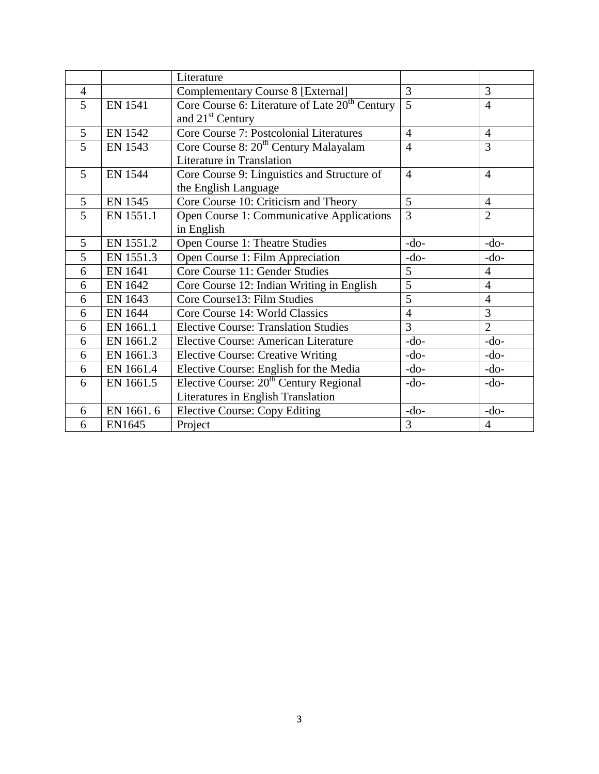|                |                | Literature                                                 |                |                |
|----------------|----------------|------------------------------------------------------------|----------------|----------------|
| $\overline{4}$ |                | <b>Complementary Course 8 [External]</b>                   | 3              | 3              |
| 5              | <b>EN 1541</b> | Core Course 6: Literature of Late 20 <sup>th</sup> Century | $\overline{5}$ | 4              |
|                |                | and 21 <sup>st</sup> Century                               |                |                |
| 5              | <b>EN 1542</b> | <b>Core Course 7: Postcolonial Literatures</b>             | $\overline{4}$ | $\overline{4}$ |
| 5              | <b>EN 1543</b> | Core Course 8: 20 <sup>th</sup> Century Malayalam          | $\overline{4}$ | 3              |
|                |                | Literature in Translation                                  |                |                |
| 5              | <b>EN 1544</b> | Core Course 9: Linguistics and Structure of                | $\overline{4}$ | $\overline{4}$ |
|                |                | the English Language                                       |                |                |
| 5              | EN 1545        | Core Course 10: Criticism and Theory                       | 5              | $\overline{4}$ |
| 5              | EN 1551.1      | Open Course 1: Communicative Applications                  | 3              | $\overline{2}$ |
|                |                | in English                                                 |                |                |
| 5              | EN 1551.2      | Open Course 1: Theatre Studies                             | $-do-$         | $-do-$         |
| 5              | EN 1551.3      | Open Course 1: Film Appreciation                           | $-do-$         | $-do-$         |
| 6              | <b>EN 1641</b> | Core Course 11: Gender Studies                             | 5              | $\overline{4}$ |
| 6              | EN 1642        | Core Course 12: Indian Writing in English                  | 5              | $\overline{4}$ |
| 6              | EN 1643        | Core Course13: Film Studies                                | 5              | $\overline{4}$ |
| 6              | EN 1644        | Core Course 14: World Classics                             | $\overline{4}$ | 3              |
| 6              | EN 1661.1      | <b>Elective Course: Translation Studies</b>                | $\overline{3}$ | $\overline{2}$ |
| 6              | EN 1661.2      | <b>Elective Course: American Literature</b>                | $-do-$         | $-do-$         |
| 6              | EN 1661.3      | <b>Elective Course: Creative Writing</b>                   | $-do-$         | $-do-$         |
| 6              | EN 1661.4      | Elective Course: English for the Media                     | $-do-$         | $-do-$         |
| 6              | EN 1661.5      | Elective Course: 20 <sup>th</sup> Century Regional         | $-do-$         | $-do-$         |
|                |                | Literatures in English Translation                         |                |                |
| 6              | EN 1661.6      | <b>Elective Course: Copy Editing</b>                       | $-do-$         | $-do-$         |
| 6              | EN1645         | Project                                                    | 3              | $\overline{4}$ |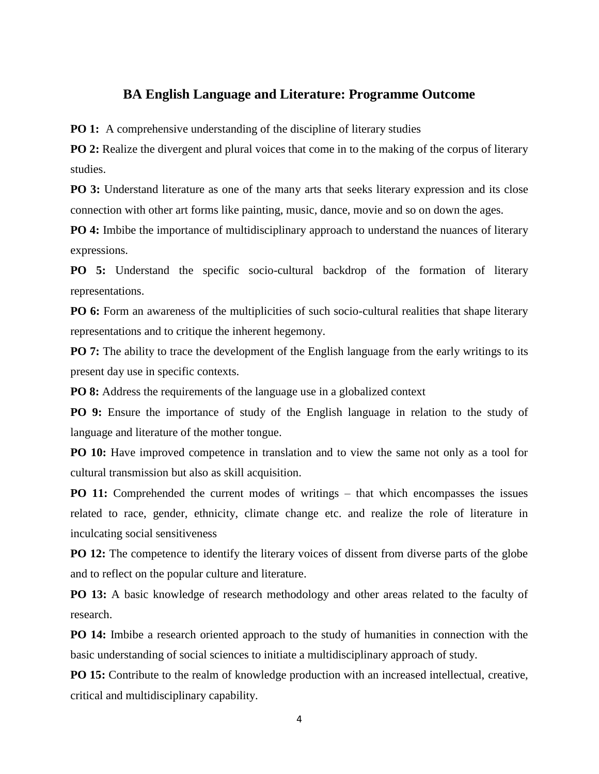#### **BA English Language and Literature: Programme Outcome**

**PO 1:** A comprehensive understanding of the discipline of literary studies

**PO 2:** Realize the divergent and plural voices that come in to the making of the corpus of literary studies.

**PO 3:** Understand literature as one of the many arts that seeks literary expression and its close connection with other art forms like painting, music, dance, movie and so on down the ages.

**PO 4:** Imbibe the importance of multidisciplinary approach to understand the nuances of literary expressions.

**PO 5:** Understand the specific socio-cultural backdrop of the formation of literary representations.

**PO 6:** Form an awareness of the multiplicities of such socio-cultural realities that shape literary representations and to critique the inherent hegemony.

**PO 7:** The ability to trace the development of the English language from the early writings to its present day use in specific contexts.

**PO 8:** Address the requirements of the language use in a globalized context

**PO 9:** Ensure the importance of study of the English language in relation to the study of language and literature of the mother tongue.

**PO 10:** Have improved competence in translation and to view the same not only as a tool for cultural transmission but also as skill acquisition.

**PO 11:** Comprehended the current modes of writings – that which encompasses the issues related to race, gender, ethnicity, climate change etc. and realize the role of literature in inculcating social sensitiveness

**PO 12:** The competence to identify the literary voices of dissent from diverse parts of the globe and to reflect on the popular culture and literature.

**PO 13:** A basic knowledge of research methodology and other areas related to the faculty of research.

**PO 14:** Imbibe a research oriented approach to the study of humanities in connection with the basic understanding of social sciences to initiate a multidisciplinary approach of study.

**PO 15:** Contribute to the realm of knowledge production with an increased intellectual, creative, critical and multidisciplinary capability.

4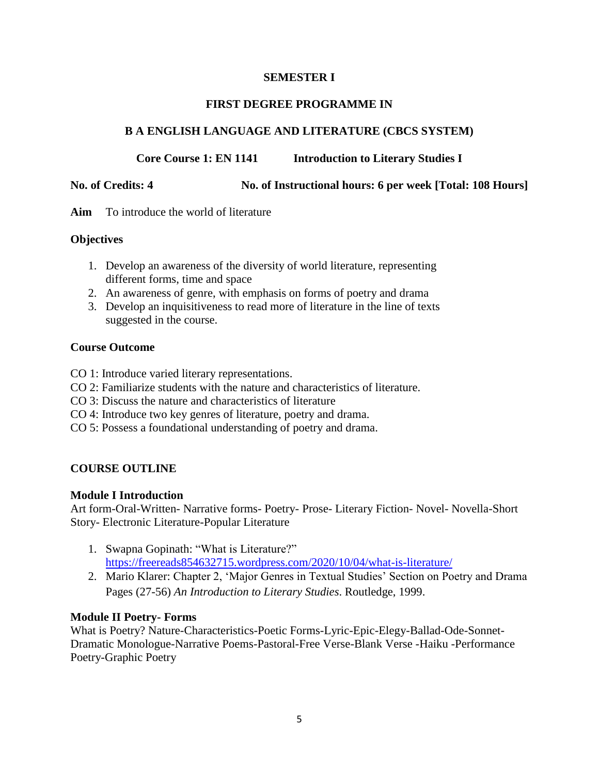#### **SEMESTER I**

#### **FIRST DEGREE PROGRAMME IN**

#### **B A ENGLISH LANGUAGE AND LITERATURE (CBCS SYSTEM)**

#### **Core Course 1: EN 1141 Introduction to Literary Studies I**

#### **No. of Credits: 4 No. of Instructional hours: 6 per week [Total: 108 Hours]**

**Aim** To introduce the world of literature

#### **Objectives**

- 1. Develop an awareness of the diversity of world literature, representing different forms, time and space
- 2. An awareness of genre, with emphasis on forms of poetry and drama
- 3. Develop an inquisitiveness to read more of literature in the line of texts suggested in the course.

#### **Course Outcome**

- CO 1: Introduce varied literary representations.
- CO 2: Familiarize students with the nature and characteristics of literature.
- CO 3: Discuss the nature and characteristics of literature
- CO 4: Introduce two key genres of literature, poetry and drama.
- CO 5: Possess a foundational understanding of poetry and drama.

#### **COURSE OUTLINE**

#### **Module I Introduction**

Art form-Oral-Written- Narrative forms- Poetry- Prose- Literary Fiction- Novel- Novella-Short Story- Electronic Literature-Popular Literature

- 1. Swapna Gopinath: "What is Literature?" <https://freereads854632715.wordpress.com/2020/10/04/what-is-literature/>
- 2. Mario Klarer: Chapter 2, ‗Major Genres in Textual Studies' Section on Poetry and Drama Pages (27-56) *An Introduction to Literary Studies*. Routledge, 1999.

#### **Module II Poetry- Forms**

What is Poetry? Nature-Characteristics-Poetic Forms-Lyric-Epic-Elegy-Ballad-Ode-Sonnet-Dramatic Monologue-Narrative Poems-Pastoral-Free Verse-Blank Verse -Haiku -Performance Poetry-Graphic Poetry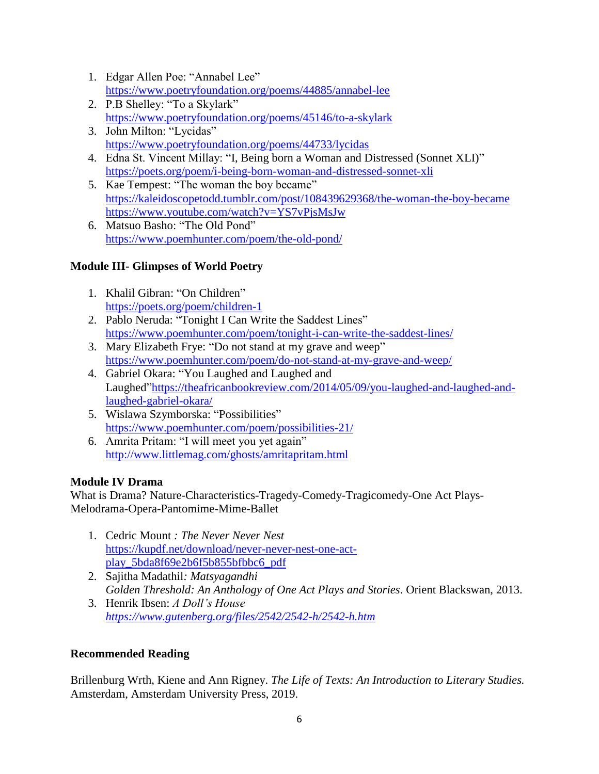- 1. Edgar Allen Poe: "Annabel Lee" <https://www.poetryfoundation.org/poems/44885/annabel-lee>
- 2. P.B Shelley: "To a Skylark" <https://www.poetryfoundation.org/poems/45146/to-a-skylark>
- 3. John Milton: "Lycidas" <https://www.poetryfoundation.org/poems/44733/lycidas>
- 4. Edna St. Vincent Millay: "I, Being born a Woman and Distressed (Sonnet XLI)" <https://poets.org/poem/i-being-born-woman-and-distressed-sonnet-xli>
- 5. Kae Tempest: "The woman the boy became" <https://kaleidoscopetodd.tumblr.com/post/108439629368/the-woman-the-boy-became> <https://www.youtube.com/watch?v=YS7vPjsMsJw>
- 6. Matsuo Basho: "The Old Pond" <https://www.poemhunter.com/poem/the-old-pond/>

## **Module III- Glimpses of World Poetry**

- 1. Khalil Gibran: "On Children" <https://poets.org/poem/children-1>
- 2. Pablo Neruda: "Tonight I Can Write the Saddest Lines" <https://www.poemhunter.com/poem/tonight-i-can-write-the-saddest-lines/>
- 3. Mary Elizabeth Frye: "Do not stand at my grave and weep" <https://www.poemhunter.com/poem/do-not-stand-at-my-grave-and-weep/>
- 4. Gabriel Okara: "You Laughed and Laughed and Laughed"https://theafricanbookreview.com/2014/05/09/you-laughed-and-laughed-and[laughed-gabriel-okara/](https://theafricanbookreview.com/2014/05/09/you-laughed-and-laughed-and-laughed-gabriel-okara/)
- 5. Wislawa Szymborska: "Possibilities" <https://www.poemhunter.com/poem/possibilities-21/>
- 6. Amrita Pritam: "I will meet you yet again" <http://www.littlemag.com/ghosts/amritapritam.html>

## **Module IV Drama**

What is Drama? Nature-Characteristics-Tragedy-Comedy-Tragicomedy-One Act Plays-Melodrama-Opera-Pantomime-Mime-Ballet

- 1. Cedric Mount *: The Never Never Nest* [https://kupdf.net/download/never-never-nest-one-act](https://kupdf.net/download/never-never-nest-one-act-play_5bda8f69e2b6f5b855bfbbc6_pdf)[play\\_5bda8f69e2b6f5b855bfbbc6\\_pdf](https://kupdf.net/download/never-never-nest-one-act-play_5bda8f69e2b6f5b855bfbbc6_pdf)
- 2. Sajitha Madathil*: Matsyagandhi Golden Threshold: An Anthology of One Act Plays and Stories*. Orient Blackswan, 2013.
- 3. Henrik Ibsen: *A Doll's House <https://www.gutenberg.org/files/2542/2542-h/2542-h.htm>*

## **Recommended Reading**

Brillenburg Wrth, Kiene and Ann Rigney. *The Life of Texts: An Introduction to Literary Studies.* Amsterdam, Amsterdam University Press, 2019.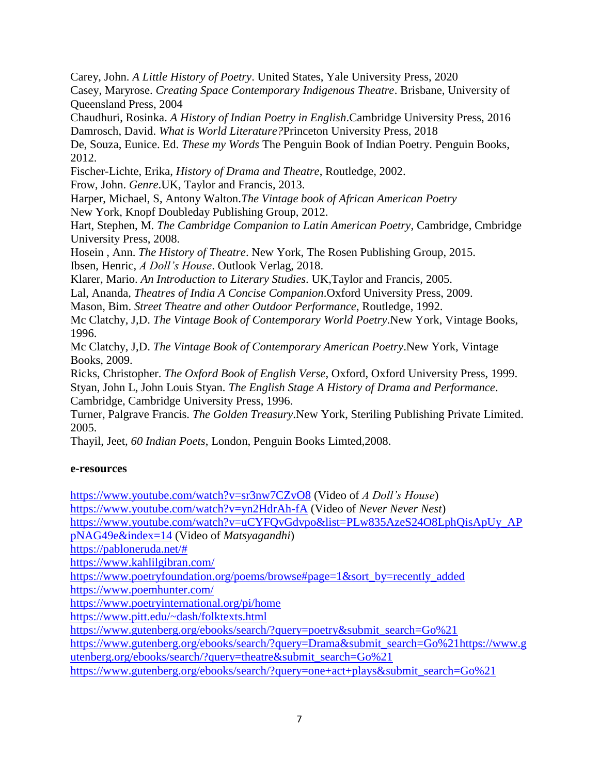Carey, John. *A Little History of Poetry*. United States, Yale University Press, 2020

Casey, Maryrose. *Creating Space Contemporary Indigenous Theatre*. Brisbane, University of Queensland Press, 2004

Chaudhuri, Rosinka. *A History of Indian Poetry in English*.Cambridge University Press, 2016 Damrosch, David. *What is World Literature?*Princeton University Press, 2018

De, Souza, Eunice. Ed. *These my Words* The Penguin Book of Indian Poetry. Penguin Books, 2012.

Fischer-Lichte, Erika, *History of Drama and Theatre*, Routledge, 2002.

Frow, John. *Genre*.UK, Taylor and Francis, 2013.

Harper, Michael, S, Antony Walton.*The Vintage book of African American Poetry* New York, Knopf Doubleday Publishing Group, 2012.

Hart, Stephen, M. *The Cambridge Companion to Latin American Poetry*, Cambridge, Cmbridge University Press, 2008.

Hosein , Ann. *The History of Theatre*. New York, The Rosen Publishing Group, 2015. Ibsen, Henric, *A Doll's House*. Outlook Verlag, 2018.

Klarer, Mario. *An Introduction to Literary Studies*. UK,Taylor and Francis, 2005.

Lal, Ananda, *Theatres of India A Concise Companion*.Oxford University Press, 2009.

Mason, Bim. *Street Theatre and other Outdoor Performance*, Routledge, 1992.

Mc Clatchy, J,D. *The Vintage Book of Contemporary World Poetry*.New York, Vintage Books, 1996.

Mc Clatchy, J,D. *The Vintage Book of Contemporary American Poetry*.New York, Vintage Books, 2009.

Ricks, Christopher. *The Oxford Book of English Verse*, Oxford, Oxford University Press, 1999. Styan, John L, John Louis Styan. *The English Stage A History of Drama and Performance*. Cambridge, Cambridge University Press, 1996.

Turner, Palgrave Francis. *The Golden Treasury*.New York, Steriling Publishing Private Limited. 2005.

Thayil, Jeet, *60 Indian Poets*, London, Penguin Books Limted,2008.

#### **e-resources**

<https://www.youtube.com/watch?v=sr3nw7CZvO8> (Video of *A Doll's House*)

<https://www.youtube.com/watch?v=yn2HdrAh-fA> (Video of *Never Never Nest*)

[https://www.youtube.com/watch?v=uCYFQvGdvpo&list=PLw835AzeS24O8LphQisApUy\\_AP](https://www.youtube.com/watch?v=uCYFQvGdvpo&list=PLw835AzeS24O8LphQisApUy_APpNAG49e&index=14)

[pNAG49e&index=14](https://www.youtube.com/watch?v=uCYFQvGdvpo&list=PLw835AzeS24O8LphQisApUy_APpNAG49e&index=14) (Video of *Matsyagandhi*)

[https://pabloneruda.net/#](https://pabloneruda.net/)

<https://www.kahlilgibran.com/>

[https://www.poetryfoundation.org/poems/browse#page=1&sort\\_by=recently\\_added](https://www.poetryfoundation.org/poems/browse#page=1&sort_by=recently_added)

<https://www.poemhunter.com/>

<https://www.poetryinternational.org/pi/home>

<https://www.pitt.edu/~dash/folktexts.html>

[https://www.gutenberg.org/ebooks/search/?query=poetry&submit\\_search=Go%21](https://www.gutenberg.org/ebooks/search/?query=poetry&submit_search=Go%21)

[https://www.gutenberg.org/ebooks/search/?query=Drama&submit\\_search=Go%21https://www.g](https://www.gutenberg.org/ebooks/search/?query=Drama&submit_search=Go%21) [utenberg.org/ebooks/search/?query=theatre&submit\\_search=Go%21](https://www.gutenberg.org/ebooks/search/?query=theatre&submit_search=Go%21)

[https://www.gutenberg.org/ebooks/search/?query=one+act+plays&submit\\_search=Go%21](https://www.gutenberg.org/ebooks/search/?query=one+act+plays&submit_search=Go%21)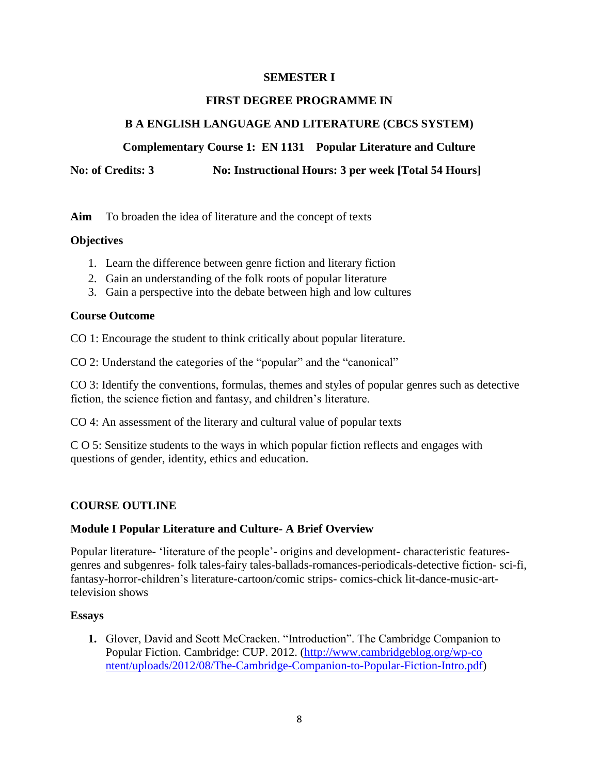#### **SEMESTER I**

#### **FIRST DEGREE PROGRAMME IN**

## **B A ENGLISH LANGUAGE AND LITERATURE (CBCS SYSTEM)**

**Complementary Course 1: EN 1131 Popular Literature and Culture**

**No: of Credits: 3** No: Instructional Hours: 3 per week [Total 54 Hours]

**Aim** To broaden the idea of literature and the concept of texts

#### **Objectives**

- 1. Learn the difference between genre fiction and literary fiction
- 2. Gain an understanding of the folk roots of popular literature
- 3. Gain a perspective into the debate between high and low cultures

#### **Course Outcome**

CO 1: Encourage the student to think critically about popular literature.

CO 2: Understand the categories of the "popular" and the "canonical"

CO 3: Identify the conventions, formulas, themes and styles of popular genres such as detective fiction, the science fiction and fantasy, and children's literature.

CO 4: An assessment of the literary and cultural value of popular texts

C O 5: Sensitize students to the ways in which popular fiction reflects and engages with questions of gender, identity, ethics and education.

#### **COURSE OUTLINE**

#### **Module I Popular Literature and Culture- A Brief Overview**

Popular literature- ‗literature of the people'- origins and development- characteristic featuresgenres and subgenres- folk tales-fairy tales-ballads-romances-periodicals-detective fiction- sci-fi, fantasy-horror-children's literature-cartoon/comic strips- comics-chick lit-dance-music-arttelevision shows

#### **Essays**

**1.** Glover, David and Scott McCracken. "Introduction". The Cambridge Companion to Popular Fiction. Cambridge: CUP. 2012. [\(http://www.cambridgeblog.org/wp-co](http://www.cambridgeblog.org/wp-co%20ntent/uploads/2012/08/The-Cambridge-Companion-to-Popular-Fiction-Intro.pdf)  [ntent/uploads/2012/08/The-Cambridge-Companion-to-Popular-Fiction-Intro.pdf\)](http://www.cambridgeblog.org/wp-co%20ntent/uploads/2012/08/The-Cambridge-Companion-to-Popular-Fiction-Intro.pdf)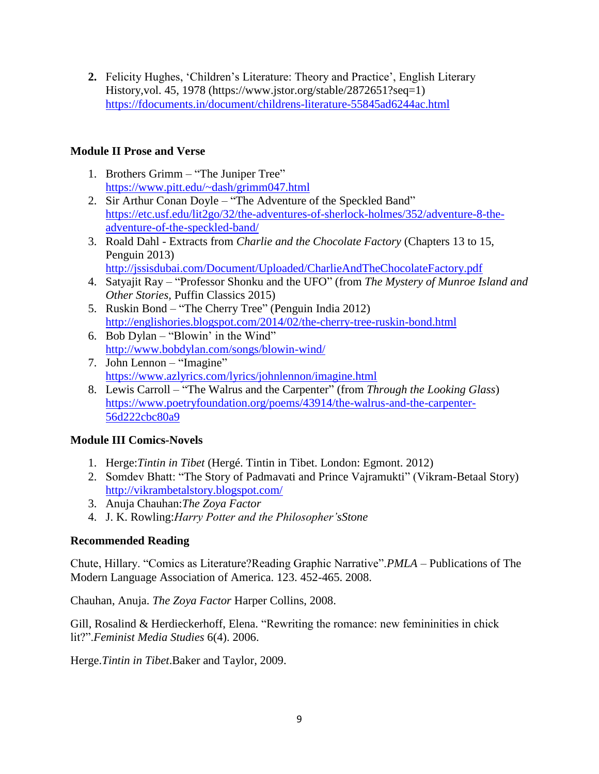**2.** Felicity Hughes, 'Children's Literature: Theory and Practice', English Literary History,vol. 45, 1978 (https://www.jstor.org/stable/2872651?seq=1) <https://fdocuments.in/document/childrens-literature-55845ad6244ac.html>

## **Module II Prose and Verse**

- 1. Brothers Grimm "The Juniper Tree" <https://www.pitt.edu/~dash/grimm047.html>
- 2. Sir Arthur Conan Doyle "The Adventure of the Speckled Band" [https://etc.usf.edu/lit2go/32/the-adventures-of-sherlock-holmes/352/adventure-8-the](https://etc.usf.edu/lit2go/32/the-adventures-of-sherlock-holmes/352/adventure-8-the-adventure-of-the-speckled-band/)[adventure-of-the-speckled-band/](https://etc.usf.edu/lit2go/32/the-adventures-of-sherlock-holmes/352/adventure-8-the-adventure-of-the-speckled-band/)
- 3. Roald Dahl Extracts from *Charlie and the Chocolate Factory* (Chapters 13 to 15, Penguin 2013) <http://jssisdubai.com/Document/Uploaded/CharlieAndTheChocolateFactory.pdf>
- 4. Satyajit Ray "Professor Shonku and the UFO" (from *The Mystery of Munroe Island and Other Stories,* Puffin Classics 2015)
- 5. Ruskin Bond "The Cherry Tree" (Penguin India 2012) <http://englishories.blogspot.com/2014/02/the-cherry-tree-ruskin-bond.html>
- 6. Bob Dylan "Blowin' in the Wind" <http://www.bobdylan.com/songs/blowin-wind/>
- 7. John Lennon "Imagine" <https://www.azlyrics.com/lyrics/johnlennon/imagine.html>
- 8. Lewis Carroll "The Walrus and the Carpenter" (from *Through the Looking Glass*) [https://www.poetryfoundation.org/poems/43914/the-walrus-and-the-carpenter-](https://www.poetryfoundation.org/poems/43914/the-walrus-and-the-carpenter-56d222cbc80a9)[56d222cbc80a9](https://www.poetryfoundation.org/poems/43914/the-walrus-and-the-carpenter-56d222cbc80a9)

## **Module III Comics-Novels**

- 1. Herge:*Tintin in Tibet* (Hergé. Tintin in Tibet. London: Egmont. 2012)
- 2. Somdev Bhatt: "The Story of Padmavati and Prince Vajramukti" (Vikram-Betaal Story) <http://vikrambetalstory.blogspot.com/>
- 3. Anuja Chauhan:*The Zoya Factor*
- 4. J. K. Rowling:*Harry Potter and the Philosopher'sStone*

#### **Recommended Reading**

Chute, Hillary. "Comics as Literature?Reading Graphic Narrative".*PMLA* – Publications of The Modern Language Association of America. 123. 452-465. 2008.

Chauhan, Anuja. *The Zoya Factor* Harper Collins, 2008.

Gill, Rosalind & Herdieckerhoff, Elena. "Rewriting the romance: new femininities in chick lit?".*Feminist Media Studies* 6(4). 2006.

Herge.*Tintin in Tibet*.Baker and Taylor, 2009.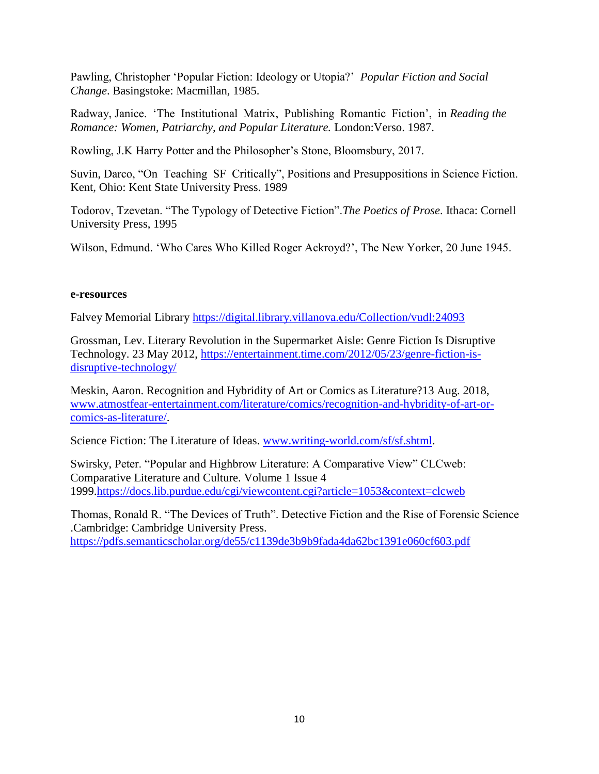Pawling, Christopher 'Popular Fiction: Ideology or Utopia?' *Popular Fiction and Social Change*. Basingstoke: Macmillan, 1985.

Radway, Janice. ‗The Institutional Matrix, Publishing Romantic Fiction', in *Reading the Romance: Women, Patriarchy, and Popular Literature.* London:Verso. 1987.

Rowling, J.K Harry Potter and the Philosopher's Stone, Bloomsbury, 2017.

Suvin, Darco, "On Teaching SF Critically", Positions and Presuppositions in Science Fiction. Kent, Ohio: Kent State University Press. 1989

Todorov, Tzevetan. "The Typology of Detective Fiction". The Poetics of Prose. Ithaca: Cornell University Press, 1995

Wilson, Edmund. ‗Who Cares Who Killed Roger Ackroyd?', The New Yorker, 20 June 1945.

#### **e-resources**

Falvey Memorial Library<https://digital.library.villanova.edu/Collection/vudl:24093>

Grossman, Lev. Literary Revolution in the Supermarket Aisle: Genre Fiction Is Disruptive Technology. 23 May 2012, [https://entertainment.time.com/2012/05/23/genre-fiction-is](https://entertainment.time.com/2012/05/23/genre-fiction-is-disruptive-technology/)[disruptive-technology/](https://entertainment.time.com/2012/05/23/genre-fiction-is-disruptive-technology/)

Meskin, Aaron. Recognition and Hybridity of Art or Comics as Literature?13 Aug. 2018, [www.atmostfear-entertainment.com/literature/comics/recognition-and-hybridity-of-art-or](http://www.atmostfear-entertainment.com/literature/comics/recognition-and-hybridity-of-art-or-comics-as-literature/)[comics-as-literature/.](http://www.atmostfear-entertainment.com/literature/comics/recognition-and-hybridity-of-art-or-comics-as-literature/)

Science Fiction: The Literature of Ideas. [www.writing-world.com/sf/sf.shtml.](http://www.writing-world.com/sf/sf.shtml)

Swirsky, Peter. "Popular and Highbrow Literature: A Comparative View" CLCweb: Comparative Literature and Culture. Volume 1 Issue 4 1999[.https://docs.lib.purdue.edu/cgi/viewcontent.cgi?article=1053&context=clcweb](https://docs.lib.purdue.edu/cgi/viewcontent.cgi?article=1053&context=clcweb)

Thomas, Ronald R. "The Devices of Truth". Detective Fiction and the Rise of Forensic Science .Cambridge: Cambridge University Press. <https://pdfs.semanticscholar.org/de55/c1139de3b9b9fada4da62bc1391e060cf603.pdf>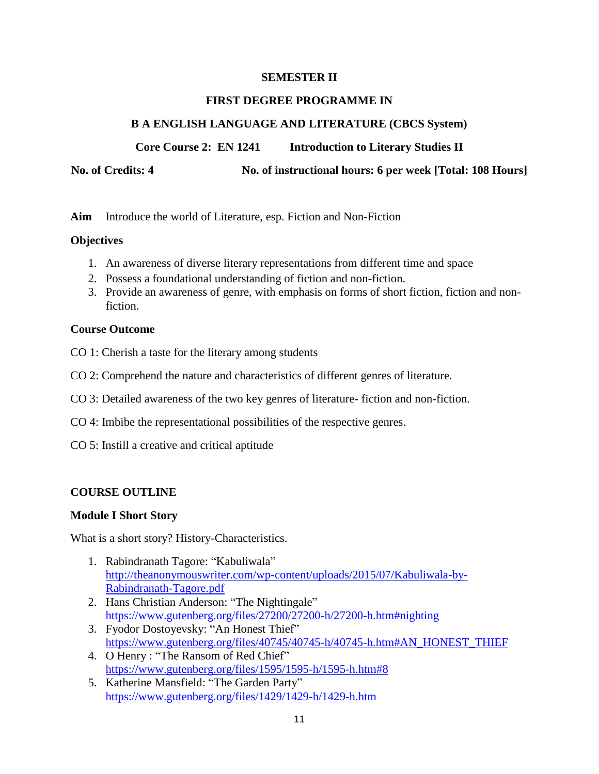#### **SEMESTER II**

#### **FIRST DEGREE PROGRAMME IN**

#### **B A ENGLISH LANGUAGE AND LITERATURE (CBCS System)**

**Core Course 2: EN 1241 Introduction to Literary Studies II**

**No. of Credits: 4 No. of instructional hours: 6 per week [Total: 108 Hours]**

**Aim** Introduce the world of Literature, esp. Fiction and Non-Fiction

#### **Objectives**

- 1. An awareness of diverse literary representations from different time and space
- 2. Possess a foundational understanding of fiction and non-fiction.
- 3. Provide an awareness of genre, with emphasis on forms of short fiction, fiction and nonfiction.

#### **Course Outcome**

- CO 1: Cherish a taste for the literary among students
- CO 2: Comprehend the nature and characteristics of different genres of literature.
- CO 3: Detailed awareness of the two key genres of literature- fiction and non-fiction.
- CO 4: Imbibe the representational possibilities of the respective genres.
- CO 5: Instill a creative and critical aptitude

#### **COURSE OUTLINE**

#### **Module I Short Story**

What is a short story? History-Characteristics.

- 1. Rabindranath Tagore: "Kabuliwala" [http://theanonymouswriter.com/wp-content/uploads/2015/07/Kabuliwala-by-](http://theanonymouswriter.com/wp-content/uploads/2015/07/Kabuliwala-by-Rabindranath-Tagore.pdf)[Rabindranath-Tagore.pdf](http://theanonymouswriter.com/wp-content/uploads/2015/07/Kabuliwala-by-Rabindranath-Tagore.pdf)
- 2. Hans Christian Anderson: "The Nightingale" <https://www.gutenberg.org/files/27200/27200-h/27200-h.htm#nighting>
- 3. Fyodor Dostoyevsky: "An Honest Thief" [https://www.gutenberg.org/files/40745/40745-h/40745-h.htm#AN\\_HONEST\\_THIEF](https://www.gutenberg.org/files/40745/40745-h/40745-h.htm#AN_HONEST_THIEF)
- 4. O Henry : "The Ransom of Red Chief" <https://www.gutenberg.org/files/1595/1595-h/1595-h.htm#8>
- 5. Katherine Mansfield: "The Garden Party" <https://www.gutenberg.org/files/1429/1429-h/1429-h.htm>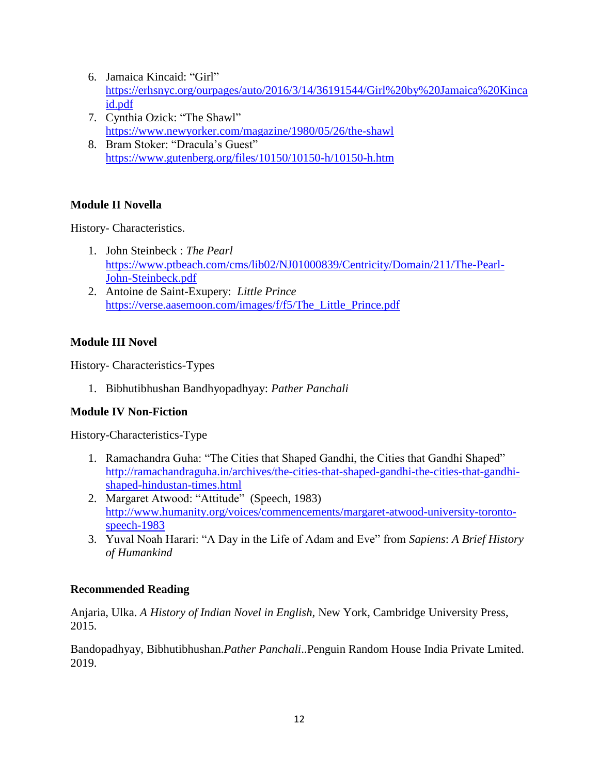- 6. Jamaica Kincaid: "Girl" [https://erhsnyc.org/ourpages/auto/2016/3/14/36191544/Girl%20by%20Jamaica%20Kinca](https://erhsnyc.org/ourpages/auto/2016/3/14/36191544/Girl%20by%20Jamaica%20Kincaid.pdf) [id.pdf](https://erhsnyc.org/ourpages/auto/2016/3/14/36191544/Girl%20by%20Jamaica%20Kincaid.pdf)
- 7. Cynthia Ozick: "The Shawl" <https://www.newyorker.com/magazine/1980/05/26/the-shawl>
- 8. Bram Stoker: "Dracula's Guest" <https://www.gutenberg.org/files/10150/10150-h/10150-h.htm>

## **Module II Novella**

History- Characteristics.

- 1. John Steinbeck : *The Pearl* [https://www.ptbeach.com/cms/lib02/NJ01000839/Centricity/Domain/211/The-Pearl-](https://www.ptbeach.com/cms/lib02/NJ01000839/Centricity/Domain/211/The-Pearl-John-Steinbeck.pdf)[John-Steinbeck.pdf](https://www.ptbeach.com/cms/lib02/NJ01000839/Centricity/Domain/211/The-Pearl-John-Steinbeck.pdf)
- 2. Antoine de Saint-Exupery: *Little Prince* [https://verse.aasemoon.com/images/f/f5/The\\_Little\\_Prince.pdf](https://verse.aasemoon.com/images/f/f5/The_Little_Prince.pdf)

## **Module III Novel**

History- Characteristics-Types

1. Bibhutibhushan Bandhyopadhyay: *Pather Panchali*

## **Module IV Non-Fiction**

History-Characteristics-Type

- 1. Ramachandra Guha: "The Cities that Shaped Gandhi, the Cities that Gandhi Shaped" [http://ramachandraguha.in/archives/the-cities-that-shaped-gandhi-the-cities-that-gandhi](http://ramachandraguha.in/archives/the-cities-that-shaped-gandhi-the-cities-that-gandhi-shaped-hindustan-times.html)[shaped-hindustan-times.html](http://ramachandraguha.in/archives/the-cities-that-shaped-gandhi-the-cities-that-gandhi-shaped-hindustan-times.html)
- 2. Margaret Atwood: "Attitude" (Speech, 1983) [http://www.humanity.org/voices/commencements/margaret-atwood-university-toronto](http://www.humanity.org/voices/commencements/margaret-atwood-university-toronto-speech-1983)[speech-1983](http://www.humanity.org/voices/commencements/margaret-atwood-university-toronto-speech-1983)
- 3. Yuval Noah Harari: "A Day in the Life of Adam and Eve" from *Sapiens: A Brief History of Humankind*

## **Recommended Reading**

Anjaria, Ulka. *A History of Indian Novel in English,* New York, Cambridge University Press, 2015.

Bandopadhyay, Bibhutibhushan.*Pather Panchali*..Penguin Random House India Private Lmited. 2019.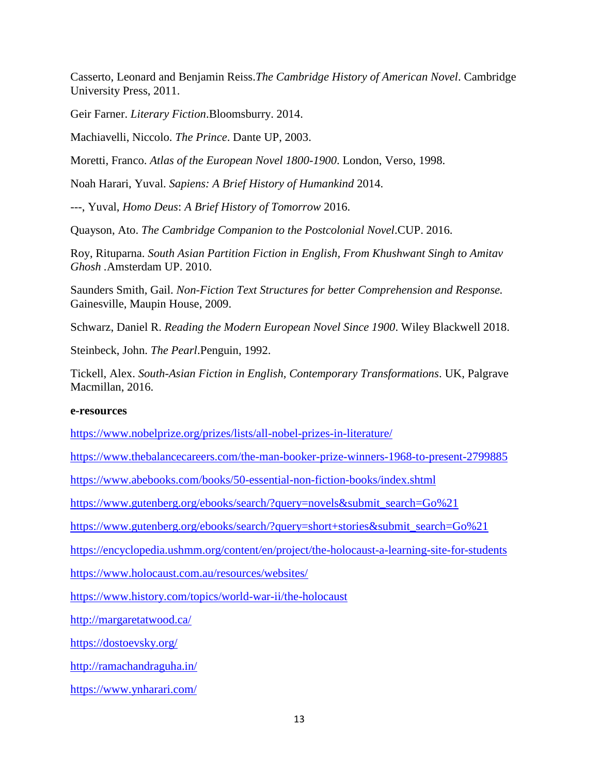Casserto, Leonard and Benjamin Reiss.*The Cambridge History of American Novel*. Cambridge University Press, 2011.

Geir Farner. *Literary Fiction*.Bloomsburry. 2014.

Machiavelli, Niccolo. *The Prince*. Dante UP, 2003.

Moretti, Franco. *Atlas of the European Novel 1800-1900*. London, Verso, 1998.

Noah Harari, Yuval. *Sapiens: A Brief History of Humankind* 2014.

---, Yuval, *Homo Deus*: *A Brief History of Tomorrow* 2016.

Quayson, Ato. *The Cambridge Companion to the Postcolonial Novel*.CUP. 2016.

Roy, Rituparna. *South Asian Partition Fiction in English, From Khushwant Singh to Amitav Ghosh .*Amsterdam UP. 2010.

Saunders Smith, Gail. *Non-Fiction Text Structures for better Comprehension and Response.* Gainesville, Maupin House, 2009.

Schwarz, Daniel R. *Reading the Modern European Novel Since 1900*. Wiley Blackwell 2018.

Steinbeck, John. *The Pearl*.Penguin, 1992.

Tickell, Alex. *South-Asian Fiction in English, Contemporary Transformations*. UK, Palgrave Macmillan, 2016.

#### **e-resources**

<https://www.nobelprize.org/prizes/lists/all-nobel-prizes-in-literature/>

<https://www.thebalancecareers.com/the-man-booker-prize-winners-1968-to-present-2799885>

<https://www.abebooks.com/books/50-essential-non-fiction-books/index.shtml>

[https://www.gutenberg.org/ebooks/search/?query=novels&submit\\_search=Go%21](https://www.gutenberg.org/ebooks/search/?query=novels&submit_search=Go%21)

[https://www.gutenberg.org/ebooks/search/?query=short+stories&submit\\_search=Go%21](https://www.gutenberg.org/ebooks/search/?query=short+stories&submit_search=Go%21)

<https://encyclopedia.ushmm.org/content/en/project/the-holocaust-a-learning-site-for-students>

<https://www.holocaust.com.au/resources/websites/>

<https://www.history.com/topics/world-war-ii/the-holocaust>

<http://margaretatwood.ca/>

<https://dostoevsky.org/>

<http://ramachandraguha.in/>

<https://www.ynharari.com/>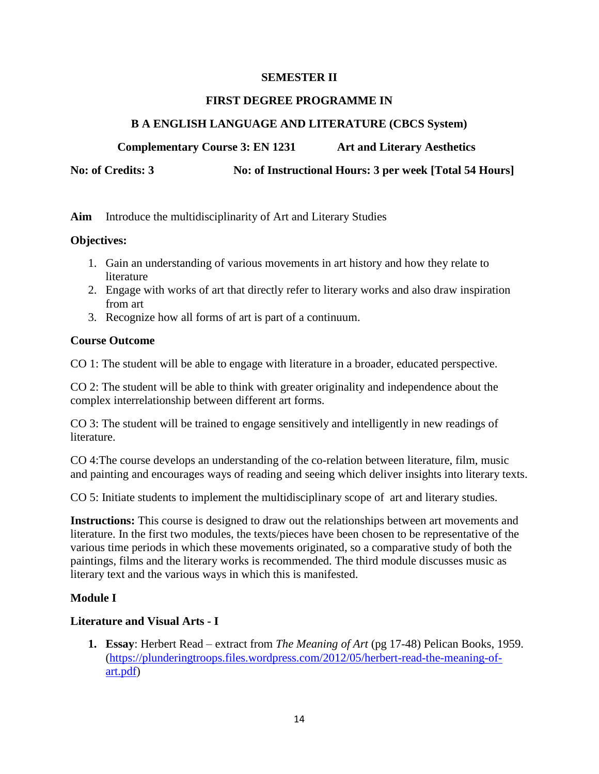#### **SEMESTER II**

#### **FIRST DEGREE PROGRAMME IN**

#### **B A ENGLISH LANGUAGE AND LITERATURE (CBCS System)**

 **Complementary Course 3: EN 1231 Art and Literary Aesthetics** 

No: of Credits: 3 No: of Instructional Hours: 3 per week [Total 54 Hours]

**Aim** Introduce the multidisciplinarity of Art and Literary Studies

#### **Objectives:**

- 1. Gain an understanding of various movements in art history and how they relate to literature
- 2. Engage with works of art that directly refer to literary works and also draw inspiration from art
- 3. Recognize how all forms of art is part of a continuum.

#### **Course Outcome**

CO 1: The student will be able to engage with literature in a broader, educated perspective.

CO 2: The student will be able to think with greater originality and independence about the complex interrelationship between different art forms.

CO 3: The student will be trained to engage sensitively and intelligently in new readings of literature.

CO 4:The course develops an understanding of the co-relation between literature, film, music and painting and encourages ways of reading and seeing which deliver insights into literary texts.

CO 5: Initiate students to implement the multidisciplinary scope of art and literary studies.

**Instructions:** This course is designed to draw out the relationships between art movements and literature. In the first two modules, the texts/pieces have been chosen to be representative of the various time periods in which these movements originated, so a comparative study of both the paintings, films and the literary works is recommended. The third module discusses music as literary text and the various ways in which this is manifested.

#### **Module I**

#### **Literature and Visual Arts - I**

**1. Essay**: Herbert Read – extract from *The Meaning of Art* (pg 17-48) Pelican Books, 1959. [\(https://plunderingtroops.files.wordpress.com/2012/05/herbert-read-the-meaning-of](https://plunderingtroops.files.wordpress.com/2012/05/herbert-read-the-meaning-of-art.pdf)[art.pdf\)](https://plunderingtroops.files.wordpress.com/2012/05/herbert-read-the-meaning-of-art.pdf)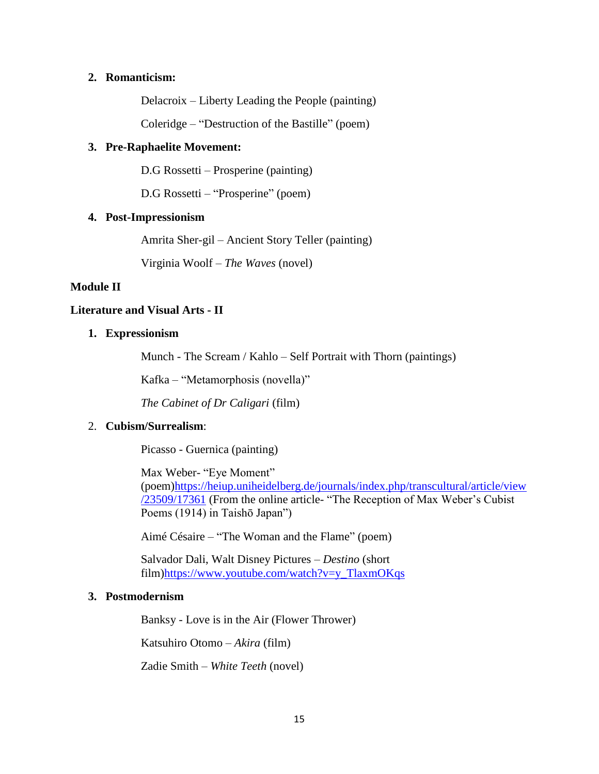#### **2. Romanticism:**

Delacroix – Liberty Leading the People (painting)

Coleridge – "Destruction of the Bastille" (poem)

#### **3. Pre-Raphaelite Movement:**

D.G Rossetti – Prosperine (painting)

D.G Rossetti – "Prosperine" (poem)

#### **4. Post-Impressionism**

Amrita Sher-gil – Ancient Story Teller (painting)

Virginia Woolf – *The Waves* (novel)

#### **Module II**

#### **Literature and Visual Arts - II**

#### **1. Expressionism**

Munch - The Scream / Kahlo – Self Portrait with Thorn (paintings)

Kafka – "Metamorphosis (novella)"

*The Cabinet of Dr Caligari* (film)

#### 2. **Cubism/Surrealism**:

Picasso - Guernica (painting)

Max Weber- "Eye Moment" (poem[\)https://heiup.uniheidelberg.de/journals/index.php/transcultural/article/view](https://heiup.uniheidelberg.de/journals/index.php/transcultural/article/view/23509/17361) [/23509/17361](https://heiup.uniheidelberg.de/journals/index.php/transcultural/article/view/23509/17361) (From the online article- "The Reception of Max Weber's Cubist Poems (1914) in Taishō Japan")

Aimé Césaire – "The Woman and the Flame" (poem)

Salvador Dali, Walt Disney Pictures – *Destino* (short film[\)https://www.youtube.com/watch?v=y\\_TlaxmOKqs](https://www.youtube.com/watch?v=y_TlaxmOKqs)

#### **3. Postmodernism**

Banksy - Love is in the Air (Flower Thrower)

Katsuhiro Otomo – *Akira* (film)

Zadie Smith – *White Teeth* (novel)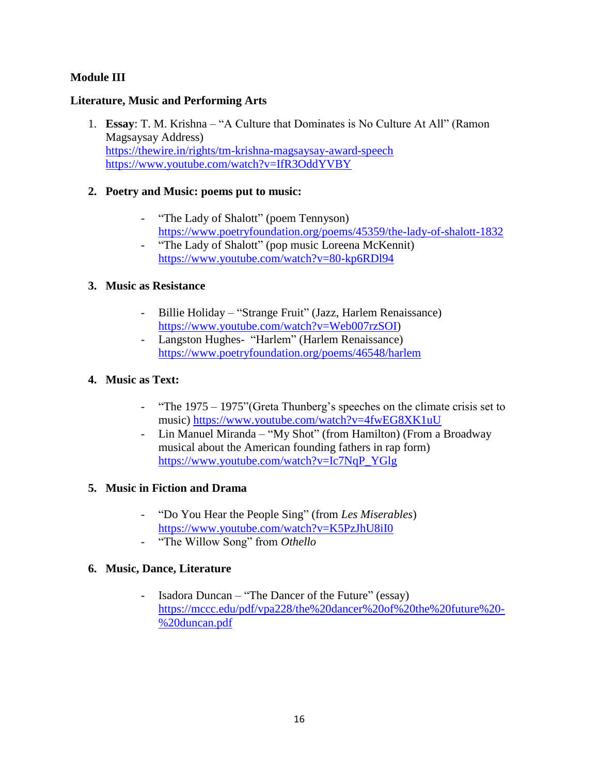## **Module III**

#### **Literature, Music and Performing Arts**

1. **Essay**: T. M. Krishna – "A Culture that Dominates is No Culture At All" (Ramon Magsaysay Address) <https://thewire.in/rights/tm-krishna-magsaysay-award-speech> <https://www.youtube.com/watch?v=IfR3OddYVBY>

#### **2. Poetry and Music: poems put to music:**

- "The Lady of Shalott" (poem Tennyson) <https://www.poetryfoundation.org/poems/45359/the-lady-of-shalott-1832>
- "The Lady of Shalott" (pop music Loreena McKennit) <https://www.youtube.com/watch?v=80-kp6RDl94>

#### **3. Music as Resistance**

- Billie Holiday "Strange Fruit" (Jazz, Harlem Renaissance) [https://www.youtube.com/watch?v=Web007rzSOI\)](https://www.youtube.com/watch?v=Web007rzSOI)
- Langston Hughes- "Harlem" (Harlem Renaissance) <https://www.poetryfoundation.org/poems/46548/harlem>

#### **4. Music as Text:**

- "The 1975 1975" (Greta Thunberg's speeches on the climate crisis set to music)<https://www.youtube.com/watch?v=4fwEG8XK1uU>
- Lin Manuel Miranda "My Shot" (from Hamilton) (From a Broadway musical about the American founding fathers in rap form) [https://www.youtube.com/watch?v=Ic7NqP\\_YGlg](https://www.youtube.com/watch?v=Ic7NqP_YGlg)

#### **5. Music in Fiction and Drama**

- ―Do You Hear the People Sing‖ (from *Les Miserables*) <https://www.youtube.com/watch?v=K5PzJhU8iI0>
- "The Willow Song" from *Othello*

#### **6. Music, Dance, Literature**

- Isadora Duncan – "The Dancer of the Future" (essay) [https://mccc.edu/pdf/vpa228/the%20dancer%20of%20the%20future%20-](https://mccc.edu/pdf/vpa228/the%20dancer%20of%20the%20future%20-%20duncan.pdf) [%20duncan.pdf](https://mccc.edu/pdf/vpa228/the%20dancer%20of%20the%20future%20-%20duncan.pdf)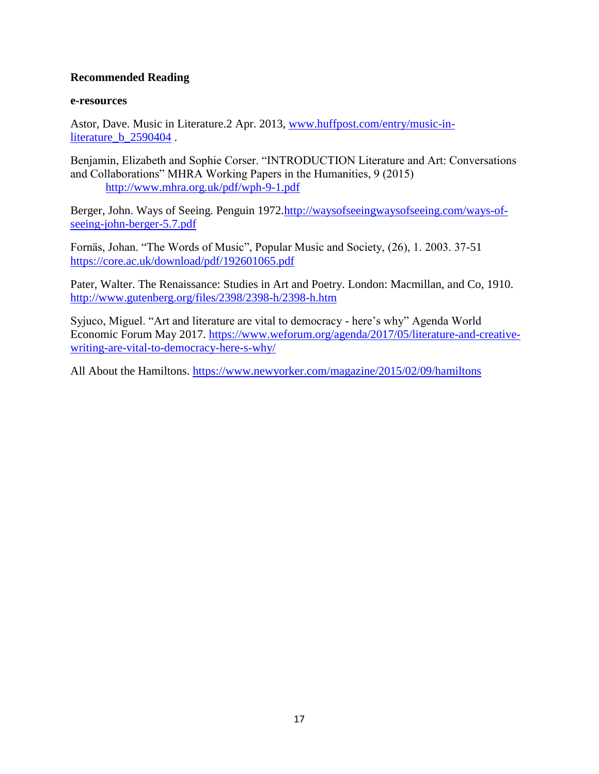#### **Recommended Reading**

#### **e-resources**

Astor, Dave. Music in Literature.2 Apr. 2013, [www.huffpost.com/entry/music-in](http://www.huffpost.com/entry/music-in-literature_b_2590404)[literature\\_b\\_2590404](http://www.huffpost.com/entry/music-in-literature_b_2590404) .

Benjamin, Elizabeth and Sophie Corser. "INTRODUCTION Literature and Art: Conversations and Collaborations" MHRA Working Papers in the Humanities, 9 (2015) <http://www.mhra.org.uk/pdf/wph-9-1.pdf>

Berger, John. Ways of Seeing. Penguin 1972[.http://waysofseeingwaysofseeing.com/ways-of](http://waysofseeingwaysofseeing.com/ways-of-seeing-john-berger-5.7.pdf)[seeing-john-berger-5.7.pdf](http://waysofseeingwaysofseeing.com/ways-of-seeing-john-berger-5.7.pdf)

Fornäs, Johan. "The Words of Music", Popular Music and Society, (26), 1. 2003. 37-51 <https://core.ac.uk/download/pdf/192601065.pdf>

Pater, Walter. The Renaissance: Studies in Art and Poetry. London: Macmillan, and Co, 1910. <http://www.gutenberg.org/files/2398/2398-h/2398-h.htm>

Syjuco, Miguel. "Art and literature are vital to democracy - here's why" Agenda World Economic Forum May 2017. [https://www.weforum.org/agenda/2017/05/literature-and-creative](https://www.weforum.org/agenda/2017/05/literature-and-creative-writing-are-vital-to-democracy-here-s-why/)[writing-are-vital-to-democracy-here-s-why/](https://www.weforum.org/agenda/2017/05/literature-and-creative-writing-are-vital-to-democracy-here-s-why/)

All About the Hamiltons.<https://www.newyorker.com/magazine/2015/02/09/hamiltons>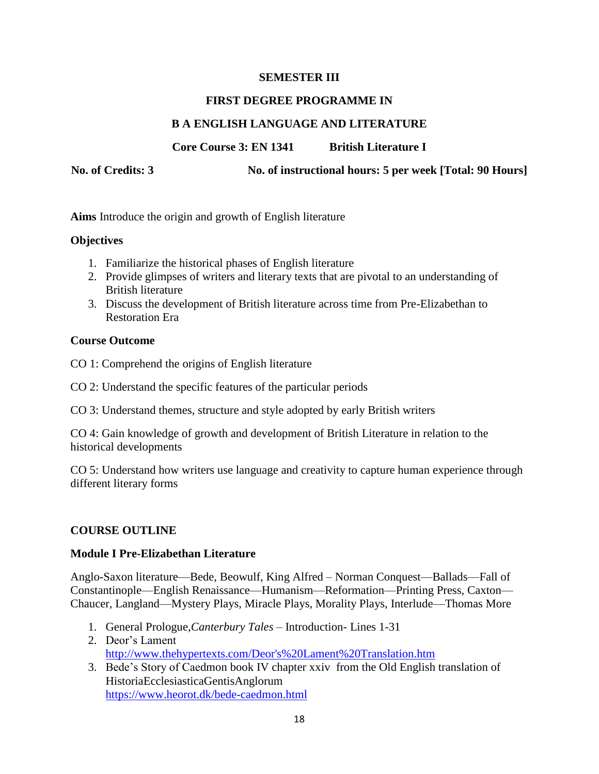#### **SEMESTER III**

#### **FIRST DEGREE PROGRAMME IN**

#### **B A ENGLISH LANGUAGE AND LITERATURE**

**Core Course 3: EN 1341 British Literature I**

**No. of Credits: 3 No. of instructional hours: 5 per week [Total: 90 Hours]**

**Aims** Introduce the origin and growth of English literature

#### **Objectives**

- 1. Familiarize the historical phases of English literature
- 2. Provide glimpses of writers and literary texts that are pivotal to an understanding of British literature
- 3. Discuss the development of British literature across time from Pre-Elizabethan to Restoration Era

#### **Course Outcome**

- CO 1: Comprehend the origins of English literature
- CO 2: Understand the specific features of the particular periods
- CO 3: Understand themes, structure and style adopted by early British writers

CO 4: Gain knowledge of growth and development of British Literature in relation to the historical developments

CO 5: Understand how writers use language and creativity to capture human experience through different literary forms

#### **COURSE OUTLINE**

#### **Module I Pre-Elizabethan Literature**

Anglo-Saxon literature—Bede, Beowulf, King Alfred – Norman Conquest—Ballads—Fall of Constantinople—English Renaissance—Humanism—Reformation—Printing Press, Caxton— Chaucer, Langland—Mystery Plays, Miracle Plays, Morality Plays, Interlude—Thomas More

- 1. General Prologue,*Canterbury Tales* Introduction- Lines 1-31
- 2. Deor's Lament [http://www.thehypertexts.com/Deor's%20Lament%20Translation.htm](http://www.thehypertexts.com/Deor)
- 3. Bede's Story of Caedmon book IV chapter xxiv from the Old English translation of HistoriaEcclesiasticaGentisAnglorum <https://www.heorot.dk/bede-caedmon.html>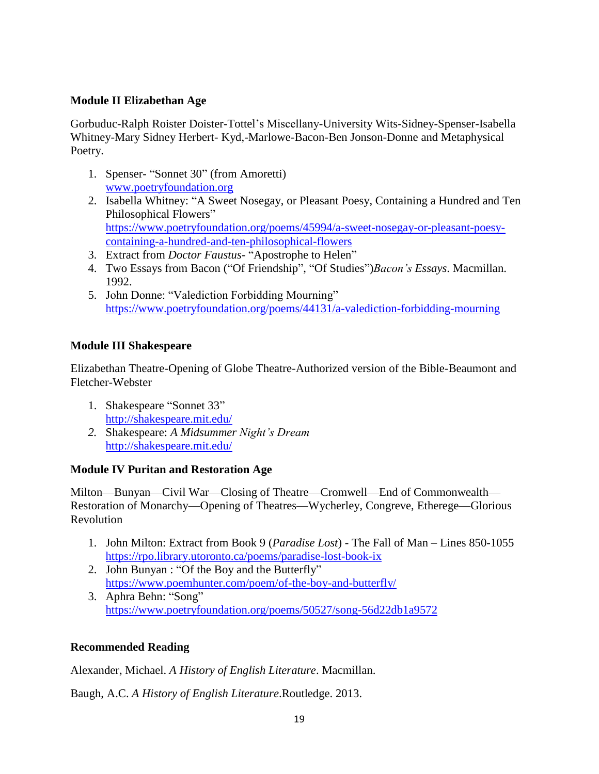## **Module II Elizabethan Age**

Gorbuduc-Ralph Roister Doister-Tottel's Miscellany-University Wits-Sidney-Spenser-Isabella Whitney-Mary Sidney Herbert- Kyd,-Marlowe-Bacon-Ben Jonson-Donne and Metaphysical Poetry.

- 1. Spenser- "Sonnet 30" (from Amoretti) [www.poetryfoundation.org](http://www.poetryfoundation.org/)
- 2. Isabella Whitney: "A Sweet Nosegay, or Pleasant Poesy, Containing a Hundred and Ten Philosophical Flowers" [https://www.poetryfoundation.org/poems/45994/a-sweet-nosegay-or-pleasant-poesy](https://www.poetryfoundation.org/poems/45994/a-sweet-nosegay-or-pleasant-poesy-containing-a-hundred-and-ten-philosophical-flowers)[containing-a-hundred-and-ten-philosophical-flowers](https://www.poetryfoundation.org/poems/45994/a-sweet-nosegay-or-pleasant-poesy-containing-a-hundred-and-ten-philosophical-flowers)
- 3. Extract from *Doctor Faustus* "Apostrophe to Helen"
- 4. Two Essays from Bacon ("Of Friendship", "Of Studies")*Bacon's Essays*. Macmillan. 1992.
- 5. John Donne: "Valediction Forbidding Mourning" <https://www.poetryfoundation.org/poems/44131/a-valediction-forbidding-mourning>

## **Module III Shakespeare**

Elizabethan Theatre-Opening of Globe Theatre-Authorized version of the Bible-Beaumont and Fletcher-Webster

- 1. Shakespeare "Sonnet 33" <http://shakespeare.mit.edu/>
- *2.* Shakespeare: *A Midsummer Night's Dream* <http://shakespeare.mit.edu/>

#### **Module IV Puritan and Restoration Age**

Milton—Bunyan—Civil War—Closing of Theatre—Cromwell—End of Commonwealth— Restoration of Monarchy—Opening of Theatres—Wycherley, Congreve, Etherege—Glorious Revolution

- 1. John Milton: Extract from Book 9 (*Paradise Lost*) The Fall of Man Lines 850-1055 <https://rpo.library.utoronto.ca/poems/paradise-lost-book-ix>
- 2. John Bunyan : "Of the Boy and the Butterfly" <https://www.poemhunter.com/poem/of-the-boy-and-butterfly/>
- 3. Aphra Behn: "Song" <https://www.poetryfoundation.org/poems/50527/song-56d22db1a9572>

## **Recommended Reading**

Alexander, Michael. *A History of English Literature*. Macmillan.

Baugh, A.C. *A History of English Literature*.Routledge. 2013.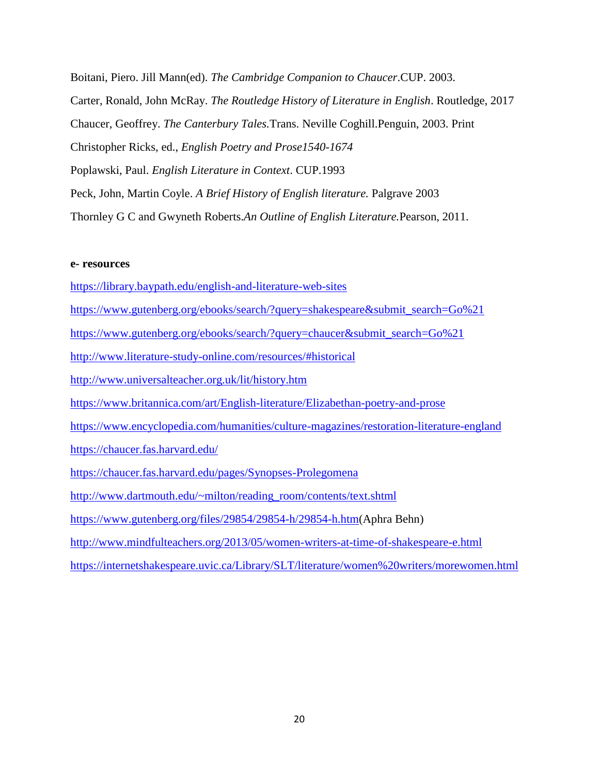Boitani, Piero. Jill Mann(ed). *The Cambridge Companion to Chaucer*.CUP. 2003. Carter, Ronald, John McRay. *The Routledge History of Literature in English*. Routledge, 2017 Chaucer, Geoffrey. *The Canterbury Tales.*Trans. Neville Coghill.Penguin, 2003. Print Christopher Ricks, ed., *English Poetry and Prose1540-1674* Poplawski, Paul. *English Literature in Context*. CUP.1993 Peck, John, Martin Coyle. *A Brief History of English literature.* Palgrave 2003 Thornley G C and Gwyneth Roberts.*An Outline of English Literature.*Pearson, 2011.

#### **e- resources**

<https://library.baypath.edu/english-and-literature-web-sites> [https://www.gutenberg.org/ebooks/search/?query=shakespeare&submit\\_search=Go%21](https://www.gutenberg.org/ebooks/search/?query=shakespeare&submit_search=Go%21) [https://www.gutenberg.org/ebooks/search/?query=chaucer&submit\\_search=Go%21](https://www.gutenberg.org/ebooks/search/?query=chaucer&submit_search=Go%21) <http://www.literature-study-online.com/resources/#historical> <http://www.universalteacher.org.uk/lit/history.htm> <https://www.britannica.com/art/English-literature/Elizabethan-poetry-and-prose> <https://www.encyclopedia.com/humanities/culture-magazines/restoration-literature-england> <https://chaucer.fas.harvard.edu/> <https://chaucer.fas.harvard.edu/pages/Synopses-Prolegomena> [http://www.dartmouth.edu/~milton/reading\\_room/contents/text.shtml](http://www.dartmouth.edu/~milton/reading_room/contents/text.shtml) [https://www.gutenberg.org/files/29854/29854-h/29854-h.htm\(](https://www.gutenberg.org/files/29854/29854-h/29854-h.htm)Aphra Behn) <http://www.mindfulteachers.org/2013/05/women-writers-at-time-of-shakespeare-e.html>

<https://internetshakespeare.uvic.ca/Library/SLT/literature/women%20writers/morewomen.html>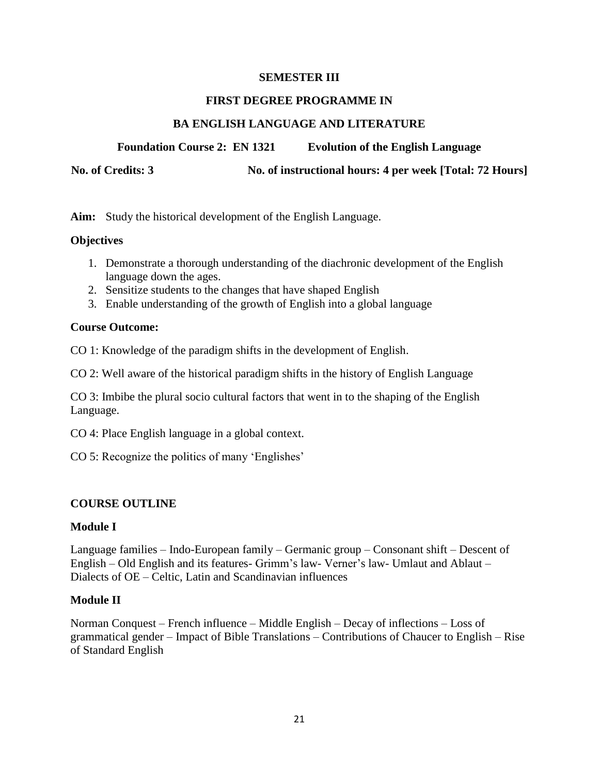#### **SEMESTER III**

#### **FIRST DEGREE PROGRAMME IN**

#### **BA ENGLISH LANGUAGE AND LITERATURE**

**Foundation Course 2: EN 1321 Evolution of the English Language**

**No. of Credits: 3 No. of instructional hours: 4 per week [Total: 72 Hours]**

**Aim:** Study the historical development of the English Language.

#### **Objectives**

- 1. Demonstrate a thorough understanding of the diachronic development of the English language down the ages.
- 2. Sensitize students to the changes that have shaped English
- 3. Enable understanding of the growth of English into a global language

#### **Course Outcome:**

CO 1: Knowledge of the paradigm shifts in the development of English.

CO 2: Well aware of the historical paradigm shifts in the history of English Language

CO 3: Imbibe the plural socio cultural factors that went in to the shaping of the English Language.

CO 4: Place English language in a global context.

CO 5: Recognize the politics of many 'Englishes'

#### **COURSE OUTLINE**

#### **Module I**

Language families – Indo-European family – Germanic group – Consonant shift – Descent of English – Old English and its features- Grimm's law- Verner's law- Umlaut and Ablaut – Dialects of OE – Celtic, Latin and Scandinavian influences

#### **Module II**

Norman Conquest – French influence – Middle English – Decay of inflections – Loss of grammatical gender – Impact of Bible Translations – Contributions of Chaucer to English – Rise of Standard English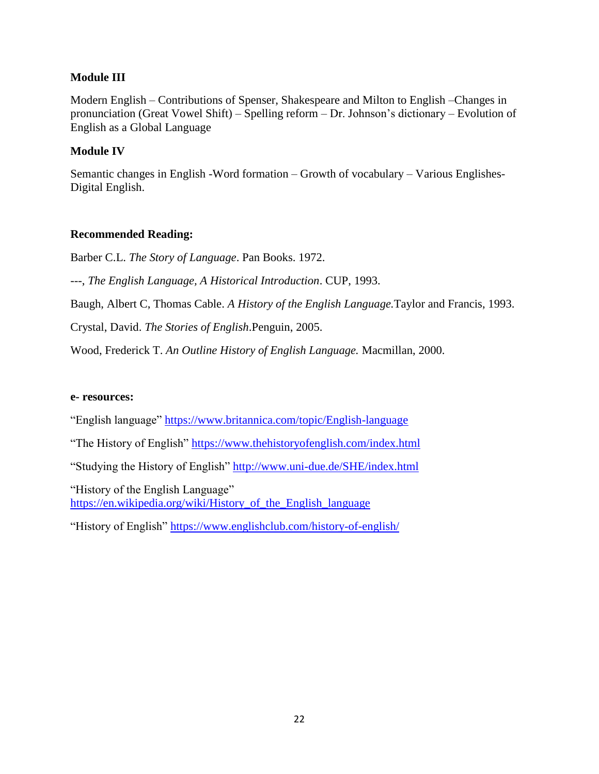#### **Module III**

Modern English – Contributions of Spenser, Shakespeare and Milton to English –Changes in pronunciation (Great Vowel Shift) – Spelling reform – Dr. Johnson's dictionary – Evolution of English as a Global Language

#### **Module IV**

Semantic changes in English -Word formation – Growth of vocabulary – Various Englishes-Digital English.

#### **Recommended Reading:**

Barber C.L. *The Story of Language*. Pan Books. 1972.

---, *The English Language, A Historical Introduction*. CUP, 1993.

Baugh, Albert C, Thomas Cable. *A History of the English Language.*Taylor and Francis, 1993.

Crystal, David. *The Stories of English*.Penguin, 2005.

Wood, Frederick T. *An Outline History of English Language.* Macmillan, 2000.

#### **e- resources:**

"English language"<https://www.britannica.com/topic/English-language>

"The History of English"<https://www.thehistoryofenglish.com/index.html>

"Studying the History of English"<http://www.uni-due.de/SHE/index.html>

"History of the English Language" [https://en.wikipedia.org/wiki/History\\_of\\_the\\_English\\_language](https://en.wikipedia.org/wiki/History_of_the_English_language)

"History of English"<https://www.englishclub.com/history-of-english/>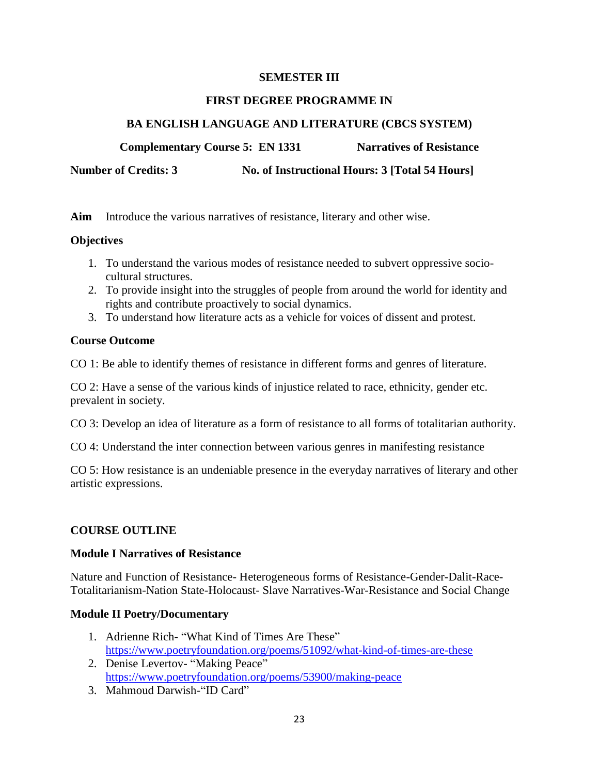#### **SEMESTER III**

#### **FIRST DEGREE PROGRAMME IN**

## **BA ENGLISH LANGUAGE AND LITERATURE (CBCS SYSTEM)**

**Complementary Course 5: EN 1331 Narratives of Resistance** 

**Number of Credits: 3** No. of Instructional Hours: 3 [Total 54 Hours]

**Aim** Introduce the various narratives of resistance, literary and other wise.

#### **Objectives**

- 1. To understand the various modes of resistance needed to subvert oppressive sociocultural structures.
- 2. To provide insight into the struggles of people from around the world for identity and rights and contribute proactively to social dynamics.
- 3. To understand how literature acts as a vehicle for voices of dissent and protest.

#### **Course Outcome**

CO 1: Be able to identify themes of resistance in different forms and genres of literature.

CO 2: Have a sense of the various kinds of injustice related to race, ethnicity, gender etc. prevalent in society.

CO 3: Develop an idea of literature as a form of resistance to all forms of totalitarian authority.

CO 4: Understand the inter connection between various genres in manifesting resistance

CO 5: How resistance is an undeniable presence in the everyday narratives of literary and other artistic expressions.

#### **COURSE OUTLINE**

#### **Module I Narratives of Resistance**

Nature and Function of Resistance- Heterogeneous forms of Resistance-Gender-Dalit-Race-Totalitarianism-Nation State-Holocaust- Slave Narratives-War-Resistance and Social Change

#### **Module II Poetry/Documentary**

- 1. Adrienne Rich- "What Kind of Times Are These" <https://www.poetryfoundation.org/poems/51092/what-kind-of-times-are-these>
- 2. Denise Levertov- "Making Peace" <https://www.poetryfoundation.org/poems/53900/making-peace>
- 3. Mahmoud Darwish-"ID Card"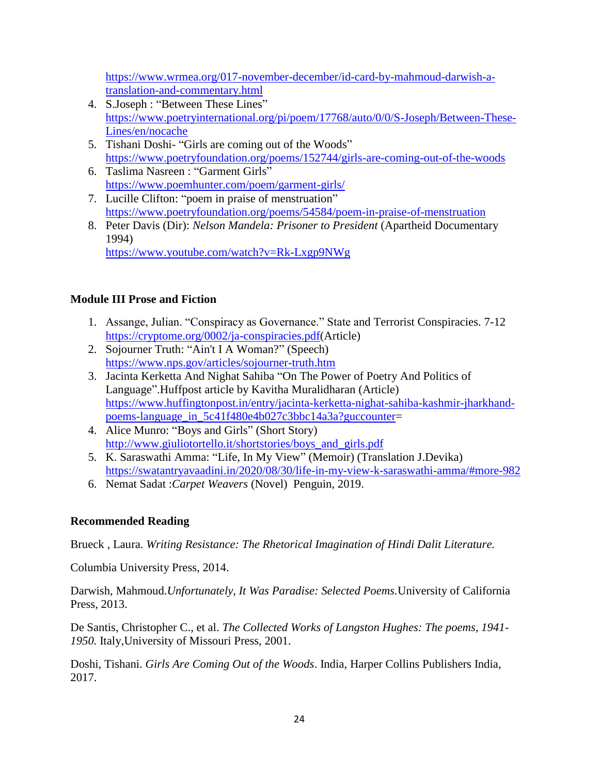[https://www.wrmea.org/017-november-december/id-card-by-mahmoud-darwish-a](https://www.wrmea.org/017-november-december/id-card-by-mahmoud-darwish-a-translation-and-commentary.html)[translation-and-commentary.html](https://www.wrmea.org/017-november-december/id-card-by-mahmoud-darwish-a-translation-and-commentary.html)

- 4. S.Joseph : "Between These Lines" [https://www.poetryinternational.org/pi/poem/17768/auto/0/0/S-Joseph/Between-These-](https://www.poetryinternational.org/pi/poem/17768/auto/0/0/S-Joseph/Between-These-Lines/en/nocache)[Lines/en/nocache](https://www.poetryinternational.org/pi/poem/17768/auto/0/0/S-Joseph/Between-These-Lines/en/nocache)
- 5. Tishani Doshi- "Girls are coming out of the Woods" <https://www.poetryfoundation.org/poems/152744/girls-are-coming-out-of-the-woods>
- 6. Taslima Nasreen : "Garment Girls" <https://www.poemhunter.com/poem/garment-girls/>
- 7. Lucille Clifton: "poem in praise of menstruation" <https://www.poetryfoundation.org/poems/54584/poem-in-praise-of-menstruation>
- 8. Peter Davis (Dir): *Nelson Mandela: Prisoner to President* (Apartheid Documentary 1994) <https://www.youtube.com/watch?v=Rk-Lxgp9NWg>

## **Module III Prose and Fiction**

- 1. Assange, Julian. "Conspiracy as Governance." State and Terrorist Conspiracies. 7-12 [https://cryptome.org/0002/ja-conspiracies.pdf\(](https://cryptome.org/0002/ja-conspiracies.pdf)Article)
- 2. Sojourner Truth: "Ain't I A Woman?" (Speech) <https://www.nps.gov/articles/sojourner-truth.htm>
- 3. Jacinta Kerketta And Nighat Sahiba "On The Power of Poetry And Politics of Language". Huffpost article by Kavitha Muralidharan (Article) [https://www.huffingtonpost.in/entry/jacinta-kerketta-nighat-sahiba-kashmir-jharkhand](https://www.huffingtonpost.in/entry/jacinta-kerketta-nighat-sahiba-kashmir-jharkhand-poems-language_in_5c41f480e4b027c3bbc14a3a?guccounter)[poems-language\\_in\\_5c41f480e4b027c3bbc14a3a?guccounter=](https://www.huffingtonpost.in/entry/jacinta-kerketta-nighat-sahiba-kashmir-jharkhand-poems-language_in_5c41f480e4b027c3bbc14a3a?guccounter)
- 4. Alice Munro: "Boys and Girls" (Short Story) [http://www.giuliotortello.it/shortstories/boys\\_and\\_girls.pdf](http://www.giuliotortello.it/shortstories/boys_and_girls.pdf)
- 5. K. Saraswathi Amma: "Life, In My View" (Memoir) (Translation J.Devika) <https://swatantryavaadini.in/2020/08/30/life-in-my-view-k-saraswathi-amma/#more-982>
- 6. Nemat Sadat :*Carpet Weavers* (Novel) Penguin, 2019.

## **Recommended Reading**

Brueck , Laura. *Writing Resistance: The Rhetorical Imagination of Hindi Dalit Literature.*

Columbia University Press, 2014.

Darwish, Mahmoud.*Unfortunately, It Was Paradise: Selected Poems.*University of California Press, 2013.

De Santis, Christopher C., et al. *The Collected Works of Langston Hughes: The poems, 1941- 1950.* Italy,University of Missouri Press, 2001.

Doshi, Tishani. *Girls Are Coming Out of the Woods*. India, Harper Collins Publishers India, 2017.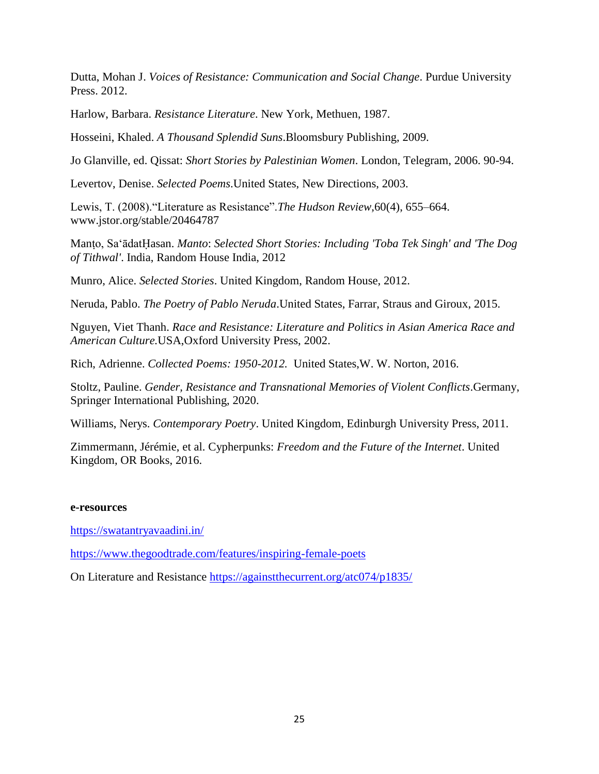Dutta, Mohan J. *Voices of Resistance: Communication and Social Change*. Purdue University Press. 2012.

Harlow, Barbara. *Resistance Literature*. New York, Methuen, 1987.

Hosseini, Khaled. *A Thousand Splendid Suns*.Bloomsbury Publishing, 2009.

Jo Glanville, ed. Qissat: *Short Stories by Palestinian Women*. London, Telegram, 2006. 90-94.

Levertov, Denise. *Selected Poems*.United States, New Directions, 2003.

Lewis, T. (2008). "Literature as Resistance". The Hudson Review, 60(4), 655–664. www.jstor.org/stable/20464787

Manṭo, SaʻādatḤasan. *Manto*: *Selected Short Stories: Including 'Toba Tek Singh' and 'The Dog of Tithwal'*. India, Random House India, 2012

Munro, Alice. *Selected Stories*. United Kingdom, Random House, 2012.

Neruda, Pablo. *The Poetry of Pablo Neruda*.United States, Farrar, Straus and Giroux, 2015.

Nguyen, Viet Thanh. *Race and Resistance: Literature and Politics in Asian America Race and American Culture.*USA,Oxford University Press, 2002.

Rich, Adrienne. *Collected Poems: 1950-2012.* United States,W. W. Norton, 2016.

Stoltz, Pauline. *Gender, Resistance and Transnational Memories of Violent Conflicts*.Germany, Springer International Publishing, 2020.

Williams, Nerys. *Contemporary Poetry*. United Kingdom, Edinburgh University Press, 2011.

Zimmermann, Jérémie, et al. Cypherpunks: *Freedom and the Future of the Internet*. United Kingdom, OR Books, 2016.

#### **e-resources**

<https://swatantryavaadini.in/>

<https://www.thegoodtrade.com/features/inspiring-female-poets>

On Literature and Resistance<https://againstthecurrent.org/atc074/p1835/>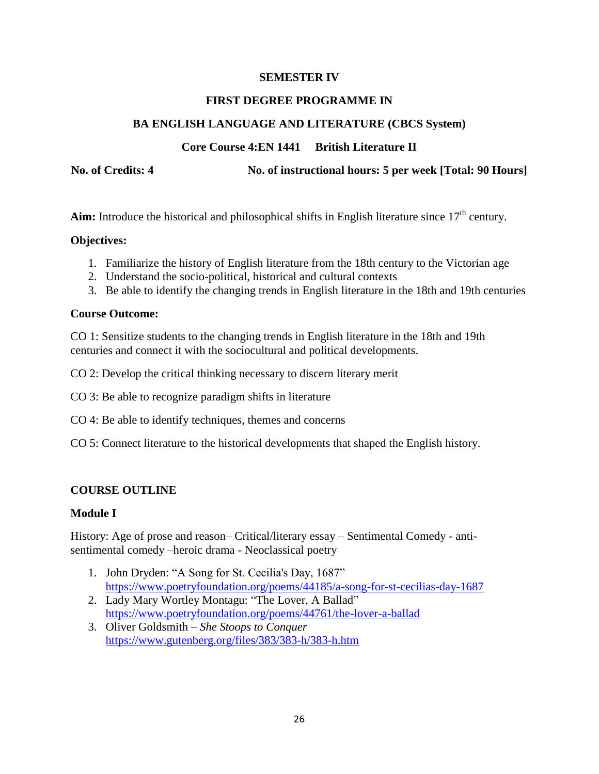#### **SEMESTER IV**

#### **FIRST DEGREE PROGRAMME IN**

#### **BA ENGLISH LANGUAGE AND LITERATURE (CBCS System)**

## **Core Course 4:EN 1441 British Literature II**

**No. of Credits: 4 No. of instructional hours: 5 per week [Total: 90 Hours]**

Aim: Introduce the historical and philosophical shifts in English literature since  $17<sup>th</sup>$  century.

#### **Objectives:**

- 1. Familiarize the history of English literature from the 18th century to the Victorian age
- 2. Understand the socio-political, historical and cultural contexts
- 3. Be able to identify the changing trends in English literature in the 18th and 19th centuries

#### **Course Outcome:**

CO 1: Sensitize students to the changing trends in English literature in the 18th and 19th centuries and connect it with the sociocultural and political developments.

CO 2: Develop the critical thinking necessary to discern literary merit

- CO 3: Be able to recognize paradigm shifts in literature
- CO 4: Be able to identify techniques, themes and concerns
- CO 5: Connect literature to the historical developments that shaped the English history.

#### **COURSE OUTLINE**

#### **Module I**

History: Age of prose and reason– Critical/literary essay – Sentimental Comedy - antisentimental comedy –heroic drama - Neoclassical poetry

- 1. John Dryden: "A Song for St. Cecilia's Day, 1687" <https://www.poetryfoundation.org/poems/44185/a-song-for-st-cecilias-day-1687>
- 2. Lady Mary Wortley Montagu: "The Lover, A Ballad" <https://www.poetryfoundation.org/poems/44761/the-lover-a-ballad>
- 3. Oliver Goldsmith *She Stoops to Conquer* <https://www.gutenberg.org/files/383/383-h/383-h.htm>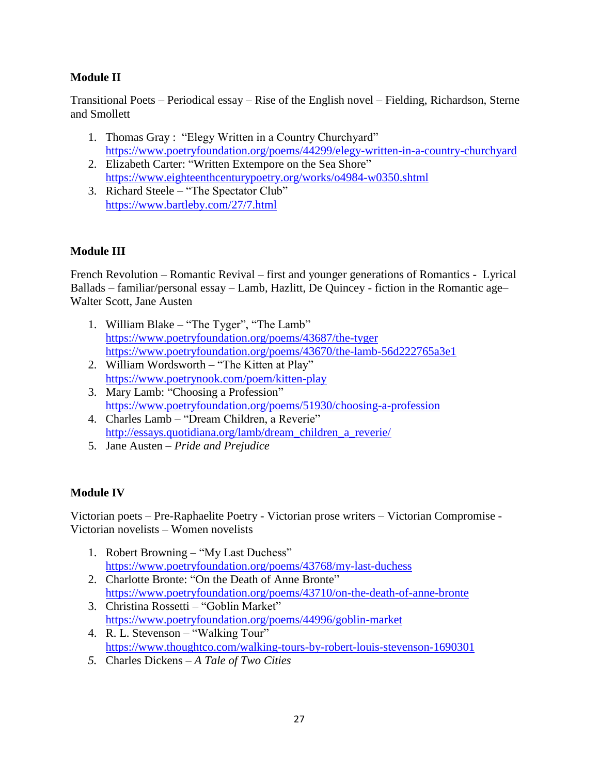## **Module II**

Transitional Poets – Periodical essay – Rise of the English novel – Fielding, Richardson, Sterne and Smollett

- 1. Thomas Gray : "Elegy Written in a Country Churchyard" <https://www.poetryfoundation.org/poems/44299/elegy-written-in-a-country-churchyard>
- 2. Elizabeth Carter: "Written Extempore on the Sea Shore" <https://www.eighteenthcenturypoetry.org/works/o4984-w0350.shtml>
- 3. Richard Steele "The Spectator Club" <https://www.bartleby.com/27/7.html>

## **Module III**

French Revolution – Romantic Revival – first and younger generations of Romantics - Lyrical Ballads – familiar/personal essay – Lamb, Hazlitt, De Quincey - fiction in the Romantic age– Walter Scott, Jane Austen

- 1. William Blake "The Tyger", "The Lamb" <https://www.poetryfoundation.org/poems/43687/the-tyger> <https://www.poetryfoundation.org/poems/43670/the-lamb-56d222765a3e1>
- 2. William Wordsworth "The Kitten at Play" <https://www.poetrynook.com/poem/kitten-play>
- 3. Mary Lamb: "Choosing a Profession" <https://www.poetryfoundation.org/poems/51930/choosing-a-profession>
- 4. Charles Lamb "Dream Children, a Reverie" [http://essays.quotidiana.org/lamb/dream\\_children\\_a\\_reverie/](http://essays.quotidiana.org/lamb/dream_children_a_reverie/)
- 5. Jane Austen *Pride and Prejudice*

## **Module IV**

Victorian poets – Pre-Raphaelite Poetry - Victorian prose writers – Victorian Compromise - Victorian novelists – Women novelists

- 1. Robert Browning "My Last Duchess" <https://www.poetryfoundation.org/poems/43768/my-last-duchess>
- 2. Charlotte Bronte: "On the Death of Anne Bronte" <https://www.poetryfoundation.org/poems/43710/on-the-death-of-anne-bronte>
- 3. Christina Rossetti "Goblin Market" <https://www.poetryfoundation.org/poems/44996/goblin-market>
- 4. R. L. Stevenson "Walking Tour" <https://www.thoughtco.com/walking-tours-by-robert-louis-stevenson-1690301>
- *5.* Charles Dickens *A Tale of Two Cities*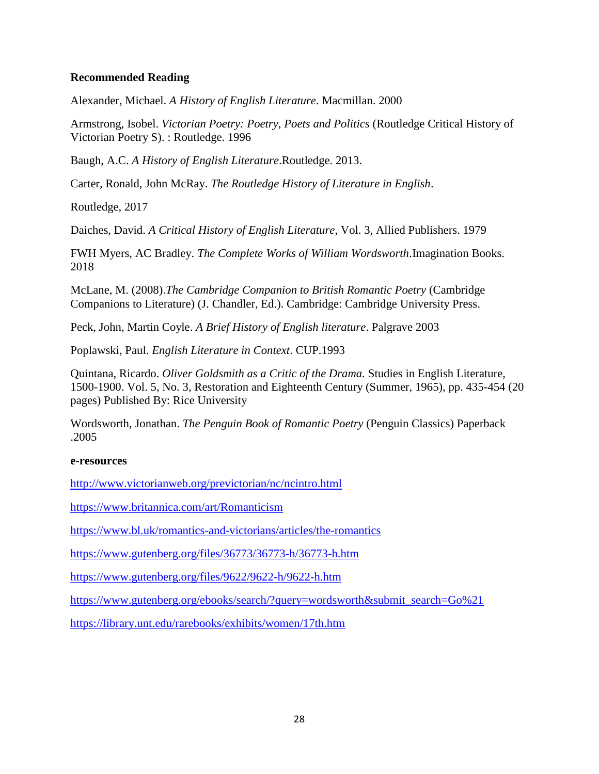#### **Recommended Reading**

Alexander, Michael. *A History of English Literature*. Macmillan. 2000

Armstrong, Isobel. *Victorian Poetry: Poetry, Poets and Politics* (Routledge Critical History of Victorian Poetry S). : Routledge. 1996

Baugh, A.C. *A History of English Literature*.Routledge. 2013.

Carter, Ronald, John McRay. *The Routledge History of Literature in English*.

Routledge, 2017

Daiches, David. *A Critical History of English Literature*, Vol. 3, Allied Publishers. 1979

FWH Myers, AC Bradley. *The Complete Works of William Wordsworth*.Imagination Books. 2018

McLane, M. (2008).*The Cambridge Companion to British Romantic Poetry* (Cambridge Companions to Literature) (J. Chandler, Ed.). Cambridge: Cambridge University Press.

Peck, John, Martin Coyle. *A Brief History of English literature*. Palgrave 2003

Poplawski, Paul. *English Literature in Context*. CUP.1993

Quintana, Ricardo. *Oliver Goldsmith as a Critic of the Drama.* Studies in English Literature, 1500-1900. Vol. 5, No. 3, Restoration and Eighteenth Century (Summer, 1965), pp. 435-454 (20 pages) Published By: Rice University

Wordsworth, Jonathan. *The Penguin Book of Romantic Poetry* (Penguin Classics) Paperback .2005

#### **e-resources**

<http://www.victorianweb.org/previctorian/nc/ncintro.html>

<https://www.britannica.com/art/Romanticism>

<https://www.bl.uk/romantics-and-victorians/articles/the-romantics>

<https://www.gutenberg.org/files/36773/36773-h/36773-h.htm>

<https://www.gutenberg.org/files/9622/9622-h/9622-h.htm>

[https://www.gutenberg.org/ebooks/search/?query=wordsworth&submit\\_search=Go%21](https://www.gutenberg.org/ebooks/search/?query=wordsworth&submit_search=Go%21)

<https://library.unt.edu/rarebooks/exhibits/women/17th.htm>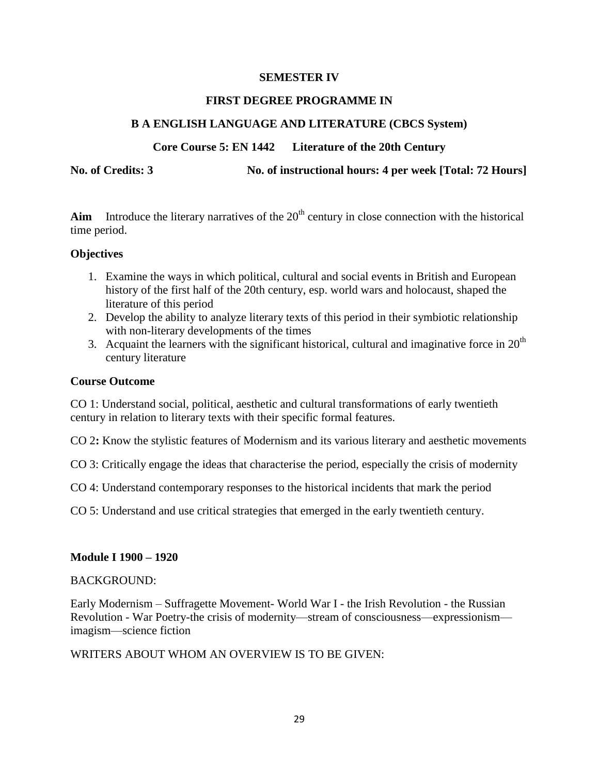#### **SEMESTER IV**

#### **FIRST DEGREE PROGRAMME IN**

#### **B A ENGLISH LANGUAGE AND LITERATURE (CBCS System)**

#### **Core Course 5: EN 1442 Literature of the 20th Century**

**No. of Credits: 3 No. of instructional hours: 4 per week [Total: 72 Hours]**

Aim Introduce the literary narratives of the  $20<sup>th</sup>$  century in close connection with the historical

#### **Objectives**

time period.

- 1. Examine the ways in which political, cultural and social events in British and European history of the first half of the 20th century, esp. world wars and holocaust, shaped the literature of this period
- 2. Develop the ability to analyze literary texts of this period in their symbiotic relationship with non-literary developments of the times
- 3. Acquaint the learners with the significant historical, cultural and imaginative force in  $20<sup>th</sup>$ century literature

#### **Course Outcome**

CO 1: Understand social, political, aesthetic and cultural transformations of early twentieth century in relation to literary texts with their specific formal features.

CO 2**:** Know the stylistic features of Modernism and its various literary and aesthetic movements

CO 3: Critically engage the ideas that characterise the period, especially the crisis of modernity

CO 4: Understand contemporary responses to the historical incidents that mark the period

CO 5: Understand and use critical strategies that emerged in the early twentieth century.

#### **Module I 1900 – 1920**

#### BACKGROUND:

Early Modernism – Suffragette Movement- World War I - the Irish Revolution - the Russian Revolution - War Poetry-the crisis of modernity—stream of consciousness—expressionism imagism—science fiction

WRITERS ABOUT WHOM AN OVERVIEW IS TO BE GIVEN: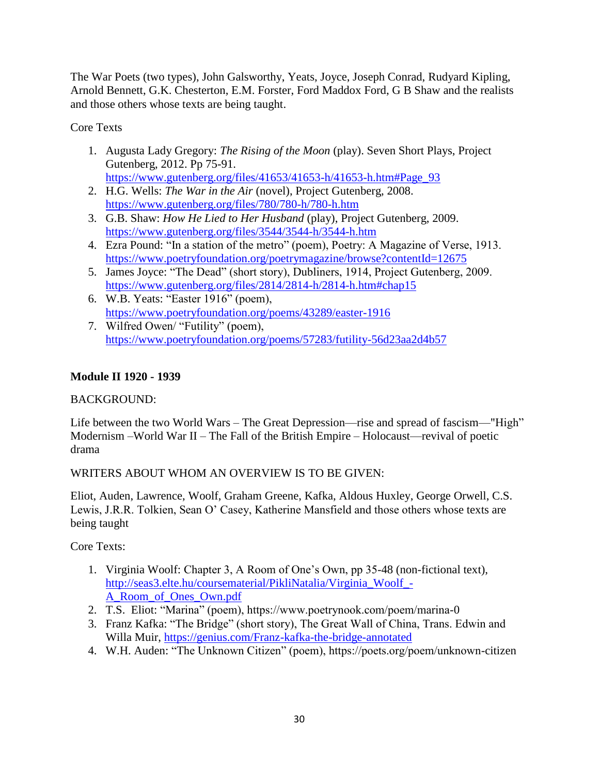The War Poets (two types), John Galsworthy, Yeats, Joyce, Joseph Conrad, Rudyard Kipling, Arnold Bennett, G.K. Chesterton, E.M. Forster, Ford Maddox Ford, G B Shaw and the realists and those others whose texts are being taught.

Core Texts

1. Augusta Lady Gregory: *The Rising of the Moon* (play). Seven Short Plays, Project Gutenberg, 2012. Pp 75-91.

[https://www.gutenberg.org/files/41653/41653-h/41653-h.htm#Page\\_93](https://www.gutenberg.org/files/41653/41653-h/41653-h.htm#Page_93)

- 2. H.G. Wells: *The War in the Air* (novel), Project Gutenberg, 2008. <https://www.gutenberg.org/files/780/780-h/780-h.htm>
- 3. G.B. Shaw: *How He Lied to Her Husband* (play), Project Gutenberg, 2009. <https://www.gutenberg.org/files/3544/3544-h/3544-h.htm>
- 4. Ezra Pound: "In a station of the metro" (poem), Poetry: A Magazine of Verse, 1913. <https://www.poetryfoundation.org/poetrymagazine/browse?contentId=12675>
- 5. James Joyce: "The Dead" (short story), Dubliners, 1914, Project Gutenberg, 2009. <https://www.gutenberg.org/files/2814/2814-h/2814-h.htm#chap15>
- 6. W.B. Yeats: "Easter  $1916$ " (poem), <https://www.poetryfoundation.org/poems/43289/easter-1916>
- 7. Wilfred Owen/ "Futility" (poem), <https://www.poetryfoundation.org/poems/57283/futility-56d23aa2d4b57>

## **Module II 1920 - 1939**

#### BACKGROUND:

Life between the two World Wars – The Great Depression—rise and spread of fascism—"High" Modernism –World War II – The Fall of the British Empire – Holocaust—revival of poetic drama

WRITERS ABOUT WHOM AN OVERVIEW IS TO BE GIVEN:

Eliot, Auden, Lawrence, Woolf, Graham Greene, Kafka, Aldous Huxley, George Orwell, C.S. Lewis, J.R.R. Tolkien, Sean O' Casey, Katherine Mansfield and those others whose texts are being taught

Core Texts:

- 1. Virginia Woolf: Chapter 3, A Room of One's Own, pp 35-48 (non-fictional text), [http://seas3.elte.hu/coursematerial/PikliNatalia/Virginia\\_Woolf\\_-](http://seas3.elte.hu/coursematerial/PikliNatalia/Virginia_Woolf_-A_Room_of_Ones_Own.pdf) [A\\_Room\\_of\\_Ones\\_Own.pdf](http://seas3.elte.hu/coursematerial/PikliNatalia/Virginia_Woolf_-A_Room_of_Ones_Own.pdf)
- 2. T.S. Eliot: "Marina" (poem), https://www.poetrynook.com/poem/marina-0
- 3. Franz Kafka: "The Bridge" (short story), The Great Wall of China, Trans. Edwin and Willa Muir,<https://genius.com/Franz-kafka-the-bridge-annotated>
- 4. W.H. Auden: "The Unknown Citizen" (poem), https://poets.org/poem/unknown-citizen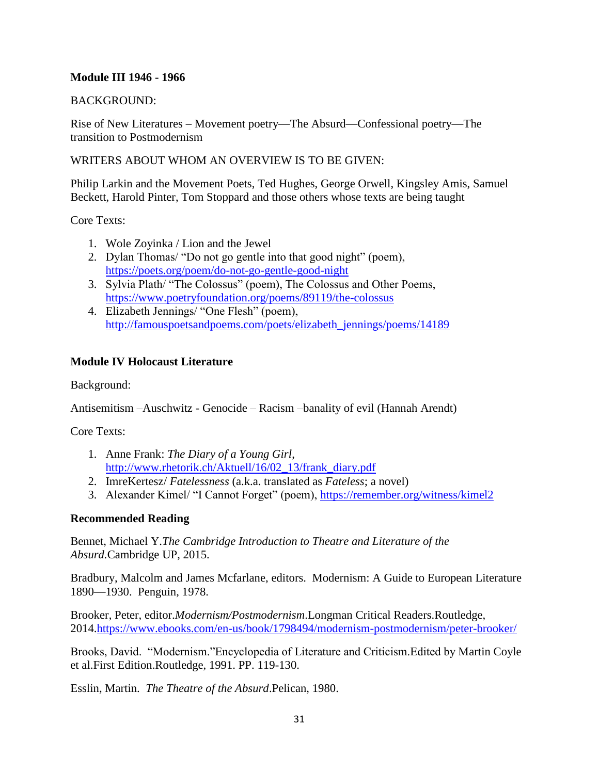#### **Module III 1946 - 1966**

#### BACKGROUND:

Rise of New Literatures – Movement poetry—The Absurd—Confessional poetry—The transition to Postmodernism

#### WRITERS ABOUT WHOM AN OVERVIEW IS TO BE GIVEN:

Philip Larkin and the Movement Poets, Ted Hughes, George Orwell, Kingsley Amis, Samuel Beckett, Harold Pinter, Tom Stoppard and those others whose texts are being taught

Core Texts:

- 1. Wole Zoyinka / Lion and the Jewel
- 2. Dylan Thomas/ "Do not go gentle into that good night" (poem), <https://poets.org/poem/do-not-go-gentle-good-night>
- 3. Sylvia Plath/ "The Colossus" (poem), The Colossus and Other Poems, <https://www.poetryfoundation.org/poems/89119/the-colossus>
- 4. Elizabeth Jennings/ "One Flesh" (poem), [http://famouspoetsandpoems.com/poets/elizabeth\\_jennings/poems/14189](http://famouspoetsandpoems.com/poets/elizabeth_jennings/poems/14189)

#### **Module IV Holocaust Literature**

Background:

Antisemitism –Auschwitz - Genocide – Racism –banality of evil (Hannah Arendt)

Core Texts:

- 1. Anne Frank: *The Diary of a Young Girl*, [http://www.rhetorik.ch/Aktuell/16/02\\_13/frank\\_diary.pdf](http://www.rhetorik.ch/Aktuell/16/02_13/frank_diary.pdf)
- 2. ImreKertesz/ *Fatelessness* (a.k.a. translated as *Fateless*; a novel)
- 3. Alexander Kimel/ "I Cannot Forget" (poem),<https://remember.org/witness/kimel2>

#### **Recommended Reading**

Bennet, Michael Y.*The Cambridge Introduction to Theatre and Literature of the Absurd.*Cambridge UP, 2015.

Bradbury, Malcolm and James Mcfarlane, editors. Modernism: A Guide to European Literature 1890—1930. Penguin, 1978.

Brooker, Peter, editor.*Modernism/Postmodernism*.Longman Critical Readers.Routledge, 2014[.https://www.ebooks.com/en-us/book/1798494/modernism-postmodernism/peter-brooker/](https://www.ebooks.com/en-us/book/1798494/modernism-postmodernism/peter-brooker/)

Brooks, David. "Modernism."Encyclopedia of Literature and Criticism.Edited by Martin Coyle et al.First Edition.Routledge, 1991. PP. 119-130.

Esslin, Martin. *The Theatre of the Absurd*.Pelican, 1980.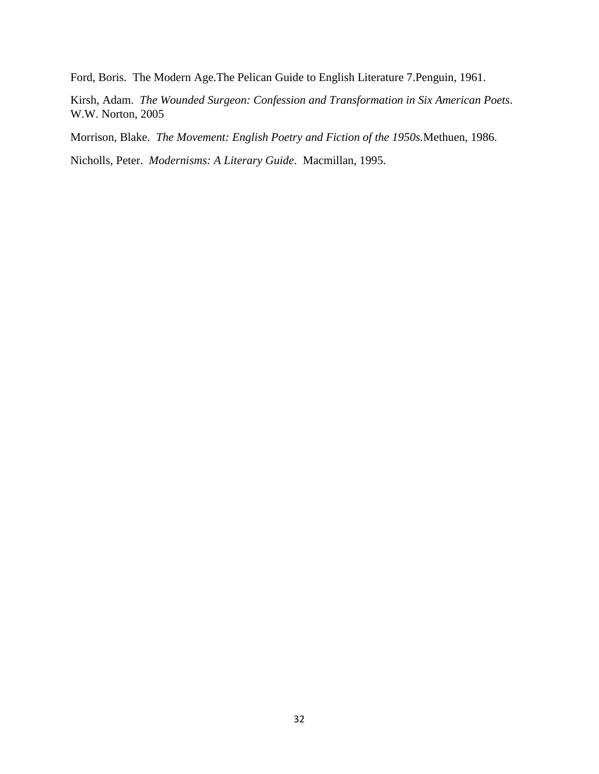Ford, Boris. The Modern Age.The Pelican Guide to English Literature 7.Penguin, 1961.

Kirsh, Adam. *The Wounded Surgeon: Confession and Transformation in Six American Poets*. W.W. Norton, 2005

Morrison, Blake. *The Movement: English Poetry and Fiction of the 1950s.*Methuen, 1986.

Nicholls, Peter. *Modernisms: A Literary Guide*. Macmillan, 1995.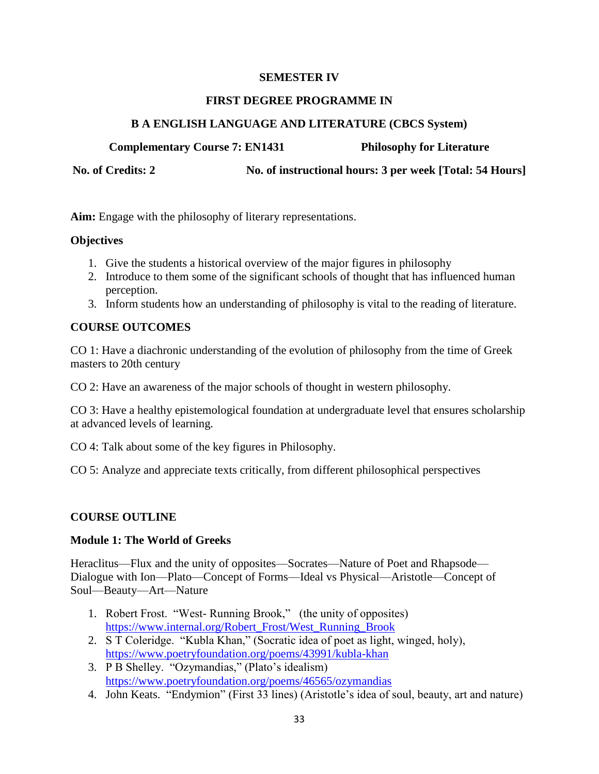#### **SEMESTER IV**

#### **FIRST DEGREE PROGRAMME IN**

#### **B A ENGLISH LANGUAGE AND LITERATURE (CBCS System)**

**Complementary Course 7: EN1431 Philosophy for Literature**

No. of Credits: 2 No. of instructional hours: 3 per week [Total: 54 Hours]

**Aim:** Engage with the philosophy of literary representations.

#### **Objectives**

- 1. Give the students a historical overview of the major figures in philosophy
- 2. Introduce to them some of the significant schools of thought that has influenced human perception.
- 3. Inform students how an understanding of philosophy is vital to the reading of literature.

#### **COURSE OUTCOMES**

CO 1: Have a diachronic understanding of the evolution of philosophy from the time of Greek masters to 20th century

CO 2: Have an awareness of the major schools of thought in western philosophy.

CO 3: Have a healthy epistemological foundation at undergraduate level that ensures scholarship at advanced levels of learning.

CO 4: Talk about some of the key figures in Philosophy.

CO 5: Analyze and appreciate texts critically, from different philosophical perspectives

#### **COURSE OUTLINE**

#### **Module 1: The World of Greeks**

Heraclitus—Flux and the unity of opposites—Socrates—Nature of Poet and Rhapsode— Dialogue with Ion—Plato—Concept of Forms—Ideal vs Physical—Aristotle—Concept of Soul—Beauty—Art—Nature

- 1. Robert Frost. "West- Running Brook," (the unity of opposites) [https://www.internal.org/Robert\\_Frost/West\\_Running\\_Brook](https://www.internal.org/Robert_Frost/West_Running_Brook)
- 2. S T Coleridge. "Kubla Khan," (Socratic idea of poet as light, winged, holy), <https://www.poetryfoundation.org/poems/43991/kubla-khan>
- 3. P B Shelley. "Ozymandias," (Plato's idealism) <https://www.poetryfoundation.org/poems/46565/ozymandias>
- 4. John Keats. "Endymion" (First 33 lines) (Aristotle's idea of soul, beauty, art and nature)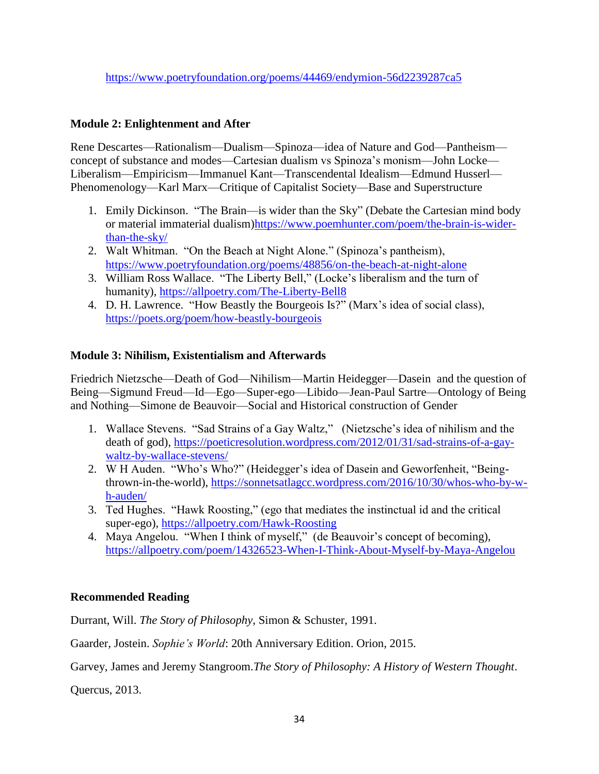## **Module 2: Enlightenment and After**

Rene Descartes—Rationalism—Dualism—Spinoza—idea of Nature and God—Pantheism concept of substance and modes—Cartesian dualism vs Spinoza's monism—John Locke— Liberalism—Empiricism—Immanuel Kant—Transcendental Idealism—Edmund Husserl— Phenomenology—Karl Marx—Critique of Capitalist Society—Base and Superstructure

- 1. Emily Dickinson. "The Brain—is wider than the Sky" (Debate the Cartesian mind body or material immaterial dualism[\)https://www.poemhunter.com/poem/the-brain-is-wider](https://www.poemhunter.com/poem/the-brain-is-wider-than-the-sky/)[than-the-sky/](https://www.poemhunter.com/poem/the-brain-is-wider-than-the-sky/)
- 2. Walt Whitman. "On the Beach at Night Alone." (Spinoza's pantheism), <https://www.poetryfoundation.org/poems/48856/on-the-beach-at-night-alone>
- 3. William Ross Wallace. "The Liberty Bell," (Locke's liberalism and the turn of humanity),<https://allpoetry.com/The-Liberty-Bell8>
- 4. D. H. Lawrence. "How Beastly the Bourgeois Is?" (Marx's idea of social class), <https://poets.org/poem/how-beastly-bourgeois>

#### **Module 3: Nihilism, Existentialism and Afterwards**

Friedrich Nietzsche—Death of God—Nihilism—Martin Heidegger—Dasein and the question of Being—Sigmund Freud—Id—Ego—Super-ego—Libido—Jean-Paul Sartre—Ontology of Being and Nothing—Simone de Beauvoir—Social and Historical construction of Gender

- 1. Wallace Stevens. "Sad Strains of a Gay Waltz," (Nietzsche's idea of nihilism and the death of god), [https://poeticresolution.wordpress.com/2012/01/31/sad-strains-of-a-gay](https://poeticresolution.wordpress.com/2012/01/31/sad-strains-of-a-gay-waltz-by-wallace-stevens/)[waltz-by-wallace-stevens/](https://poeticresolution.wordpress.com/2012/01/31/sad-strains-of-a-gay-waltz-by-wallace-stevens/)
- 2. W H Auden. "Who's Who?" (Heidegger's idea of Dasein and Geworfenheit, "Beingthrown-in-the-world), [https://sonnetsatlagcc.wordpress.com/2016/10/30/whos-who-by-w](https://sonnetsatlagcc.wordpress.com/2016/10/30/whos-who-by-w-h-auden/)[h-auden/](https://sonnetsatlagcc.wordpress.com/2016/10/30/whos-who-by-w-h-auden/)
- 3. Ted Hughes. "Hawk Roosting," (ego that mediates the instinctual id and the critical super-ego),<https://allpoetry.com/Hawk-Roosting>
- 4. Maya Angelou. "When I think of myself," (de Beauvoir's concept of becoming), <https://allpoetry.com/poem/14326523-When-I-Think-About-Myself-by-Maya-Angelou>

#### **Recommended Reading**

Durrant, Will. *The Story of Philosophy*, Simon & Schuster, 1991.

Gaarder, Jostein. *Sophie's World*: 20th Anniversary Edition. Orion, 2015.

Garvey, James and Jeremy Stangroom.*The Story of Philosophy: A History of Western Thought*.

Quercus, 2013.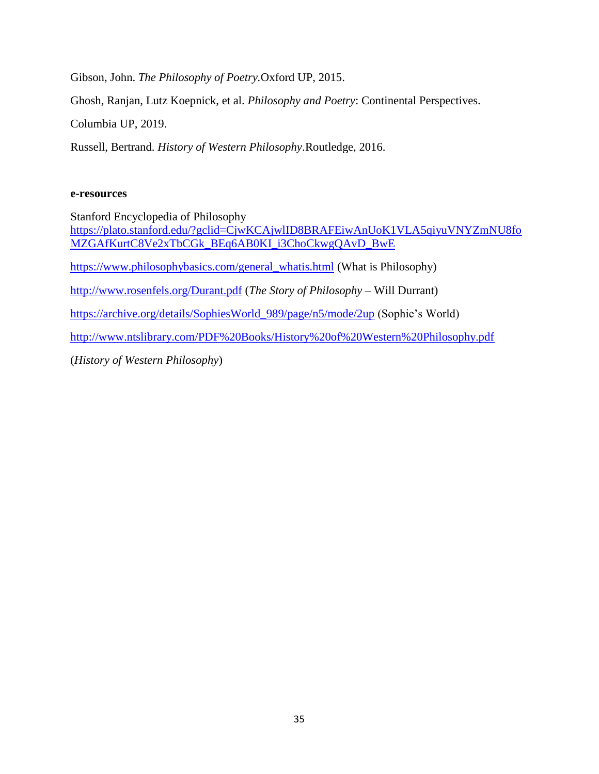Gibson, John. *The Philosophy of Poetry.*Oxford UP, 2015.

Ghosh, Ranjan, Lutz Koepnick, et al. *Philosophy and Poetry*: Continental Perspectives.

Columbia UP, 2019.

Russell, Bertrand. *History of Western Philosophy*.Routledge, 2016.

#### **e-resources**

Stanford Encyclopedia of Philosophy [https://plato.stanford.edu/?gclid=CjwKCAjwlID8BRAFEiwAnUoK1VLA5qiyuVNYZmNU8fo](https://plato.stanford.edu/?gclid=CjwKCAjwlID8BRAFEiwAnUoK1VLA5qiyuVNYZmNU8foMZGAfKurtC8Ve2xTbCGk_BEq6AB0KI_i3ChoCkwgQAvD_BwE) [MZGAfKurtC8Ve2xTbCGk\\_BEq6AB0KI\\_i3ChoCkwgQAvD\\_BwE](https://plato.stanford.edu/?gclid=CjwKCAjwlID8BRAFEiwAnUoK1VLA5qiyuVNYZmNU8foMZGAfKurtC8Ve2xTbCGk_BEq6AB0KI_i3ChoCkwgQAvD_BwE) [https://www.philosophybasics.com/general\\_whatis.html](https://www.philosophybasics.com/general_whatis.html) (What is Philosophy) <http://www.rosenfels.org/Durant.pdf> (*The Story of Philosophy* – Will Durrant) [https://archive.org/details/SophiesWorld\\_989/page/n5/mode/2up](https://archive.org/details/SophiesWorld_989/page/n5/mode/2up) (Sophie's World) <http://www.ntslibrary.com/PDF%20Books/History%20of%20Western%20Philosophy.pdf> (*History of Western Philosophy*)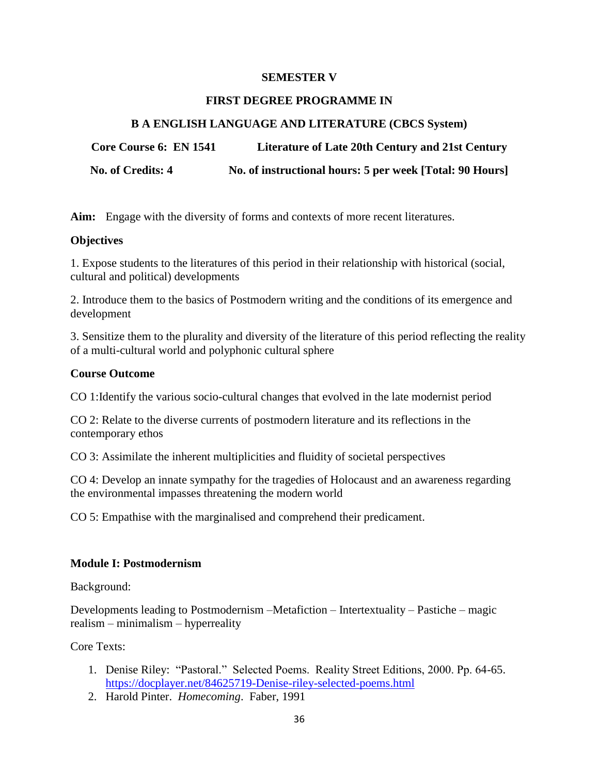#### **SEMESTER V**

#### **FIRST DEGREE PROGRAMME IN**

#### **B A ENGLISH LANGUAGE AND LITERATURE (CBCS System)**

**Core Course 6: EN 1541 Literature of Late 20th Century and 21st Century**

**No. of Credits: 4 No. of instructional hours: 5 per week [Total: 90 Hours]**

**Aim:** Engage with the diversity of forms and contexts of more recent literatures.

#### **Objectives**

1. Expose students to the literatures of this period in their relationship with historical (social, cultural and political) developments

2. Introduce them to the basics of Postmodern writing and the conditions of its emergence and development

3. Sensitize them to the plurality and diversity of the literature of this period reflecting the reality of a multi-cultural world and polyphonic cultural sphere

#### **Course Outcome**

CO 1:Identify the various socio-cultural changes that evolved in the late modernist period

CO 2: Relate to the diverse currents of postmodern literature and its reflections in the contemporary ethos

CO 3: Assimilate the inherent multiplicities and fluidity of societal perspectives

CO 4: Develop an innate sympathy for the tragedies of Holocaust and an awareness regarding the environmental impasses threatening the modern world

CO 5: Empathise with the marginalised and comprehend their predicament.

#### **Module I: Postmodernism**

Background:

Developments leading to Postmodernism –Metafiction – Intertextuality – Pastiche – magic realism – minimalism – hyperreality

Core Texts:

- 1. Denise Riley: "Pastoral." Selected Poems. Reality Street Editions, 2000. Pp. 64-65. <https://docplayer.net/84625719-Denise-riley-selected-poems.html>
- 2. Harold Pinter. *Homecoming*. Faber, 1991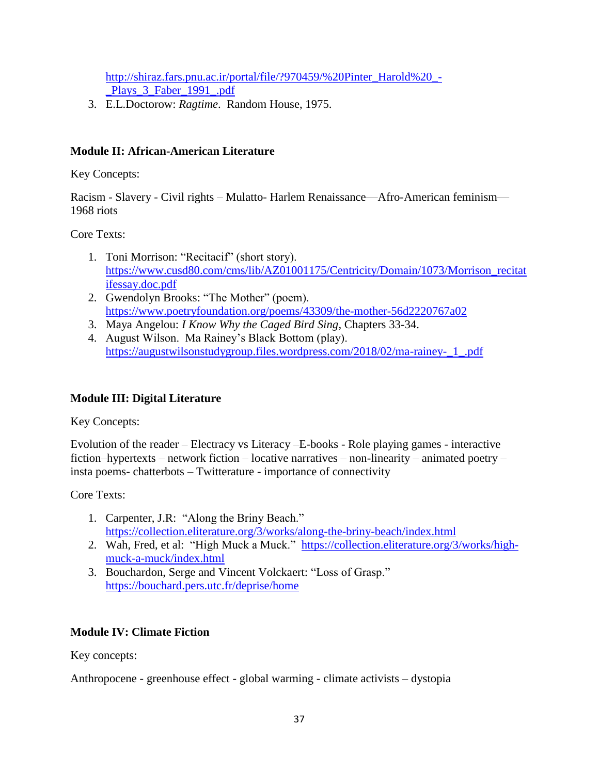[http://shiraz.fars.pnu.ac.ir/portal/file/?970459/%20Pinter\\_Harold%20\\_-](http://shiraz.fars.pnu.ac.ir/portal/file/?970459/%20Pinter_Harold%20_-_Plays_3_Faber_1991_.pdf) Plays 3 Faber 1991 .pdf

3. E.L.Doctorow: *Ragtime*. Random House, 1975.

### **Module II: African-American Literature**

Key Concepts:

Racism - Slavery - Civil rights – Mulatto- Harlem Renaissance—Afro-American feminism— 1968 riots

Core Texts:

- 1. Toni Morrison: "Recitacif" (short story). [https://www.cusd80.com/cms/lib/AZ01001175/Centricity/Domain/1073/Morrison\\_recitat](https://www.cusd80.com/cms/lib/AZ01001175/Centricity/Domain/1073/Morrison_recitatifessay.doc.pdf) [ifessay.doc.pdf](https://www.cusd80.com/cms/lib/AZ01001175/Centricity/Domain/1073/Morrison_recitatifessay.doc.pdf)
- 2. Gwendolyn Brooks: "The Mother" (poem). <https://www.poetryfoundation.org/poems/43309/the-mother-56d2220767a02>
- 3. Maya Angelou: *I Know Why the Caged Bird Sing*, Chapters 33-34.
- 4. August Wilson. Ma Rainey's Black Bottom (play). [https://augustwilsonstudygroup.files.wordpress.com/2018/02/ma-rainey-\\_1\\_.pdf](https://augustwilsonstudygroup.files.wordpress.com/2018/02/ma-rainey-_1_.pdf)

## **Module III: Digital Literature**

Key Concepts:

Evolution of the reader – Electracy vs Literacy –E-books - Role playing games - interactive fiction–hypertexts – network fiction – locative narratives – non-linearity – animated poetry – insta poems- chatterbots – Twitterature - importance of connectivity

Core Texts:

- 1. Carpenter, J.R: "Along the Briny Beach." <https://collection.eliterature.org/3/works/along-the-briny-beach/index.html>
- 2. Wah, Fred, et al: "High Muck a Muck." [https://collection.eliterature.org/3/works/high](https://collection.eliterature.org/3/works/high-muck-a-muck/index.html)[muck-a-muck/index.html](https://collection.eliterature.org/3/works/high-muck-a-muck/index.html)
- 3. Bouchardon, Serge and Vincent Volckaert: "Loss of Grasp." <https://bouchard.pers.utc.fr/deprise/home>

## **Module IV: Climate Fiction**

Key concepts:

Anthropocene - greenhouse effect - global warming - climate activists – dystopia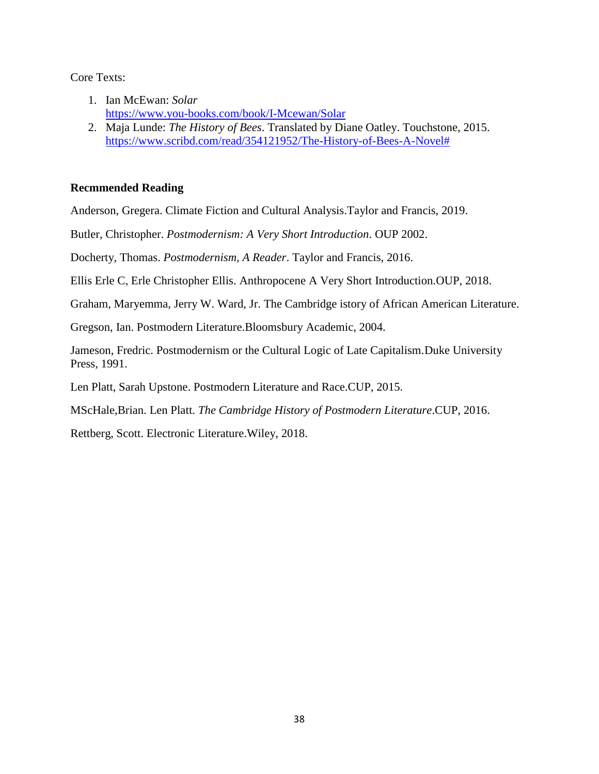#### Core Texts:

- 1. Ian McEwan: *Solar* <https://www.you-books.com/book/I-Mcewan/Solar>
- 2. Maja Lunde: *The History of Bees*. Translated by Diane Oatley. Touchstone, 2015. [https://www.scribd.com/read/354121952/The-History-of-Bees-A-Novel#](https://www.scribd.com/read/354121952/The-History-of-Bees-A-Novel)

### **Recmmended Reading**

Anderson, Gregera. Climate Fiction and Cultural Analysis.Taylor and Francis, 2019.

Butler, Christopher. *Postmodernism: A Very Short Introduction*. OUP 2002.

Docherty, Thomas. *Postmodernism, A Reader*. Taylor and Francis, 2016.

Ellis Erle C, Erle Christopher Ellis. Anthropocene A Very Short Introduction.OUP, 2018.

Graham, Maryemma, Jerry W. Ward, Jr. The Cambridge istory of African American Literature.

Gregson, Ian. Postmodern Literature.Bloomsbury Academic, 2004.

Jameson, Fredric. Postmodernism or the Cultural Logic of Late Capitalism.Duke University Press, 1991.

Len Platt, Sarah Upstone. Postmodern Literature and Race.CUP, 2015.

MScHale,Brian. Len Platt. *The Cambridge History of Postmodern Literature*.CUP, 2016.

Rettberg, Scott. Electronic Literature.Wiley, 2018.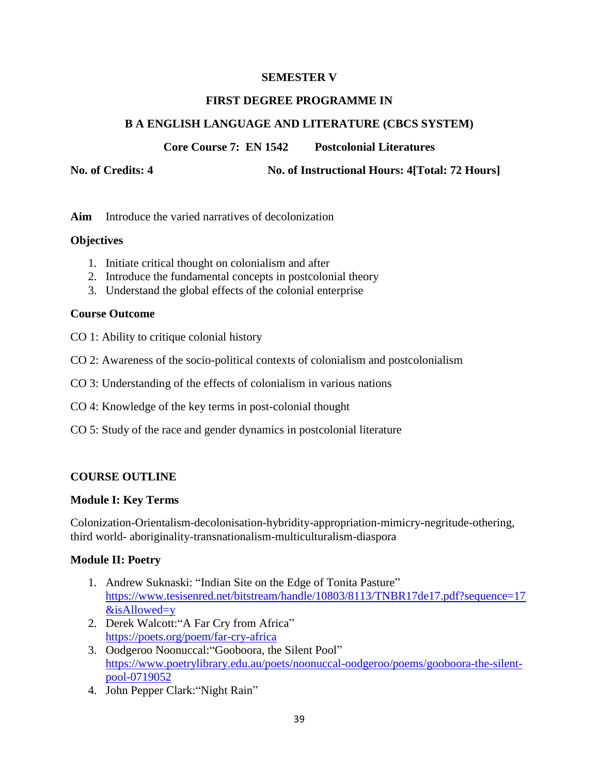### **SEMESTER V**

#### **FIRST DEGREE PROGRAMME IN**

### **B A ENGLISH LANGUAGE AND LITERATURE (CBCS SYSTEM)**

**Core Course 7: EN 1542 Postcolonial Literatures**

**No. of Credits: 4 No. of Instructional Hours: 4[Total: 72 Hours]**

**Aim** Introduce the varied narratives of decolonization

#### **Objectives**

- 1. Initiate critical thought on colonialism and after
- 2. Introduce the fundamental concepts in postcolonial theory
- 3. Understand the global effects of the colonial enterprise

#### **Course Outcome**

- CO 1: Ability to critique colonial history
- CO 2: Awareness of the socio-political contexts of colonialism and postcolonialism
- CO 3: Understanding of the effects of colonialism in various nations
- CO 4: Knowledge of the key terms in post-colonial thought
- CO 5: Study of the race and gender dynamics in postcolonial literature

### **COURSE OUTLINE**

#### **Module I: Key Terms**

Colonization-Orientalism-decolonisation-hybridity-appropriation-mimicry-negritude-othering, third world- aboriginality-transnationalism-multiculturalism-diaspora

#### **Module II: Poetry**

- 1. Andrew Suknaski: "Indian Site on the Edge of Tonita Pasture" [https://www.tesisenred.net/bitstream/handle/10803/8113/TNBR17de17.pdf?sequence=17](https://www.tesisenred.net/bitstream/handle/10803/8113/TNBR17de17.pdf?sequence=17&isAllowed=y) [&isAllowed=y](https://www.tesisenred.net/bitstream/handle/10803/8113/TNBR17de17.pdf?sequence=17&isAllowed=y)
- 2. Derek Walcott: "A Far Cry from Africa" <https://poets.org/poem/far-cry-africa>
- 3. Oodgeroo Noonuccal: "Gooboora, the Silent Pool" [https://www.poetrylibrary.edu.au/poets/noonuccal-oodgeroo/poems/gooboora-the-silent](https://www.poetrylibrary.edu.au/poets/noonuccal-oodgeroo/poems/gooboora-the-silent-pool-0719052)[pool-0719052](https://www.poetrylibrary.edu.au/poets/noonuccal-oodgeroo/poems/gooboora-the-silent-pool-0719052)
- 4. John Pepper Clark: "Night Rain"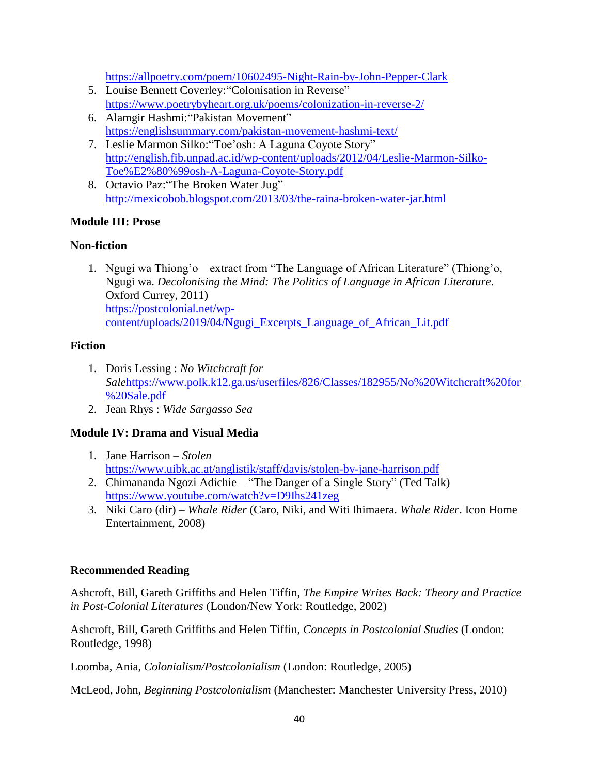<https://allpoetry.com/poem/10602495-Night-Rain-by-John-Pepper-Clark>

- 5. Louise Bennett Coverley: "Colonisation in Reverse" <https://www.poetrybyheart.org.uk/poems/colonization-in-reverse-2/>
- 6. Alamgir Hashmi: "Pakistan Movement" <https://englishsummary.com/pakistan-movement-hashmi-text/>
- 7. Leslie Marmon Silko: "Toe'osh: A Laguna Coyote Story" [http://english.fib.unpad.ac.id/wp-content/uploads/2012/04/Leslie-Marmon-Silko-](http://english.fib.unpad.ac.id/wp-content/uploads/2012/04/Leslie-Marmon-Silko-Toe%E2%80%99osh-A-Laguna-Coyote-Story.pdf)[Toe%E2%80%99osh-A-Laguna-Coyote-Story.pdf](http://english.fib.unpad.ac.id/wp-content/uploads/2012/04/Leslie-Marmon-Silko-Toe%E2%80%99osh-A-Laguna-Coyote-Story.pdf)
- 8. Octavio Paz: "The Broken Water Jug" <http://mexicobob.blogspot.com/2013/03/the-raina-broken-water-jar.html>

### **Module III: Prose**

### **Non-fiction**

1. Ngugi wa Thiong'o – extract from "The Language of African Literature" (Thiong'o, Ngugi wa. *Decolonising the Mind: The Politics of Language in African Literature*. Oxford Currey, 2011) [https://postcolonial.net/wp](https://postcolonial.net/wp-content/uploads/2019/04/Ngugi_Excerpts_Language_of_African_Lit.pdf)[content/uploads/2019/04/Ngugi\\_Excerpts\\_Language\\_of\\_African\\_Lit.pdf](https://postcolonial.net/wp-content/uploads/2019/04/Ngugi_Excerpts_Language_of_African_Lit.pdf)

### **Fiction**

- 1. Doris Lessing : *No Witchcraft for Sale*[https://www.polk.k12.ga.us/userfiles/826/Classes/182955/No%20Witchcraft%20for](https://www.polk.k12.ga.us/userfiles/826/Classes/182955/No%20Witchcraft%20for%20Sale.pdf) [%20Sale.pdf](https://www.polk.k12.ga.us/userfiles/826/Classes/182955/No%20Witchcraft%20for%20Sale.pdf)
- 2. Jean Rhys : *Wide Sargasso Sea*

## **Module IV: Drama and Visual Media**

- 1. Jane Harrison *Stolen*  <https://www.uibk.ac.at/anglistik/staff/davis/stolen-by-jane-harrison.pdf>
- 2. Chimananda Ngozi Adichie "The Danger of a Single Story" (Ted Talk) <https://www.youtube.com/watch?v=D9Ihs241zeg>
- 3. Niki Caro (dir) *Whale Rider* (Caro, Niki, and Witi Ihimaera. *Whale Rider*. Icon Home Entertainment, 2008)

### **Recommended Reading**

Ashcroft, Bill, Gareth Griffiths and Helen Tiffin, *The Empire Writes Back: Theory and Practice in Post-Colonial Literatures* (London/New York: Routledge, 2002)

Ashcroft, Bill, Gareth Griffiths and Helen Tiffin, *Concepts in Postcolonial Studies* (London: Routledge, 1998)

Loomba, Ania, *Colonialism/Postcolonialism* (London: Routledge, 2005)

McLeod, John, *Beginning Postcolonialism* (Manchester: Manchester University Press, 2010)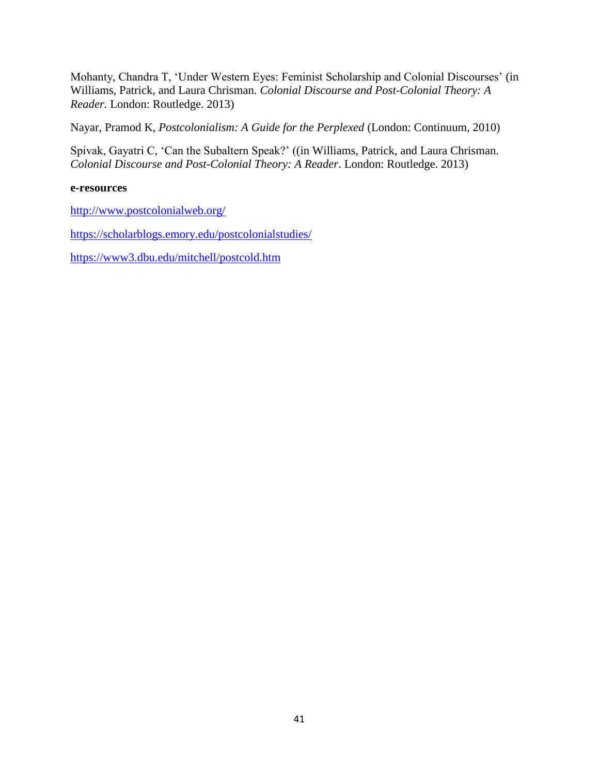Mohanty, Chandra T, ‗Under Western Eyes: Feminist Scholarship and Colonial Discourses' (in Williams, Patrick, and Laura Chrisman. *Colonial Discourse and Post-Colonial Theory: A Reader.* London: Routledge. 2013)

Nayar, Pramod K, *Postcolonialism: A Guide for the Perplexed* (London: Continuum, 2010)

Spivak, Gayatri C, 'Can the Subaltern Speak?' ((in Williams, Patrick, and Laura Chrisman. *Colonial Discourse and Post-Colonial Theory: A Reader*. London: Routledge. 2013)

#### **e-resources**

<http://www.postcolonialweb.org/>

<https://scholarblogs.emory.edu/postcolonialstudies/>

<https://www3.dbu.edu/mitchell/postcold.htm>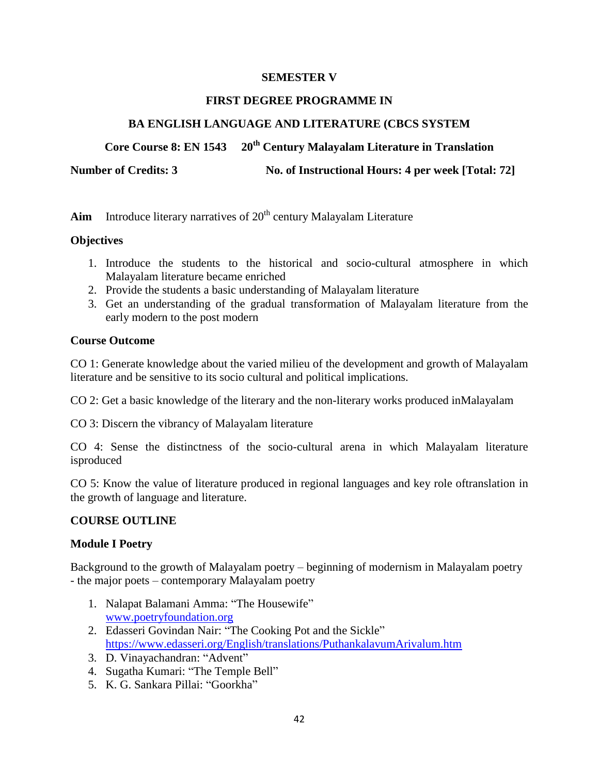### **SEMESTER V**

### **FIRST DEGREE PROGRAMME IN**

### **BA ENGLISH LANGUAGE AND LITERATURE (CBCS SYSTEM**

### **Core Course 8: EN 1543 20th Century Malayalam Literature in Translation**

Number of Credits: 3 No. of Instructional Hours: 4 per week [Total: 72]

Aim Introduce literary narratives of 20<sup>th</sup> century Malayalam Literature

### **Objectives**

- 1. Introduce the students to the historical and socio-cultural atmosphere in which Malayalam literature became enriched
- 2. Provide the students a basic understanding of Malayalam literature
- 3. Get an understanding of the gradual transformation of Malayalam literature from the early modern to the post modern

### **Course Outcome**

CO 1: Generate knowledge about the varied milieu of the development and growth of Malayalam literature and be sensitive to its socio cultural and political implications.

CO 2: Get a basic knowledge of the literary and the non-literary works produced inMalayalam

CO 3: Discern the vibrancy of Malayalam literature

CO 4: Sense the distinctness of the socio-cultural arena in which Malayalam literature isproduced

CO 5: Know the value of literature produced in regional languages and key role oftranslation in the growth of language and literature.

#### **COURSE OUTLINE**

### **Module I Poetry**

Background to the growth of Malayalam poetry – beginning of modernism in Malayalam poetry - the major poets – contemporary Malayalam poetry

- 1. Nalapat Balamani Amma: "The Housewife" [www.poetryfoundation.org](http://www.poetryfoundation.org/)
- 2. Edasseri Govindan Nair: "The Cooking Pot and the Sickle" <https://www.edasseri.org/English/translations/PuthankalavumArivalum.htm>
- 3. D. Vinayachandran: "Advent"
- 4. Sugatha Kumari: "The Temple Bell"
- 5. K. G. Sankara Pillai: "Goorkha"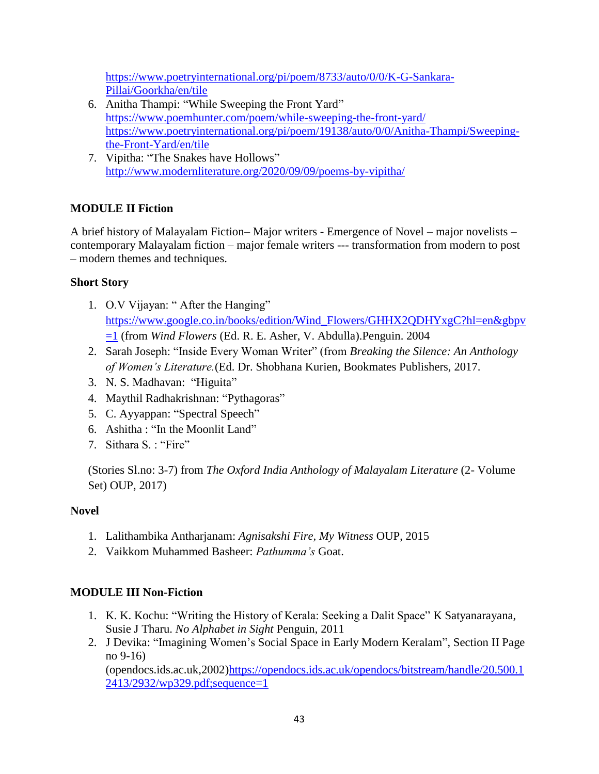[https://www.poetryinternational.org/pi/poem/8733/auto/0/0/K-G-Sankara-](https://www.poetryinternational.org/pi/poem/8733/auto/0/0/K-G-Sankara-Pillai/Goorkha/en/tile)[Pillai/Goorkha/en/tile](https://www.poetryinternational.org/pi/poem/8733/auto/0/0/K-G-Sankara-Pillai/Goorkha/en/tile)

- 6. Anitha Thampi: "While Sweeping the Front Yard" <https://www.poemhunter.com/poem/while-sweeping-the-front-yard/> [https://www.poetryinternational.org/pi/poem/19138/auto/0/0/Anitha-Thampi/Sweeping](https://www.poetryinternational.org/pi/poem/19138/auto/0/0/Anitha-Thampi/Sweeping-the-Front-Yard/en/tile)[the-Front-Yard/en/tile](https://www.poetryinternational.org/pi/poem/19138/auto/0/0/Anitha-Thampi/Sweeping-the-Front-Yard/en/tile)
- 7. Vipitha: "The Snakes have Hollows" <http://www.modernliterature.org/2020/09/09/poems-by-vipitha/>

# **MODULE II Fiction**

A brief history of Malayalam Fiction– Major writers - Emergence of Novel – major novelists – contemporary Malayalam fiction – major female writers --- transformation from modern to post – modern themes and techniques.

## **Short Story**

- 1. O.V Vijayan: "After the Hanging" [https://www.google.co.in/books/edition/Wind\\_Flowers/GHHX2QDHYxgC?hl=en&gbpv](https://www.google.co.in/books/edition/Wind_Flowers/GHHX2QDHYxgC?hl=en&gbpv=1) [=1](https://www.google.co.in/books/edition/Wind_Flowers/GHHX2QDHYxgC?hl=en&gbpv=1) (from *Wind Flowers* (Ed. R. E. Asher, V. Abdulla).Penguin. 2004
- 2. Sarah Joseph: "Inside Every Woman Writer" (from *Breaking the Silence: An Anthology of Women's Literature.*(Ed. Dr. Shobhana Kurien, Bookmates Publishers, 2017.
- 3. N. S. Madhavan: "Higuita"
- 4. Maythil Radhakrishnan: "Pythagoras"
- 5. C. Ayyappan: "Spectral Speech"
- 6. Ashitha : "In the Moonlit Land"
- 7. Sithara S. : "Fire"

(Stories Sl.no: 3-7) from *The Oxford India Anthology of Malayalam Literature* (2- Volume Set) OUP, 2017)

# **Novel**

- 1. Lalithambika Antharjanam: *Agnisakshi Fire, My Witness* OUP, 2015
- 2. Vaikkom Muhammed Basheer: *Pathumma's* Goat.

# **MODULE III Non-Fiction**

- 1. K. K. Kochu: "Writing the History of Kerala: Seeking a Dalit Space" K Satyanarayana, Susie J Tharu. *No Alphabet in Sight* Penguin, 2011
- 2. J Devika: "Imagining Women's Social Space in Early Modern Keralam", Section II Page no 9-16) (opendocs.ids.ac.uk,2002[\)https://opendocs.ids.ac.uk/opendocs/bitstream/handle/20.500.1](https://opendocs.ids.ac.uk/opendocs/bitstream/handle/20.500.12413/2932/wp329.pdf;sequence=1) [2413/2932/wp329.pdf;sequence=1](https://opendocs.ids.ac.uk/opendocs/bitstream/handle/20.500.12413/2932/wp329.pdf;sequence=1)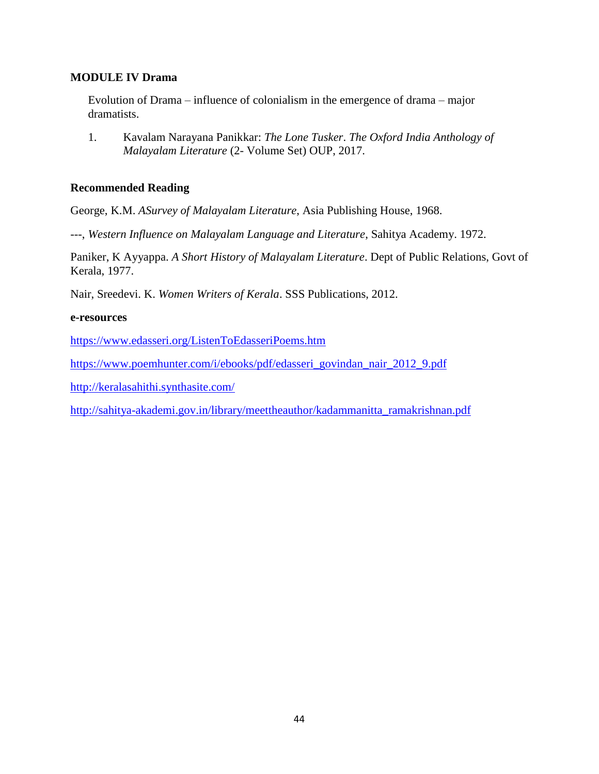### **MODULE IV Drama**

Evolution of Drama – influence of colonialism in the emergence of drama – major dramatists.

1. Kavalam Narayana Panikkar: *The Lone Tusker*. *The Oxford India Anthology of Malayalam Literature* (2- Volume Set) OUP, 2017.

#### **Recommended Reading**

George, K.M. *ASurvey of Malayalam Literature*, Asia Publishing House, 1968.

---, *Western Influence on Malayalam Language and Literature*, Sahitya Academy. 1972.

Paniker, K Ayyappa. *A Short History of Malayalam Literature*. Dept of Public Relations, Govt of Kerala, 1977.

Nair, Sreedevi. K. *Women Writers of Kerala*. SSS Publications, 2012.

#### **e-resources**

<https://www.edasseri.org/ListenToEdasseriPoems.htm>

[https://www.poemhunter.com/i/ebooks/pdf/edasseri\\_govindan\\_nair\\_2012\\_9.pdf](https://www.poemhunter.com/i/ebooks/pdf/edasseri_govindan_nair_2012_9.pdf)

<http://keralasahithi.synthasite.com/>

[http://sahitya-akademi.gov.in/library/meettheauthor/kadammanitta\\_ramakrishnan.pdf](http://sahitya-akademi.gov.in/library/meettheauthor/kadammanitta_ramakrishnan.pdf)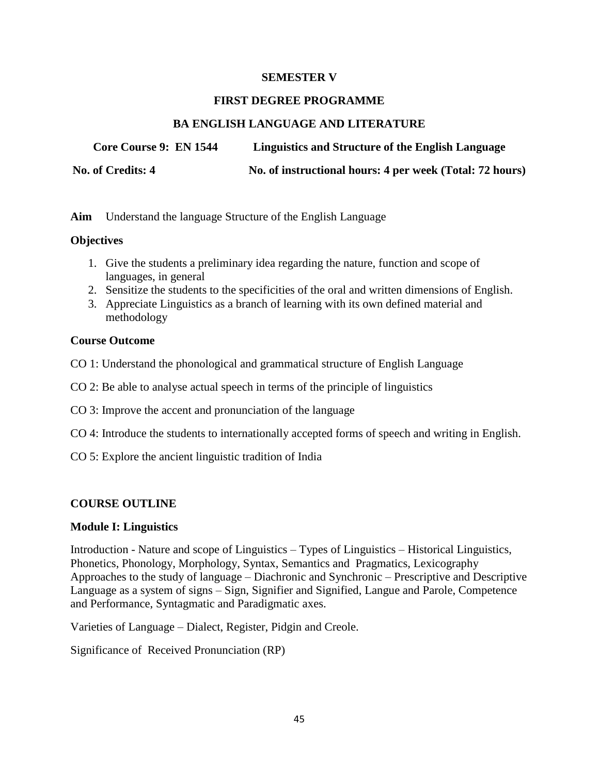#### **SEMESTER V**

#### **FIRST DEGREE PROGRAMME**

### **BA ENGLISH LANGUAGE AND LITERATURE**

**Core Course 9: EN 1544 Linguistics and Structure of the English Language**

**No. of Credits: 4 No. of instructional hours: 4 per week (Total: 72 hours)**

**Aim** Understand the language Structure of the English Language

### **Objectives**

- 1. Give the students a preliminary idea regarding the nature, function and scope of languages, in general
- 2. Sensitize the students to the specificities of the oral and written dimensions of English.
- 3. Appreciate Linguistics as a branch of learning with its own defined material and methodology

### **Course Outcome**

- CO 1: Understand the phonological and grammatical structure of English Language
- CO 2: Be able to analyse actual speech in terms of the principle of linguistics
- CO 3: Improve the accent and pronunciation of the language
- CO 4: Introduce the students to internationally accepted forms of speech and writing in English.
- CO 5: Explore the ancient linguistic tradition of India

### **COURSE OUTLINE**

#### **Module I: Linguistics**

Introduction - Nature and scope of Linguistics – Types of Linguistics – Historical Linguistics, Phonetics, Phonology, Morphology, Syntax, Semantics and Pragmatics, Lexicography Approaches to the study of language – Diachronic and Synchronic – Prescriptive and Descriptive Language as a system of signs – Sign, Signifier and Signified, Langue and Parole, Competence and Performance, Syntagmatic and Paradigmatic axes.

Varieties of Language – Dialect, Register, Pidgin and Creole.

Significance of Received Pronunciation (RP)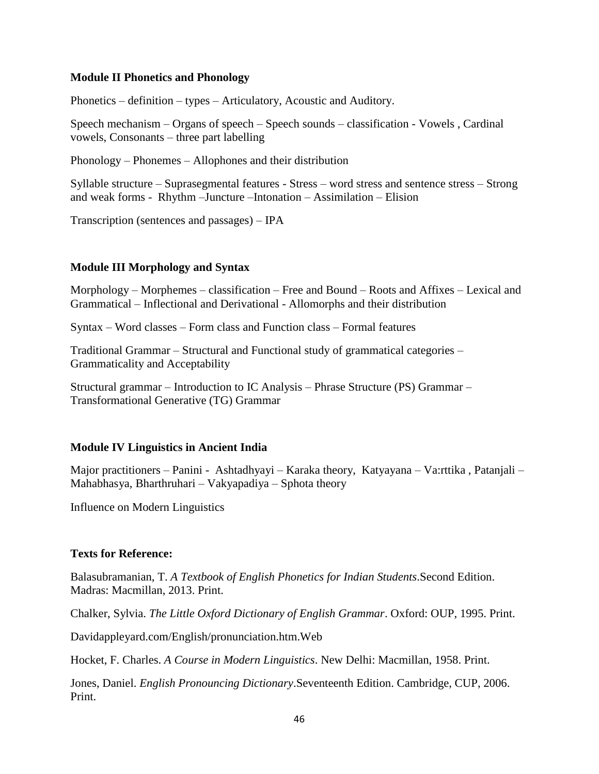#### **Module II Phonetics and Phonology**

Phonetics – definition – types – Articulatory, Acoustic and Auditory.

Speech mechanism – Organs of speech – Speech sounds – classification - Vowels , Cardinal vowels, Consonants – three part labelling

Phonology – Phonemes – Allophones and their distribution

Syllable structure – Suprasegmental features - Stress – word stress and sentence stress – Strong and weak forms - Rhythm –Juncture –Intonation – Assimilation – Elision

Transcription (sentences and passages) – IPA

#### **Module III Morphology and Syntax**

Morphology – Morphemes – classification – Free and Bound – Roots and Affixes – Lexical and Grammatical – Inflectional and Derivational - Allomorphs and their distribution

Syntax – Word classes – Form class and Function class – Formal features

Traditional Grammar – Structural and Functional study of grammatical categories – Grammaticality and Acceptability

Structural grammar – Introduction to IC Analysis – Phrase Structure (PS) Grammar – Transformational Generative (TG) Grammar

#### **Module IV Linguistics in Ancient India**

Major practitioners – Panini - Ashtadhyayi – Karaka theory, Katyayana – Va:rttika , Patanjali – Mahabhasya, Bharthruhari – Vakyapadiya – Sphota theory

Influence on Modern Linguistics

#### **Texts for Reference:**

Balasubramanian, T. *A Textbook of English Phonetics for Indian Students*.Second Edition. Madras: Macmillan, 2013. Print.

Chalker, Sylvia. *The Little Oxford Dictionary of English Grammar*. Oxford: OUP, 1995. Print.

Davidappleyard.com/English/pronunciation.htm.Web

Hocket, F. Charles. *A Course in Modern Linguistics*. New Delhi: Macmillan, 1958. Print.

Jones, Daniel. *English Pronouncing Dictionary*.Seventeenth Edition. Cambridge, CUP, 2006. Print.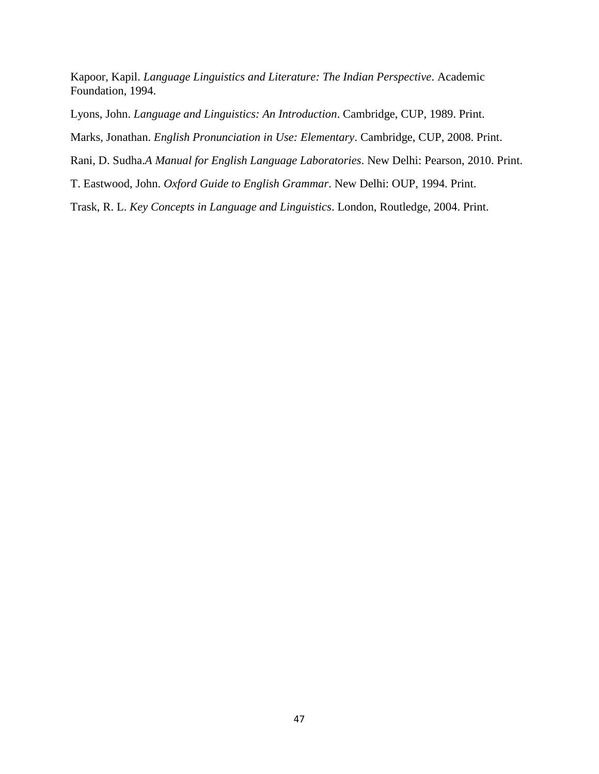Kapoor, Kapil. *Language Linguistics and Literature: The Indian Perspective*. Academic Foundation, 1994.

Lyons, John. *Language and Linguistics: An Introduction*. Cambridge, CUP, 1989. Print.

Marks, Jonathan. *English Pronunciation in Use: Elementary*. Cambridge, CUP, 2008. Print.

Rani, D. Sudha.*A Manual for English Language Laboratories*. New Delhi: Pearson, 2010. Print.

T. Eastwood, John. *Oxford Guide to English Grammar*. New Delhi: OUP, 1994. Print.

Trask, R. L. *Key Concepts in Language and Linguistics*. London, Routledge, 2004. Print.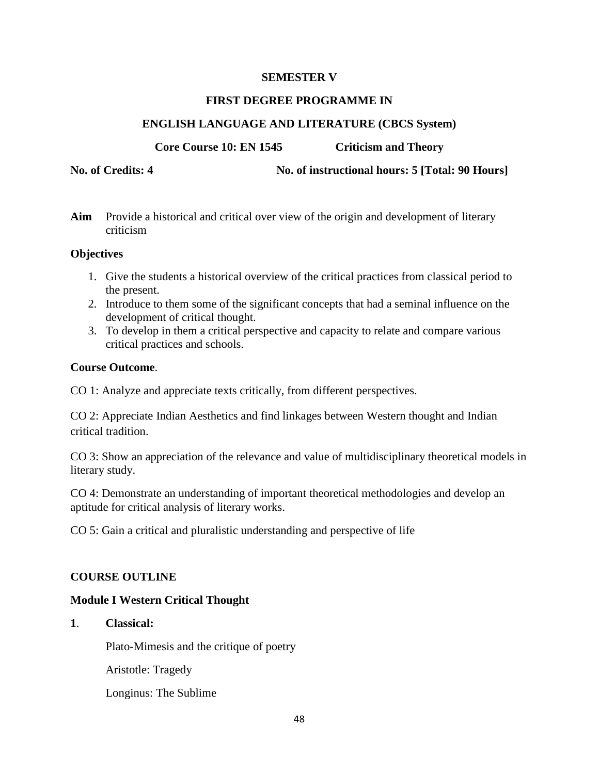### **SEMESTER V**

#### **FIRST DEGREE PROGRAMME IN**

### **ENGLISH LANGUAGE AND LITERATURE (CBCS System)**

**Core Course 10: EN 1545 Criticism and Theory** 

**No. of Credits: 4 No. of instructional hours: 5 [Total: 90 Hours]**

**Aim** Provide a historical and critical over view of the origin and development of literary criticism

### **Objectives**

- 1. Give the students a historical overview of the critical practices from classical period to the present.
- 2. Introduce to them some of the significant concepts that had a seminal influence on the development of critical thought.
- 3. To develop in them a critical perspective and capacity to relate and compare various critical practices and schools.

### **Course Outcome**.

CO 1: Analyze and appreciate texts critically, from different perspectives.

CO 2: Appreciate Indian Aesthetics and find linkages between Western thought and Indian critical tradition.

CO 3: Show an appreciation of the relevance and value of multidisciplinary theoretical models in literary study.

CO 4: Demonstrate an understanding of important theoretical methodologies and develop an aptitude for critical analysis of literary works.

CO 5: Gain a critical and pluralistic understanding and perspective of life

### **COURSE OUTLINE**

### **Module I Western Critical Thought**

**1**. **Classical:**

Plato-Mimesis and the critique of poetry

Aristotle: Tragedy

Longinus: The Sublime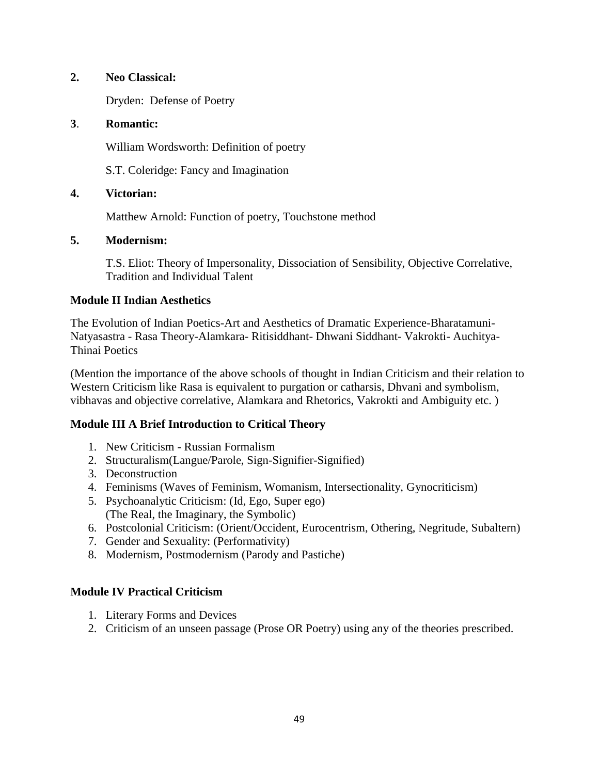### **2. Neo Classical:**

Dryden: Defense of Poetry

### **3**. **Romantic:**

William Wordsworth: Definition of poetry

S.T. Coleridge: Fancy and Imagination

### **4. Victorian:**

Matthew Arnold: Function of poetry, Touchstone method

### **5. Modernism:**

T.S. Eliot: Theory of Impersonality, Dissociation of Sensibility, Objective Correlative, Tradition and Individual Talent

### **Module II Indian Aesthetics**

The Evolution of Indian Poetics-Art and Aesthetics of Dramatic Experience-Bharatamuni-Natyasastra - Rasa Theory-Alamkara- Ritisiddhant- Dhwani Siddhant- Vakrokti- Auchitya-Thinai Poetics

(Mention the importance of the above schools of thought in Indian Criticism and their relation to Western Criticism like Rasa is equivalent to purgation or catharsis, Dhvani and symbolism, vibhavas and objective correlative, Alamkara and Rhetorics, Vakrokti and Ambiguity etc. )

### **Module III A Brief Introduction to Critical Theory**

- 1. New Criticism Russian Formalism
- 2. Structuralism(Langue/Parole, Sign-Signifier-Signified)
- 3. Deconstruction
- 4. Feminisms (Waves of Feminism, Womanism, Intersectionality, Gynocriticism)
- 5. Psychoanalytic Criticism: (Id, Ego, Super ego) (The Real, the Imaginary, the Symbolic)
- 6. Postcolonial Criticism: (Orient/Occident, Eurocentrism, Othering, Negritude, Subaltern)
- 7. Gender and Sexuality: (Performativity)
- 8. Modernism, Postmodernism (Parody and Pastiche)

### **Module IV Practical Criticism**

- 1. Literary Forms and Devices
- 2. Criticism of an unseen passage (Prose OR Poetry) using any of the theories prescribed.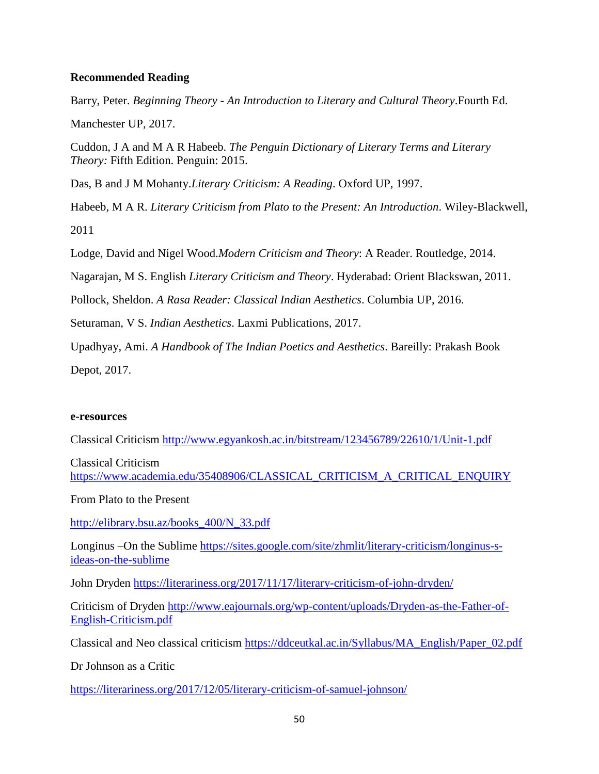### **Recommended Reading**

Barry, Peter. *Beginning Theory - An Introduction to Literary and Cultural Theory*.Fourth Ed.

Manchester UP, 2017.

Cuddon, J A and M A R Habeeb. *The Penguin Dictionary of Literary Terms and Literary Theory:* Fifth Edition. Penguin: 2015.

Das, B and J M Mohanty.*Literary Criticism: A Reading*. Oxford UP, 1997.

Habeeb, M A R. *Literary Criticism from Plato to the Present: An Introduction*. Wiley-Blackwell, 2011

Lodge, David and Nigel Wood.*Modern Criticism and Theory*: A Reader. Routledge, 2014.

Nagarajan, M S. English *Literary Criticism and Theory*. Hyderabad: Orient Blackswan, 2011.

Pollock, Sheldon. *A Rasa Reader: Classical Indian Aesthetics*. Columbia UP, 2016.

Seturaman, V S. *Indian Aesthetics*. Laxmi Publications, 2017.

Upadhyay, Ami. *A Handbook of The Indian Poetics and Aesthetics*. Bareilly: Prakash Book

Depot, 2017.

#### **e-resources**

Classical Criticism<http://www.egyankosh.ac.in/bitstream/123456789/22610/1/Unit-1.pdf>

Classical Criticism [https://www.academia.edu/35408906/CLASSICAL\\_CRITICISM\\_A\\_CRITICAL\\_ENQUIRY](https://www.academia.edu/35408906/CLASSICAL_CRITICISM_A_CRITICAL_ENQUIRY)

From Plato to the Present

[http://elibrary.bsu.az/books\\_400/N\\_33.pdf](http://elibrary.bsu.az/books_400/N_33.pdf)

Longinus –On the Sublime [https://sites.google.com/site/zhmlit/literary-criticism/longinus-s](https://sites.google.com/site/zhmlit/literary-criticism/longinus-s-ideas-on-the-sublime)[ideas-on-the-sublime](https://sites.google.com/site/zhmlit/literary-criticism/longinus-s-ideas-on-the-sublime)

John Dryden<https://literariness.org/2017/11/17/literary-criticism-of-john-dryden/>

Criticism of Dryden [http://www.eajournals.org/wp-content/uploads/Dryden-as-the-Father-of-](http://www.eajournals.org/wp-content/uploads/Dryden-as-the-Father-of-English-Criticism.pdf)[English-Criticism.pdf](http://www.eajournals.org/wp-content/uploads/Dryden-as-the-Father-of-English-Criticism.pdf)

Classical and Neo classical criticism [https://ddceutkal.ac.in/Syllabus/MA\\_English/Paper\\_02.pdf](https://ddceutkal.ac.in/Syllabus/MA_English/Paper_02.pdf)

Dr Johnson as a Critic

<https://literariness.org/2017/12/05/literary-criticism-of-samuel-johnson/>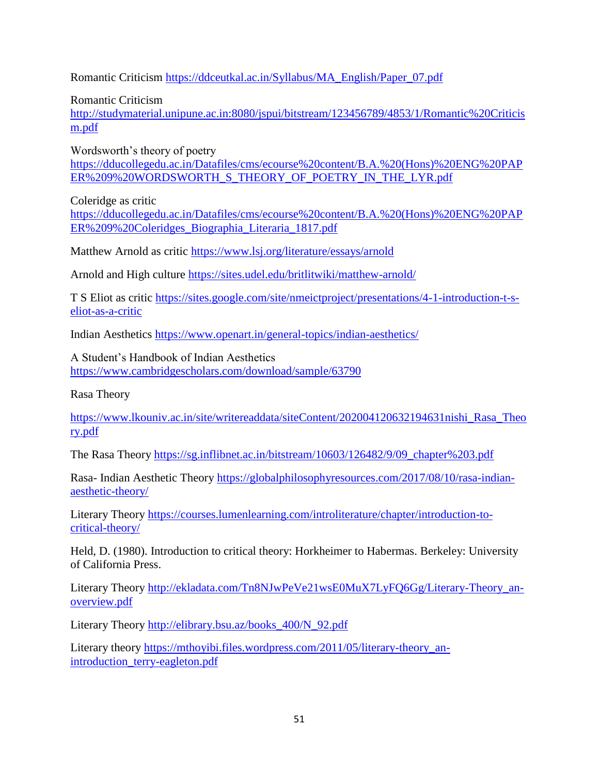Romantic Criticism [https://ddceutkal.ac.in/Syllabus/MA\\_English/Paper\\_07.pdf](https://ddceutkal.ac.in/Syllabus/MA_English/Paper_07.pdf)

Romantic Criticism

[http://studymaterial.unipune.ac.in:8080/jspui/bitstream/123456789/4853/1/Romantic%20Criticis](http://studymaterial.unipune.ac.in:8080/jspui/bitstream/123456789/4853/1/Romantic%20Criticism.pdf) [m.pdf](http://studymaterial.unipune.ac.in:8080/jspui/bitstream/123456789/4853/1/Romantic%20Criticism.pdf)

Wordsworth's theory of poetry

[https://dducollegedu.ac.in/Datafiles/cms/ecourse%20content/B.A.%20\(Hons\)%20ENG%20PAP](https://dducollegedu.ac.in/Datafiles/cms/ecourse%20content/B.A.%20(Hons)%20ENG%20PAPER%209%20WORDSWORTH_S_THEORY_OF_POETRY_IN_THE_LYR.pdf) [ER%209%20WORDSWORTH\\_S\\_THEORY\\_OF\\_POETRY\\_IN\\_THE\\_LYR.pdf](https://dducollegedu.ac.in/Datafiles/cms/ecourse%20content/B.A.%20(Hons)%20ENG%20PAPER%209%20WORDSWORTH_S_THEORY_OF_POETRY_IN_THE_LYR.pdf)

Coleridge as critic

[https://dducollegedu.ac.in/Datafiles/cms/ecourse%20content/B.A.%20\(Hons\)%20ENG%20PAP](https://dducollegedu.ac.in/Datafiles/cms/ecourse%20content/B.A.%20(Hons)%20ENG%20PAPER%209%20Coleridges_Biographia_Literaria_1817.pdf) [ER%209%20Coleridges\\_Biographia\\_Literaria\\_1817.pdf](https://dducollegedu.ac.in/Datafiles/cms/ecourse%20content/B.A.%20(Hons)%20ENG%20PAPER%209%20Coleridges_Biographia_Literaria_1817.pdf)

Matthew Arnold as critic<https://www.lsj.org/literature/essays/arnold>

Arnold and High culture<https://sites.udel.edu/britlitwiki/matthew-arnold/>

T S Eliot as critic [https://sites.google.com/site/nmeictproject/presentations/4-1-introduction-t-s](https://sites.google.com/site/nmeictproject/presentations/4-1-introduction-t-s-eliot-as-a-critic)[eliot-as-a-critic](https://sites.google.com/site/nmeictproject/presentations/4-1-introduction-t-s-eliot-as-a-critic)

Indian Aesthetics<https://www.openart.in/general-topics/indian-aesthetics/>

A Student's Handbook of Indian Aesthetics <https://www.cambridgescholars.com/download/sample/63790>

Rasa Theory

[https://www.lkouniv.ac.in/site/writereaddata/siteContent/202004120632194631nishi\\_Rasa\\_Theo](https://www.lkouniv.ac.in/site/writereaddata/siteContent/202004120632194631nishi_Rasa_Theory.pdf) [ry.pdf](https://www.lkouniv.ac.in/site/writereaddata/siteContent/202004120632194631nishi_Rasa_Theory.pdf)

The Rasa Theory [https://sg.inflibnet.ac.in/bitstream/10603/126482/9/09\\_chapter%203.pdf](https://sg.inflibnet.ac.in/bitstream/10603/126482/9/09_chapter%203.pdf)

Rasa- Indian Aesthetic Theory [https://globalphilosophyresources.com/2017/08/10/rasa-indian](https://globalphilosophyresources.com/2017/08/10/rasa-indian-aesthetic-theory/)[aesthetic-theory/](https://globalphilosophyresources.com/2017/08/10/rasa-indian-aesthetic-theory/)

Literary Theory [https://courses.lumenlearning.com/introliterature/chapter/introduction-to](https://courses.lumenlearning.com/introliterature/chapter/introduction-to-critical-theory/)[critical-theory/](https://courses.lumenlearning.com/introliterature/chapter/introduction-to-critical-theory/)

Held, D. (1980). Introduction to critical theory: Horkheimer to Habermas. Berkeley: University of California Press.

Literary Theory http://ekladata.com/Tn8NJwPeVe21wsE0MuX7LyFO6Gg/Literary-Theory\_an[overview.pdf](http://ekladata.com/Tn8NJwPeVe21wsE0MuX7LyFQ6Gg/Literary-Theory_an-overview.pdf)

Literary Theory [http://elibrary.bsu.az/books\\_400/N\\_92.pdf](http://elibrary.bsu.az/books_400/N_92.pdf)

Literary theory [https://mthoyibi.files.wordpress.com/2011/05/literary-theory\\_an](https://mthoyibi.files.wordpress.com/2011/05/literary-theory_an-introduction_terry-eagleton.pdf)[introduction\\_terry-eagleton.pdf](https://mthoyibi.files.wordpress.com/2011/05/literary-theory_an-introduction_terry-eagleton.pdf)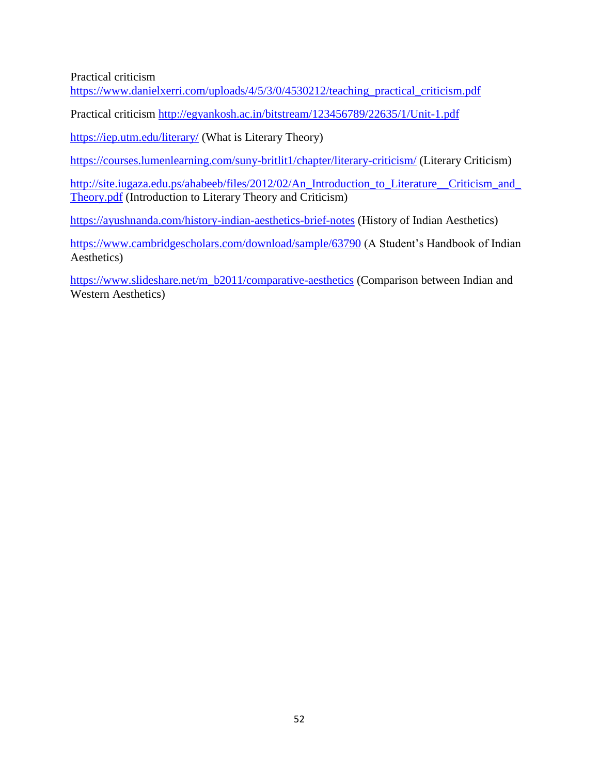Practical criticism

[https://www.danielxerri.com/uploads/4/5/3/0/4530212/teaching\\_practical\\_criticism.pdf](https://www.danielxerri.com/uploads/4/5/3/0/4530212/teaching_practical_criticism.pdf)

Practical criticism<http://egyankosh.ac.in/bitstream/123456789/22635/1/Unit-1.pdf>

<https://iep.utm.edu/literary/> (What is Literary Theory)

<https://courses.lumenlearning.com/suny-britlit1/chapter/literary-criticism/> (Literary Criticism)

[http://site.iugaza.edu.ps/ahabeeb/files/2012/02/An\\_Introduction\\_to\\_Literature\\_\\_Criticism\\_and\\_](http://site.iugaza.edu.ps/ahabeeb/files/2012/02/An_Introduction_to_Literature__Criticism_and_Theory.pdf) [Theory.pdf](http://site.iugaza.edu.ps/ahabeeb/files/2012/02/An_Introduction_to_Literature__Criticism_and_Theory.pdf) (Introduction to Literary Theory and Criticism)

<https://ayushnanda.com/history-indian-aesthetics-brief-notes> (History of Indian Aesthetics)

<https://www.cambridgescholars.com/download/sample/63790> (A Student's Handbook of Indian Aesthetics)

[https://www.slideshare.net/m\\_b2011/comparative-aesthetics](https://www.slideshare.net/m_b2011/comparative-aesthetics) (Comparison between Indian and Western Aesthetics)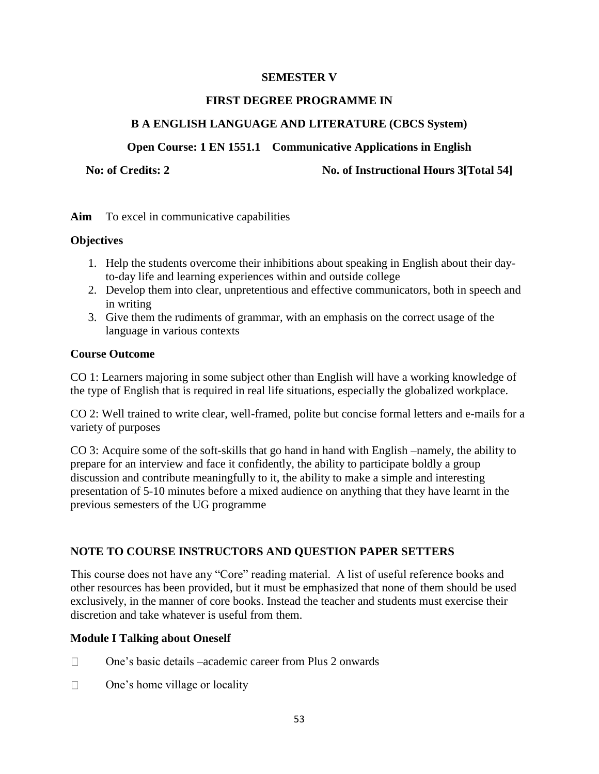### **SEMESTER V**

#### **FIRST DEGREE PROGRAMME IN**

### **B A ENGLISH LANGUAGE AND LITERATURE (CBCS System)**

### **Open Course: 1 EN 1551.1 Communicative Applications in English**

No: of Credits: 2 No. of Instructional Hours 3[Total 54]

**Aim** To excel in communicative capabilities

### **Objectives**

- 1. Help the students overcome their inhibitions about speaking in English about their dayto-day life and learning experiences within and outside college
- 2. Develop them into clear, unpretentious and effective communicators, both in speech and in writing
- 3. Give them the rudiments of grammar, with an emphasis on the correct usage of the language in various contexts

### **Course Outcome**

CO 1: Learners majoring in some subject other than English will have a working knowledge of the type of English that is required in real life situations, especially the globalized workplace.

CO 2: Well trained to write clear, well-framed, polite but concise formal letters and e-mails for a variety of purposes

CO 3: Acquire some of the soft-skills that go hand in hand with English –namely, the ability to prepare for an interview and face it confidently, the ability to participate boldly a group discussion and contribute meaningfully to it, the ability to make a simple and interesting presentation of 5-10 minutes before a mixed audience on anything that they have learnt in the previous semesters of the UG programme

### **NOTE TO COURSE INSTRUCTORS AND QUESTION PAPER SETTERS**

This course does not have any "Core" reading material. A list of useful reference books and other resources has been provided, but it must be emphasized that none of them should be used exclusively, in the manner of core books. Instead the teacher and students must exercise their discretion and take whatever is useful from them.

### **Module I Talking about Oneself**

- One's basic details –academic career from Plus 2 onwards  $\Box$
- $\Box$ One's home village or locality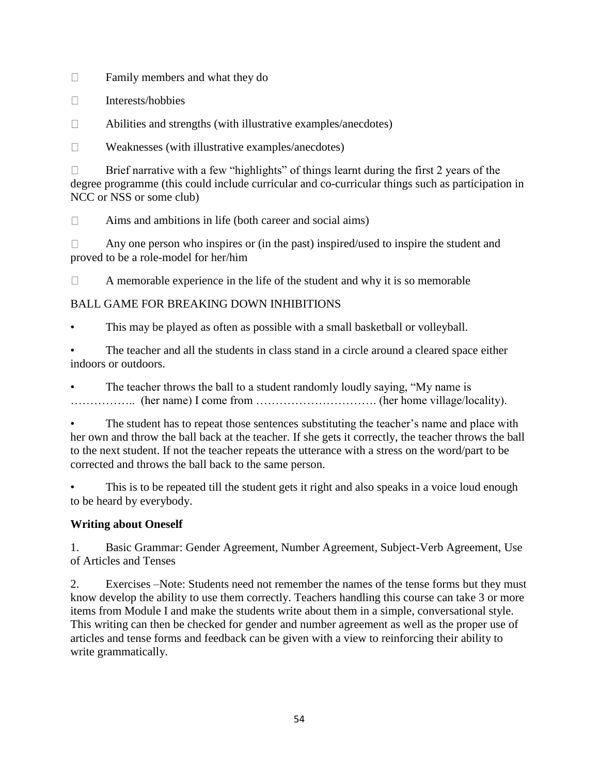Family members and what they do  $\Box$ 

Interests/hobbies  $\Box$ 

 $\Box$ Abilities and strengths (with illustrative examples/anecdotes)

 $\Box$ Weaknesses (with illustrative examples/anecdotes)

Brief narrative with a few "highlights" of things learnt during the first 2 years of the  $\Box$ degree programme (this could include curricular and co-curricular things such as participation in NCC or NSS or some club)

 $\Box$ Aims and ambitions in life (both career and social aims)

Any one person who inspires or (in the past) inspired/used to inspire the student and  $\Box$ proved to be a role-model for her/him

A memorable experience in the life of the student and why it is so memorable  $\Box$ 

## BALL GAME FOR BREAKING DOWN INHIBITIONS

This may be played as often as possible with a small basketball or volleyball.

• The teacher and all the students in class stand in a circle around a cleared space either indoors or outdoors.

The teacher throws the ball to a student randomly loudly saying, "My name is …………….. (her name) I come from …………………………. (her home village/locality).

The student has to repeat those sentences substituting the teacher's name and place with her own and throw the ball back at the teacher. If she gets it correctly, the teacher throws the ball to the next student. If not the teacher repeats the utterance with a stress on the word/part to be corrected and throws the ball back to the same person.

This is to be repeated till the student gets it right and also speaks in a voice loud enough to be heard by everybody.

## **Writing about Oneself**

1. Basic Grammar: Gender Agreement, Number Agreement, Subject-Verb Agreement, Use of Articles and Tenses

2. Exercises –Note: Students need not remember the names of the tense forms but they must know develop the ability to use them correctly. Teachers handling this course can take 3 or more items from Module I and make the students write about them in a simple, conversational style. This writing can then be checked for gender and number agreement as well as the proper use of articles and tense forms and feedback can be given with a view to reinforcing their ability to write grammatically.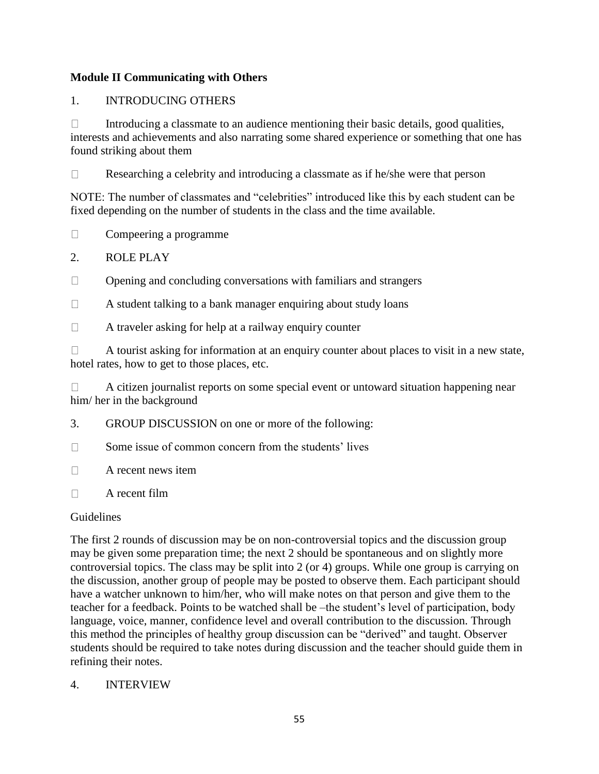### **Module II Communicating with Others**

### 1. INTRODUCING OTHERS

Introducing a classmate to an audience mentioning their basic details, good qualities,  $\Box$ interests and achievements and also narrating some shared experience or something that one has found striking about them

 $\Box$ Researching a celebrity and introducing a classmate as if he/she were that person

NOTE: The number of classmates and "celebrities" introduced like this by each student can be fixed depending on the number of students in the class and the time available.

- Compeering a programme  $\Box$
- 2. ROLE PLAY
- Opening and concluding conversations with familiars and strangers  $\Box$
- $\Box$ A student talking to a bank manager enquiring about study loans
- $\Box$ A traveler asking for help at a railway enquiry counter

 $\Box$ A tourist asking for information at an enquiry counter about places to visit in a new state, hotel rates, how to get to those places, etc.

A citizen journalist reports on some special event or untoward situation happening near  $\Box$ him/ her in the background

- 3. GROUP DISCUSSION on one or more of the following:
- $\Box$ Some issue of common concern from the students' lives
- $\Box$ A recent news item
- $\Box$ A recent film

### **Guidelines**

The first 2 rounds of discussion may be on non-controversial topics and the discussion group may be given some preparation time; the next 2 should be spontaneous and on slightly more controversial topics. The class may be split into 2 (or 4) groups. While one group is carrying on the discussion, another group of people may be posted to observe them. Each participant should have a watcher unknown to him/her, who will make notes on that person and give them to the teacher for a feedback. Points to be watched shall be –the student's level of participation, body language, voice, manner, confidence level and overall contribution to the discussion. Through this method the principles of healthy group discussion can be "derived" and taught. Observer students should be required to take notes during discussion and the teacher should guide them in refining their notes.

## 4. INTERVIEW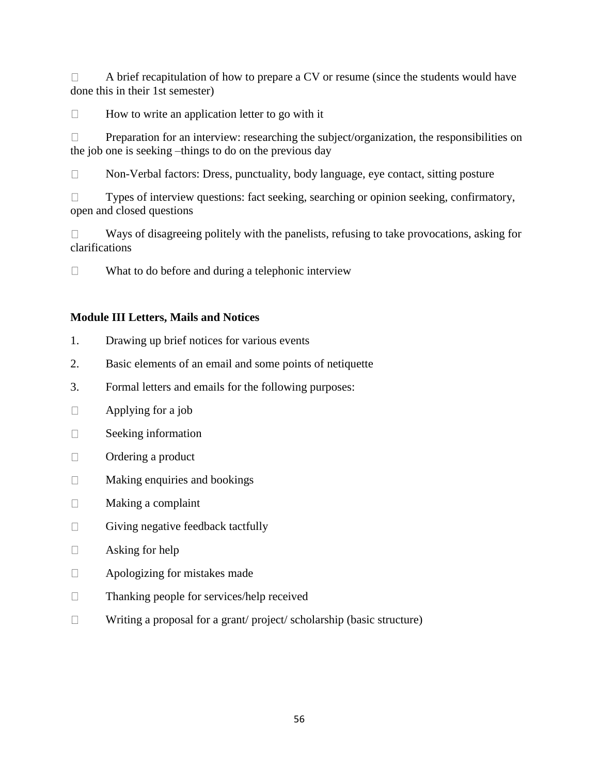A brief recapitulation of how to prepare a CV or resume (since the students would have  $\Box$ done this in their 1st semester)

 $\Box$ How to write an application letter to go with it

Preparation for an interview: researching the subject/organization, the responsibilities on  $\Box$ the job one is seeking –things to do on the previous day

Non-Verbal factors: Dress, punctuality, body language, eye contact, sitting posture  $\Box$ 

 $\Box$ Types of interview questions: fact seeking, searching or opinion seeking, confirmatory, open and closed questions

Ways of disagreeing politely with the panelists, refusing to take provocations, asking for  $\Box$ clarifications

 $\Box$ What to do before and during a telephonic interview

### **Module III Letters, Mails and Notices**

- 1. Drawing up brief notices for various events
- 2. Basic elements of an email and some points of netiquette
- 3. Formal letters and emails for the following purposes:
- Applying for a job  $\Box$
- $\Box$ Seeking information
- $\Box$ Ordering a product
- $\Box$ Making enquiries and bookings
- Making a complaint  $\Box$
- $\Box$ Giving negative feedback tactfully
- Asking for help  $\Box$
- $\Box$ Apologizing for mistakes made
- Thanking people for services/help received  $\Box$
- $\Box$ Writing a proposal for a grant/ project/ scholarship (basic structure)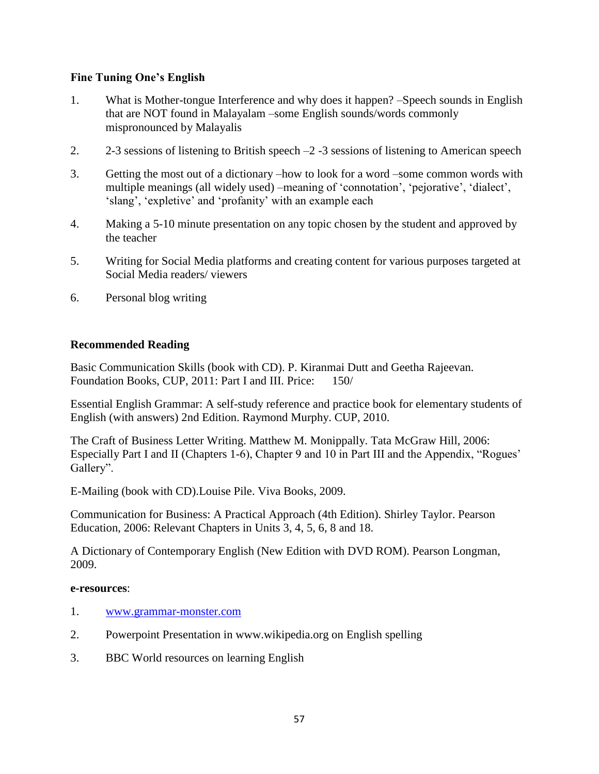### **Fine Tuning One's English**

- 1. What is Mother-tongue Interference and why does it happen? –Speech sounds in English that are NOT found in Malayalam –some English sounds/words commonly mispronounced by Malayalis
- 2.  $2\text{-}3$  sessions of listening to British speech  $-2$  -3 sessions of listening to American speech
- 3. Getting the most out of a dictionary –how to look for a word –some common words with multiple meanings (all widely used) –meaning of 'connotation', 'pejorative', 'dialect', 'slang', 'expletive' and 'profanity' with an example each
- 4. Making a 5-10 minute presentation on any topic chosen by the student and approved by the teacher
- 5. Writing for Social Media platforms and creating content for various purposes targeted at Social Media readers/ viewers
- 6. Personal blog writing

### **Recommended Reading**

Basic Communication Skills (book with CD). P. Kiranmai Dutt and Geetha Rajeevan. Foundation Books, CUP, 2011: Part I and III. Price: 150/

Essential English Grammar: A self-study reference and practice book for elementary students of English (with answers) 2nd Edition. Raymond Murphy. CUP, 2010.

The Craft of Business Letter Writing. Matthew M. Monippally. Tata McGraw Hill, 2006: Especially Part I and II (Chapters 1-6), Chapter 9 and 10 in Part III and the Appendix, "Rogues' Gallery".

E-Mailing (book with CD).Louise Pile. Viva Books, 2009.

Communication for Business: A Practical Approach (4th Edition). Shirley Taylor. Pearson Education, 2006: Relevant Chapters in Units 3, 4, 5, 6, 8 and 18.

A Dictionary of Contemporary English (New Edition with DVD ROM). Pearson Longman, 2009.

#### **e-resources**:

- 1. [www.grammar-monster.com](http://www.grammar-monster.com/)
- 2. Powerpoint Presentation in www.wikipedia.org on English spelling
- 3. BBC World resources on learning English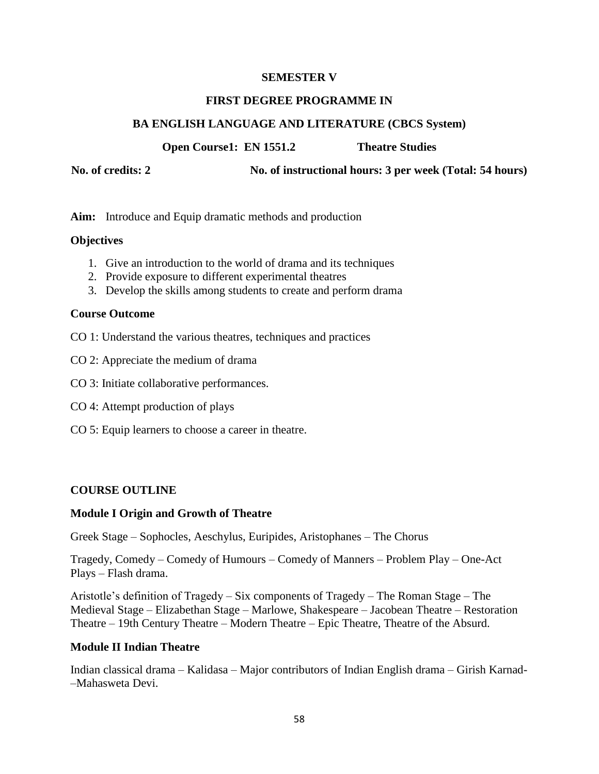#### **SEMESTER V**

#### **FIRST DEGREE PROGRAMME IN**

### **BA ENGLISH LANGUAGE AND LITERATURE (CBCS System)**

**Open Course1: EN 1551.2 Theatre Studies**

**No. of credits: 2 No. of instructional hours: 3 per week (Total: 54 hours)**

**Aim:** Introduce and Equip dramatic methods and production

### **Objectives**

- 1. Give an introduction to the world of drama and its techniques
- 2. Provide exposure to different experimental theatres
- 3. Develop the skills among students to create and perform drama

### **Course Outcome**

- CO 1: Understand the various theatres, techniques and practices
- CO 2: Appreciate the medium of drama
- CO 3: Initiate collaborative performances.
- CO 4: Attempt production of plays
- CO 5: Equip learners to choose a career in theatre.

### **COURSE OUTLINE**

#### **Module I Origin and Growth of Theatre**

Greek Stage – Sophocles, Aeschylus, Euripides, Aristophanes – The Chorus

Tragedy, Comedy – Comedy of Humours – Comedy of Manners – Problem Play – One-Act Plays – Flash drama.

Aristotle's definition of Tragedy – Six components of Tragedy – The Roman Stage – The Medieval Stage – Elizabethan Stage – Marlowe, Shakespeare – Jacobean Theatre – Restoration Theatre – 19th Century Theatre – Modern Theatre – Epic Theatre, Theatre of the Absurd.

#### **Module II Indian Theatre**

Indian classical drama – Kalidasa – Major contributors of Indian English drama – Girish Karnad- –Mahasweta Devi.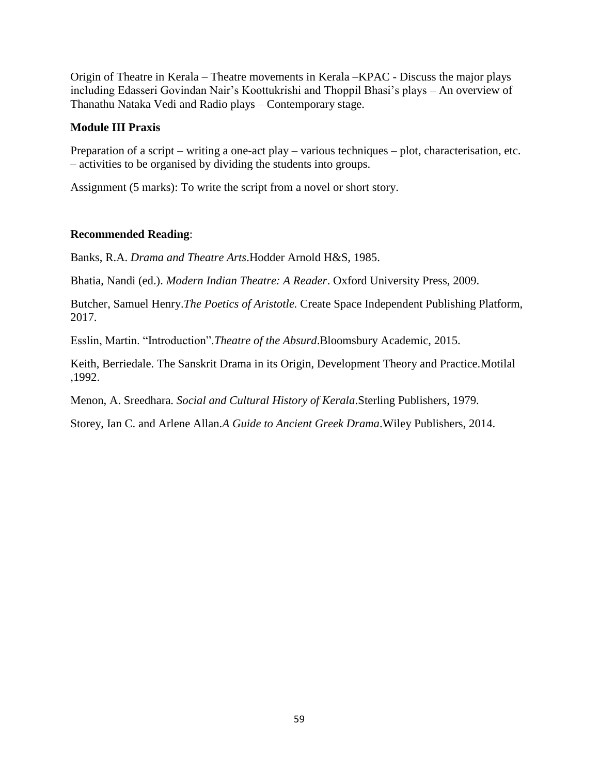Origin of Theatre in Kerala – Theatre movements in Kerala –KPAC - Discuss the major plays including Edasseri Govindan Nair's Koottukrishi and Thoppil Bhasi's plays – An overview of Thanathu Nataka Vedi and Radio plays – Contemporary stage.

#### **Module III Praxis**

Preparation of a script – writing a one-act play – various techniques – plot, characterisation, etc. – activities to be organised by dividing the students into groups.

Assignment (5 marks): To write the script from a novel or short story.

### **Recommended Reading**:

Banks, R.A. *Drama and Theatre Arts*.Hodder Arnold H&S, 1985.

Bhatia, Nandi (ed.). *Modern Indian Theatre: A Reader*. Oxford University Press, 2009.

Butcher, Samuel Henry.*The Poetics of Aristotle.* Create Space Independent Publishing Platform, 2017.

Esslin, Martin. "Introduction". Theatre of the Absurd. Bloomsbury Academic, 2015.

Keith, Berriedale. The Sanskrit Drama in its Origin, Development Theory and Practice.Motilal ,1992.

Menon, A. Sreedhara. *Social and Cultural History of Kerala*.Sterling Publishers, 1979.

Storey, Ian C. and Arlene Allan.*A Guide to Ancient Greek Drama*.Wiley Publishers, 2014.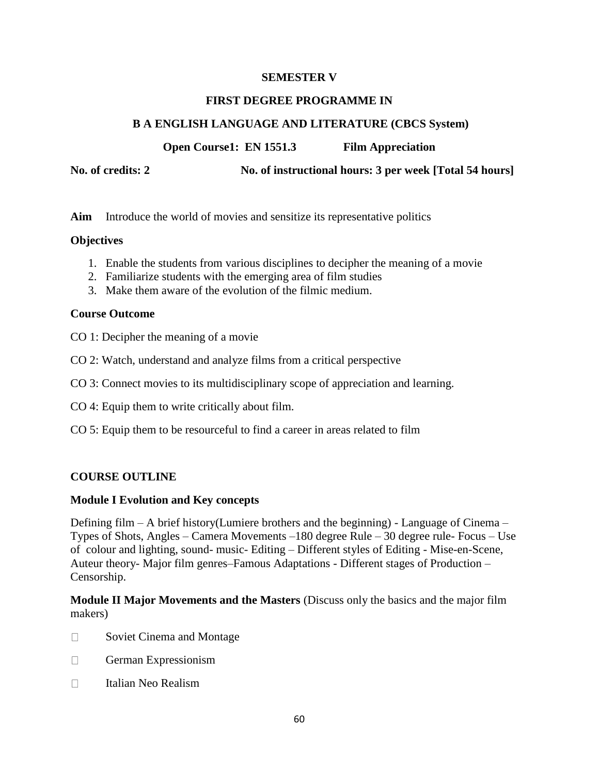### **SEMESTER V**

#### **FIRST DEGREE PROGRAMME IN**

### **B A ENGLISH LANGUAGE AND LITERATURE (CBCS System)**

**Open Course1: EN 1551.3 Film Appreciation**

**No. of credits: 2 No. of instructional hours: 3 per week [Total 54 hours]**

**Aim** Introduce the world of movies and sensitize its representative politics

### **Objectives**

- 1. Enable the students from various disciplines to decipher the meaning of a movie
- 2. Familiarize students with the emerging area of film studies
- 3. Make them aware of the evolution of the filmic medium.

#### **Course Outcome**

- CO 1: Decipher the meaning of a movie
- CO 2: Watch, understand and analyze films from a critical perspective
- CO 3: Connect movies to its multidisciplinary scope of appreciation and learning.
- CO 4: Equip them to write critically about film.
- CO 5: Equip them to be resourceful to find a career in areas related to film

### **COURSE OUTLINE**

#### **Module I Evolution and Key concepts**

Defining film – A brief history(Lumiere brothers and the beginning) - Language of Cinema – Types of Shots, Angles – Camera Movements –180 degree Rule – 30 degree rule- Focus – Use of colour and lighting, sound- music- Editing – Different styles of Editing - Mise-en-Scene, Auteur theory- Major film genres–Famous Adaptations - Different stages of Production – Censorship.

**Module II Major Movements and the Masters** (Discuss only the basics and the major film makers)

- Soviet Cinema and Montage  $\Box$
- $\Box$ German Expressionism
- Italian Neo Realism $\Box$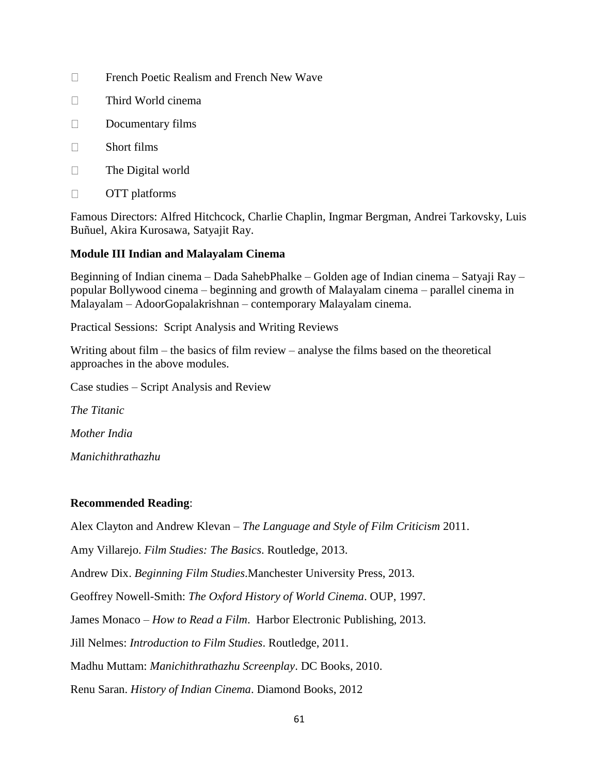- $\Box$ French Poetic Realism and French New Wave
- Third World cinema  $\Box$
- $\Box$ Documentary films
- $\Box$ Short films
- $\Box$ The Digital world
- $\Box$ OTT platforms

Famous Directors: Alfred Hitchcock, Charlie Chaplin, Ingmar Bergman, Andrei Tarkovsky, Luis Buñuel, Akira Kurosawa, Satyajit Ray.

### **Module III Indian and Malayalam Cinema**

Beginning of Indian cinema – Dada SahebPhalke – Golden age of Indian cinema – Satyaji Ray – popular Bollywood cinema – beginning and growth of Malayalam cinema – parallel cinema in Malayalam – AdoorGopalakrishnan – contemporary Malayalam cinema.

Practical Sessions: Script Analysis and Writing Reviews

Writing about film – the basics of film review – analyse the films based on the theoretical approaches in the above modules.

Case studies – Script Analysis and Review

*The Titanic*

*Mother India*

*Manichithrathazhu*

### **Recommended Reading**:

Alex Clayton and Andrew Klevan – *The Language and Style of Film Criticism* 2011.

Amy Villarejo. *Film Studies: The Basics*. Routledge, 2013.

Andrew Dix. *Beginning Film Studies*.Manchester University Press, 2013.

Geoffrey Nowell-Smith: *The Oxford History of World Cinema*. OUP, 1997.

James Monaco – *How to Read a Film*. Harbor Electronic Publishing, 2013.

Jill Nelmes: *Introduction to Film Studies*. Routledge, 2011.

Madhu Muttam: *Manichithrathazhu Screenplay*. DC Books, 2010.

Renu Saran. *History of Indian Cinema*. Diamond Books, 2012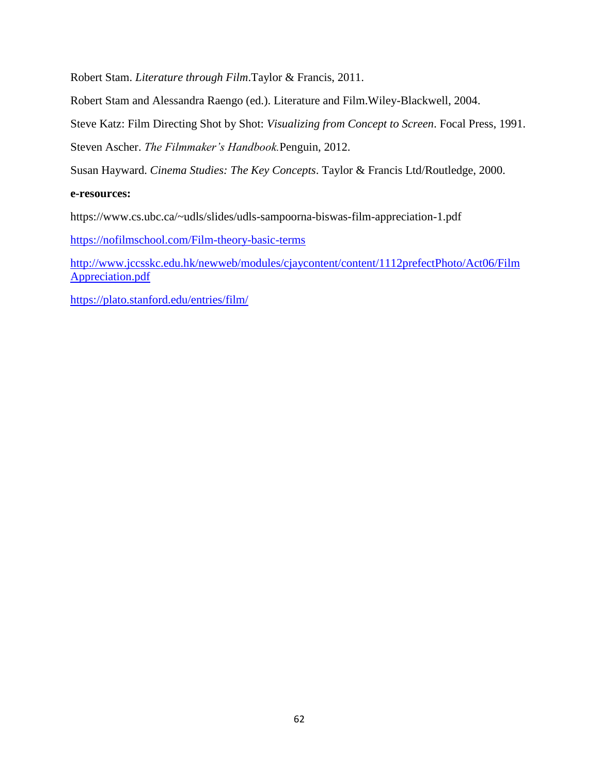Robert Stam. *Literature through Film*.Taylor & Francis, 2011.

Robert Stam and Alessandra Raengo (ed.). Literature and Film.Wiley-Blackwell, 2004.

Steve Katz: Film Directing Shot by Shot: *Visualizing from Concept to Screen*. Focal Press, 1991.

Steven Ascher. *The Filmmaker's Handbook.*Penguin, 2012.

Susan Hayward. *Cinema Studies: The Key Concepts*. Taylor & Francis Ltd/Routledge, 2000.

#### **e-resources:**

https://www.cs.ubc.ca/~udls/slides/udls-sampoorna-biswas-film-appreciation-1.pdf

<https://nofilmschool.com/Film-theory-basic-terms>

[http://www.jccsskc.edu.hk/newweb/modules/cjaycontent/content/1112prefectPhoto/Act06/Film](http://www.jccsskc.edu.hk/newweb/modules/cjaycontent/content/1112prefectPhoto/Act06/FilmAppreciation.pdf) [Appreciation.pdf](http://www.jccsskc.edu.hk/newweb/modules/cjaycontent/content/1112prefectPhoto/Act06/FilmAppreciation.pdf)

<https://plato.stanford.edu/entries/film/>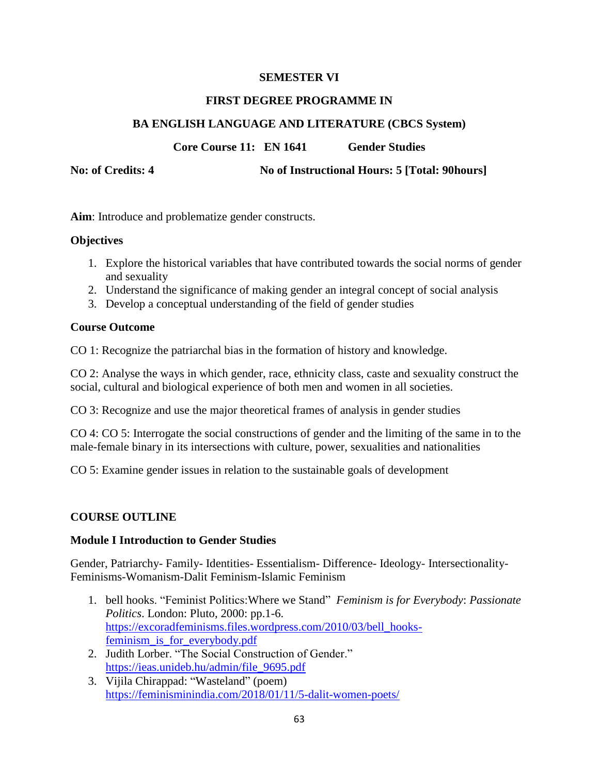### **SEMESTER VI**

#### **FIRST DEGREE PROGRAMME IN**

### **BA ENGLISH LANGUAGE AND LITERATURE (CBCS System)**

**Core Course 11: EN 1641 Gender Studies**

**No: of Credits: 4 No of Instructional Hours: 5 [Total: 90hours]**

**Aim**: Introduce and problematize gender constructs.

### **Objectives**

- 1. Explore the historical variables that have contributed towards the social norms of gender and sexuality
- 2. Understand the significance of making gender an integral concept of social analysis
- 3. Develop a conceptual understanding of the field of gender studies

### **Course Outcome**

CO 1: Recognize the patriarchal bias in the formation of history and knowledge.

CO 2: Analyse the ways in which gender, race, ethnicity class, caste and sexuality construct the social, cultural and biological experience of both men and women in all societies.

CO 3: Recognize and use the major theoretical frames of analysis in gender studies

CO 4: CO 5: Interrogate the social constructions of gender and the limiting of the same in to the male-female binary in its intersections with culture, power, sexualities and nationalities

CO 5: Examine gender issues in relation to the sustainable goals of development

### **COURSE OUTLINE**

#### **Module I Introduction to Gender Studies**

Gender, Patriarchy- Family- Identities- Essentialism- Difference- Ideology- Intersectionality-Feminisms-Womanism-Dalit Feminism-Islamic Feminism

- 1. bell hooks. ―Feminist Politics:Where we Stand‖ *Feminism is for Everybody*: *Passionate Politics*. London: Pluto, 2000: pp.1-6. [https://excoradfeminisms.files.wordpress.com/2010/03/bell\\_hooks](https://excoradfeminisms.files.wordpress.com/2010/03/bell_hooks-feminism_is_for_everybody.pdf)[feminism\\_is\\_for\\_everybody.pdf](https://excoradfeminisms.files.wordpress.com/2010/03/bell_hooks-feminism_is_for_everybody.pdf)
- 2. Judith Lorber. "The Social Construction of Gender." [https://ieas.unideb.hu/admin/file\\_9695.pdf](https://ieas.unideb.hu/admin/file_9695.pdf)
- 3. Vijila Chirappad: "Wasteland" (poem) <https://feminisminindia.com/2018/01/11/5-dalit-women-poets/>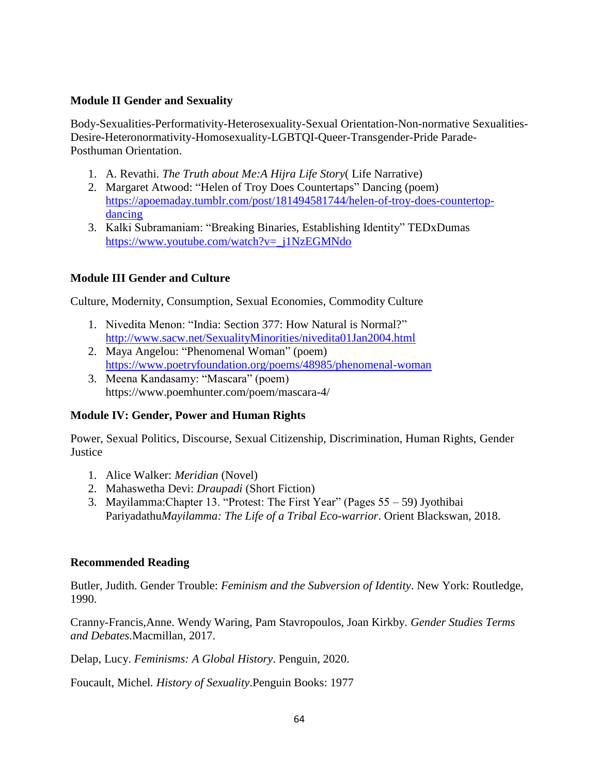### **Module II Gender and Sexuality**

Body-Sexualities-Performativity-Heterosexuality-Sexual Orientation-Non-normative Sexualities-Desire-Heteronormativity-Homosexuality-LGBTQI-Queer-Transgender-Pride Parade-Posthuman Orientation.

- 1. A. Revathi. *The Truth about Me:A Hijra Life Story*( Life Narrative)
- 2. Margaret Atwood: "Helen of Troy Does Countertaps" Dancing (poem) [https://apoemaday.tumblr.com/post/181494581744/helen-of-troy-does-countertop](https://apoemaday.tumblr.com/post/181494581744/helen-of-troy-does-countertop-dancing)[dancing](https://apoemaday.tumblr.com/post/181494581744/helen-of-troy-does-countertop-dancing)
- 3. Kalki Subramaniam: "Breaking Binaries, Establishing Identity" TEDxDumas [https://www.youtube.com/watch?v=\\_j1NzEGMNdo](https://www.youtube.com/watch?v=_j1NzEGMNdo)

### **Module III Gender and Culture**

Culture, Modernity, Consumption, Sexual Economies, Commodity Culture

- 1. Nivedita Menon: "India: Section 377: How Natural is Normal?" <http://www.sacw.net/SexualityMinorities/nivedita01Jan2004.html>
- 2. Maya Angelou: "Phenomenal Woman" (poem) <https://www.poetryfoundation.org/poems/48985/phenomenal-woman>
- 3. Meena Kandasamy: "Mascara" (poem) https://www.poemhunter.com/poem/mascara-4/

#### **Module IV: Gender, Power and Human Rights**

Power, Sexual Politics, Discourse, Sexual Citizenship, Discrimination, Human Rights, Gender Justice

- 1. Alice Walker: *Meridian* (Novel)
- 2. Mahaswetha Devi: *Draupadi* (Short Fiction)
- 3. Mayilamma: Chapter 13. "Protest: The First Year" (Pages  $55 59$ ) Jyothibai Pariyadathu*Mayilamma: The Life of a Tribal Eco-warrior*. Orient Blackswan, 2018.

#### **Recommended Reading**

Butler, Judith. Gender Trouble: *Feminism and the Subversion of Identity*. New York: Routledge, 1990.

Cranny-Francis,Anne. Wendy Waring, Pam Stavropoulos, Joan Kirkby. *Gender Studies Terms and Debates.*Macmillan, 2017.

Delap, Lucy. *Feminisms: A Global History*. Penguin, 2020.

Foucault, Michel*. History of Sexuality*.Penguin Books: 1977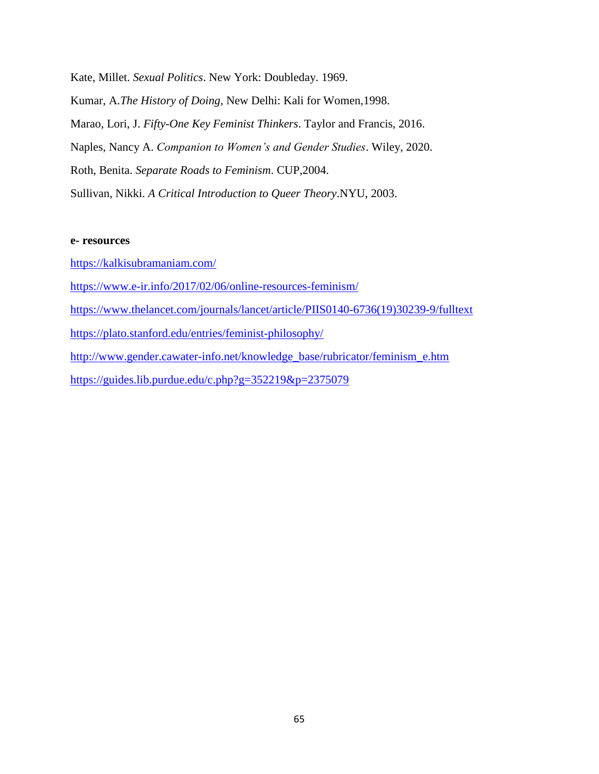Kate, Millet. *Sexual Politics*. New York: Doubleday. 1969. Kumar, A.*The History of Doing*, New Delhi: Kali for Women,1998. Marao, Lori, J. *Fifty-One Key Feminist Thinkers*. Taylor and Francis, 2016. Naples, Nancy A. *Companion to Women's and Gender Studies*. Wiley, 2020. Roth, Benita. *Separate Roads to Feminism*. CUP,2004. Sullivan, Nikki. *A Critical Introduction to Queer Theory*.NYU, 2003.

#### **e- resources**

- <https://kalkisubramaniam.com/>
- <https://www.e-ir.info/2017/02/06/online-resources-feminism/>
- [https://www.thelancet.com/journals/lancet/article/PIIS0140-6736\(19\)30239-9/fulltext](https://www.thelancet.com/journals/lancet/article/PIIS0140-6736(19)30239-9/fulltext)
- <https://plato.stanford.edu/entries/feminist-philosophy/>
- [http://www.gender.cawater-info.net/knowledge\\_base/rubricator/feminism\\_e.htm](http://www.gender.cawater-info.net/knowledge_base/rubricator/feminism_e.htm)
- <https://guides.lib.purdue.edu/c.php?g=352219&p=2375079>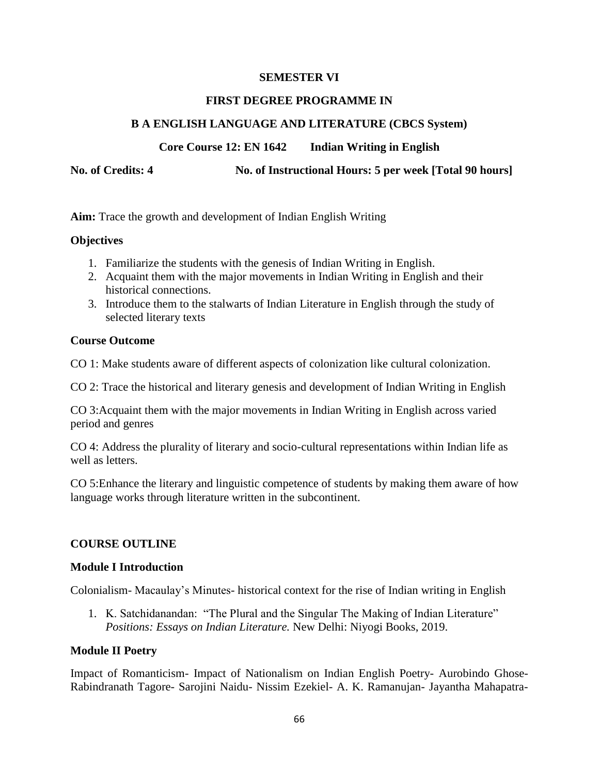### **SEMESTER VI**

#### **FIRST DEGREE PROGRAMME IN**

### **B A ENGLISH LANGUAGE AND LITERATURE (CBCS System)**

**Core Course 12: EN 1642 Indian Writing in English**

**No. of Credits: 4 No. of Instructional Hours: 5 per week [Total 90 hours]**

**Aim:** Trace the growth and development of Indian English Writing

#### **Objectives**

- 1. Familiarize the students with the genesis of Indian Writing in English.
- 2. Acquaint them with the major movements in Indian Writing in English and their historical connections.
- 3. Introduce them to the stalwarts of Indian Literature in English through the study of selected literary texts

#### **Course Outcome**

CO 1: Make students aware of different aspects of colonization like cultural colonization.

CO 2: Trace the historical and literary genesis and development of Indian Writing in English

CO 3:Acquaint them with the major movements in Indian Writing in English across varied period and genres

CO 4: Address the plurality of literary and socio-cultural representations within Indian life as well as letters.

CO 5:Enhance the literary and linguistic competence of students by making them aware of how language works through literature written in the subcontinent.

### **COURSE OUTLINE**

#### **Module I Introduction**

Colonialism- Macaulay's Minutes- historical context for the rise of Indian writing in English

1. K. Satchidanandan: "The Plural and the Singular The Making of Indian Literature" *Positions: Essays on Indian Literature.* New Delhi: Niyogi Books, 2019.

#### **Module II Poetry**

Impact of Romanticism- Impact of Nationalism on Indian English Poetry- Aurobindo Ghose-Rabindranath Tagore- Sarojini Naidu- Nissim Ezekiel- A. K. Ramanujan- Jayantha Mahapatra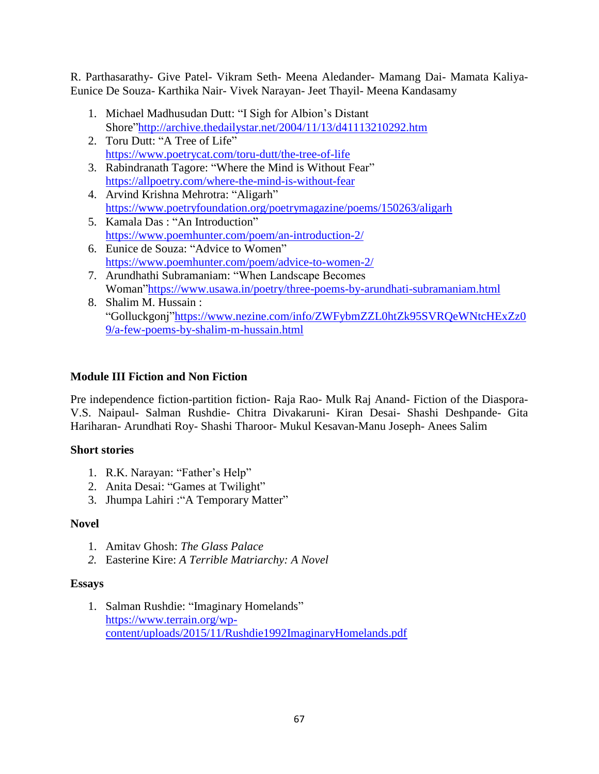R. Parthasarathy- Give Patel- Vikram Seth- Meena Aledander- Mamang Dai- Mamata Kaliya-Eunice De Souza- Karthika Nair- Vivek Narayan- Jeet Thayil- Meena Kandasamy

- 1. Michael Madhusudan Dutt: "I Sigh for Albion's Distant Shore"http://archive.thedailystar.net/2004/11/13/d41113210292.htm
- 2. Toru Dutt: "A Tree of Life" <https://www.poetrycat.com/toru-dutt/the-tree-of-life>
- 3. Rabindranath Tagore: "Where the Mind is Without Fear" <https://allpoetry.com/where-the-mind-is-without-fear>
- 4. Arvind Krishna Mehrotra: "Aligarh" <https://www.poetryfoundation.org/poetrymagazine/poems/150263/aligarh>
- 5. Kamala Das: "An Introduction" <https://www.poemhunter.com/poem/an-introduction-2/>
- 6. Eunice de Souza: "Advice to Women" <https://www.poemhunter.com/poem/advice-to-women-2/>
- 7. Arundhathi Subramaniam: "When Landscape Becomes Woman"https://www.usawa.in/poetry/three-poems-by-arundhati-subramaniam.html
- 8. Shalim M. Hussain : "Golluckgonj"https://www.nezine.com/info/ZWFybmZZL0htZk95SVRQeWNtcHExZz0 [9/a-few-poems-by-shalim-m-hussain.html](https://www.nezine.com/info/ZWFybmZZL0htZk95SVRQeWNtcHExZz09/a-few-poems-by-shalim-m-hussain.html)

### **Module III Fiction and Non Fiction**

Pre independence fiction-partition fiction- Raja Rao- Mulk Raj Anand- Fiction of the Diaspora-V.S. Naipaul- Salman Rushdie- Chitra Divakaruni- Kiran Desai- Shashi Deshpande- Gita Hariharan- Arundhati Roy- Shashi Tharoor- Mukul Kesavan-Manu Joseph- Anees Salim

### **Short stories**

- 1. R.K. Narayan: "Father's Help"
- 2. Anita Desai: "Games at Twilight"
- 3. Jhumpa Lahiri : "A Temporary Matter"

### **Novel**

- 1. Amitav Ghosh: *The Glass Palace*
- *2.* Easterine Kire: *A Terrible Matriarchy: A Novel*

### **Essays**

1. Salman Rushdie: "Imaginary Homelands" [https://www.terrain.org/wp](https://www.terrain.org/wp-content/uploads/2015/11/Rushdie1992ImaginaryHomelands.pdf)[content/uploads/2015/11/Rushdie1992ImaginaryHomelands.pdf](https://www.terrain.org/wp-content/uploads/2015/11/Rushdie1992ImaginaryHomelands.pdf)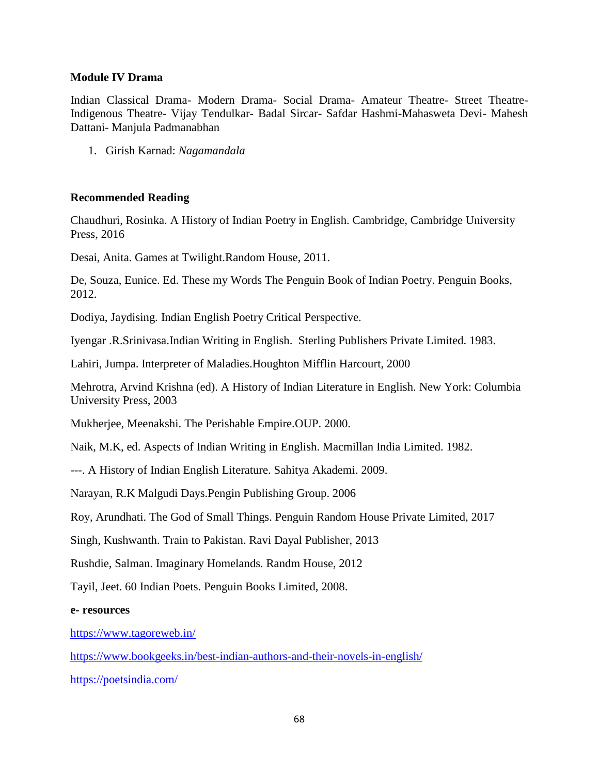#### **Module IV Drama**

Indian Classical Drama- Modern Drama- Social Drama- Amateur Theatre- Street Theatre-Indigenous Theatre- Vijay Tendulkar- Badal Sircar- Safdar Hashmi-Mahasweta Devi- Mahesh Dattani- Manjula Padmanabhan

1. Girish Karnad: *Nagamandala*

#### **Recommended Reading**

Chaudhuri, Rosinka. A History of Indian Poetry in English. Cambridge, Cambridge University Press, 2016

Desai, Anita. Games at Twilight.Random House, 2011.

De, Souza, Eunice. Ed. These my Words The Penguin Book of Indian Poetry. Penguin Books, 2012.

Dodiya, Jaydising. Indian English Poetry Critical Perspective.

Iyengar .R.Srinivasa.Indian Writing in English. Sterling Publishers Private Limited. 1983.

Lahiri, Jumpa. Interpreter of Maladies.Houghton Mifflin Harcourt, 2000

Mehrotra, Arvind Krishna (ed). A History of Indian Literature in English. New York: Columbia University Press, 2003

Mukherjee, Meenakshi. The Perishable Empire.OUP. 2000.

Naik, M.K, ed. Aspects of Indian Writing in English. Macmillan India Limited. 1982.

---. A History of Indian English Literature. Sahitya Akademi. 2009.

Narayan, R.K Malgudi Days.Pengin Publishing Group. 2006

Roy, Arundhati. The God of Small Things. Penguin Random House Private Limited, 2017

Singh, Kushwanth. Train to Pakistan. Ravi Dayal Publisher, 2013

Rushdie, Salman. Imaginary Homelands. Randm House, 2012

Tayil, Jeet. 60 Indian Poets. Penguin Books Limited, 2008.

#### **e- resources**

<https://www.tagoreweb.in/>

<https://www.bookgeeks.in/best-indian-authors-and-their-novels-in-english/>

<https://poetsindia.com/>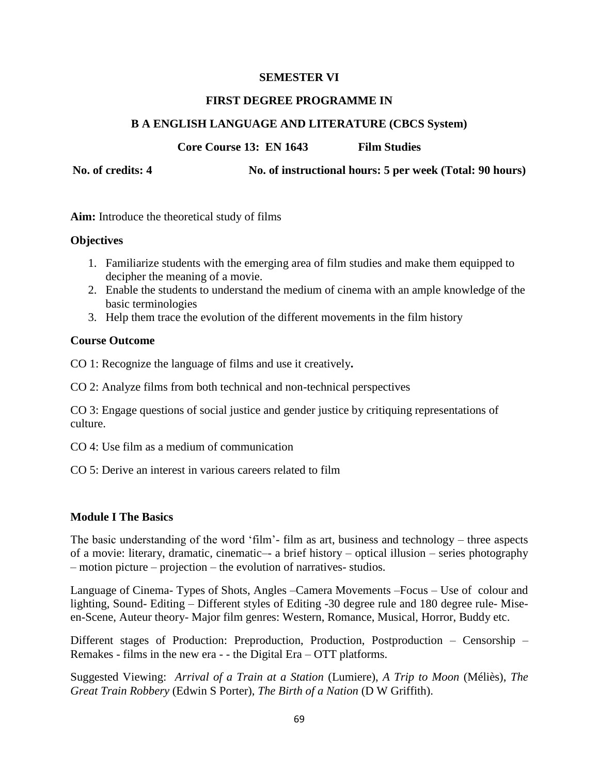#### **SEMESTER VI**

#### **FIRST DEGREE PROGRAMME IN**

### **B A ENGLISH LANGUAGE AND LITERATURE (CBCS System)**

**Core Course 13: EN 1643 Film Studies** 

**No. of credits: 4 No. of instructional hours: 5 per week (Total: 90 hours)**

**Aim:** Introduce the theoretical study of films

### **Objectives**

- 1. Familiarize students with the emerging area of film studies and make them equipped to decipher the meaning of a movie.
- 2. Enable the students to understand the medium of cinema with an ample knowledge of the basic terminologies
- 3. Help them trace the evolution of the different movements in the film history

### **Course Outcome**

CO 1: Recognize the language of films and use it creatively**.**

CO 2: Analyze films from both technical and non-technical perspectives

CO 3: Engage questions of social justice and gender justice by critiquing representations of culture.

CO 4: Use film as a medium of communication

CO 5: Derive an interest in various careers related to film

### **Module I The Basics**

The basic understanding of the word 'film'- film as art, business and technology – three aspects of a movie: literary, dramatic, cinematic–- a brief history – optical illusion – series photography – motion picture – projection – the evolution of narratives- studios.

Language of Cinema- Types of Shots, Angles –Camera Movements –Focus – Use of colour and lighting, Sound- Editing – Different styles of Editing -30 degree rule and 180 degree rule- Miseen-Scene, Auteur theory- Major film genres: Western, Romance, Musical, Horror, Buddy etc.

Different stages of Production: Preproduction, Production, Postproduction – Censorship – Remakes - films in the new era - - the Digital Era – OTT platforms.

Suggested Viewing: *Arrival of a Train at a Station* (Lumiere), *A Trip to Moon* (Méliès), *The Great Train Robbery* (Edwin S Porter), *The Birth of a Nation* (D W Griffith).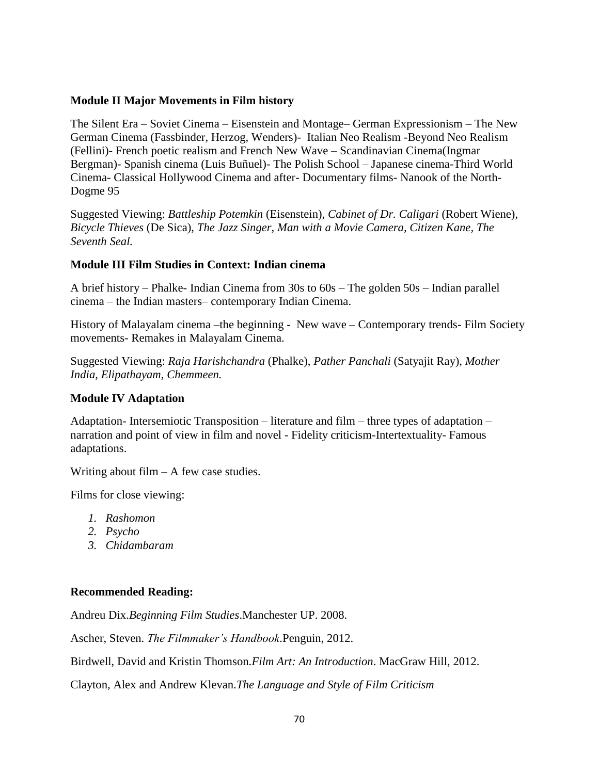#### **Module II Major Movements in Film history**

The Silent Era – Soviet Cinema – Eisenstein and Montage– German Expressionism – The New German Cinema (Fassbinder, Herzog, Wenders)- Italian Neo Realism -Beyond Neo Realism (Fellini)- French poetic realism and French New Wave – Scandinavian Cinema(Ingmar Bergman)- Spanish cinema (Luis Buñuel)- The Polish School – Japanese cinema-Third World Cinema- Classical Hollywood Cinema and after- Documentary films- Nanook of the North-Dogme 95

Suggested Viewing: *Battleship Potemkin* (Eisenstein), *Cabinet of Dr. Caligari* (Robert Wiene), *Bicycle Thieves* (De Sica), *The Jazz Singer, Man with a Movie Camera, Citizen Kane, The Seventh Seal.*

### **Module III Film Studies in Context: Indian cinema**

A brief history – Phalke- Indian Cinema from 30s to 60s – The golden 50s – Indian parallel cinema – the Indian masters– contemporary Indian Cinema.

History of Malayalam cinema –the beginning - New wave – Contemporary trends- Film Society movements- Remakes in Malayalam Cinema.

Suggested Viewing: *Raja Harishchandra* (Phalke), *Pather Panchali* (Satyajit Ray), *Mother India, Elipathayam, Chemmeen.*

### **Module IV Adaptation**

Adaptation- Intersemiotic Transposition – literature and film – three types of adaptation – narration and point of view in film and novel - Fidelity criticism-Intertextuality- Famous adaptations.

Writing about  $film - A few case studies.$ 

Films for close viewing:

- *1. Rashomon*
- *2. Psycho*
- *3. Chidambaram*

### **Recommended Reading:**

Andreu Dix.*Beginning Film Studies*.Manchester UP. 2008.

Ascher, Steven. *The Filmmaker's Handbook*.Penguin, 2012.

Birdwell, David and Kristin Thomson.*Film Art: An Introduction*. MacGraw Hill, 2012.

Clayton, Alex and Andrew Klevan.*The Language and Style of Film Criticism*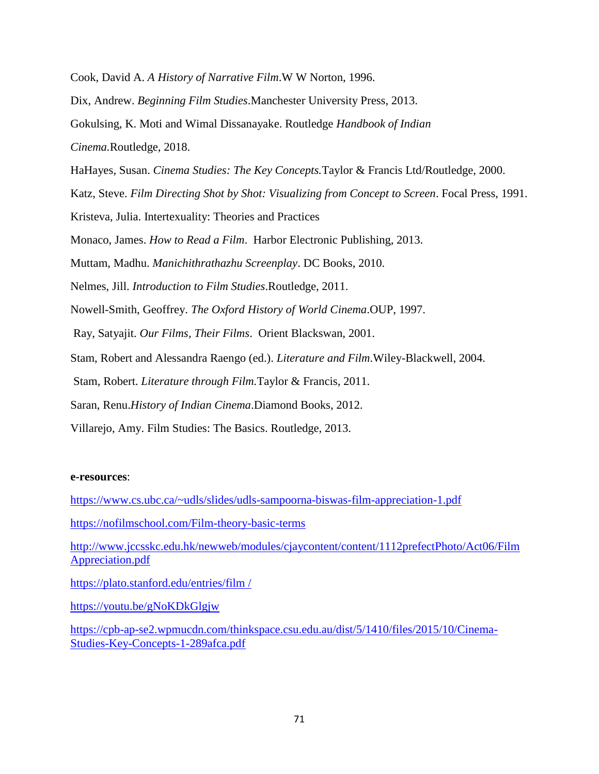Cook, David A. *A History of Narrative Film*.W W Norton, 1996.

Dix, Andrew. *Beginning Film Studies*.Manchester University Press, 2013.

Gokulsing, K. Moti and Wimal Dissanayake. Routledge *Handbook of Indian* 

*Cinema.*Routledge, 2018.

HaHayes, Susan. *Cinema Studies: The Key Concepts.*Taylor & Francis Ltd/Routledge, 2000.

Katz, Steve. *Film Directing Shot by Shot: Visualizing from Concept to Screen*. Focal Press, 1991.

Kristeva, Julia. Intertexuality: Theories and Practices

Monaco, James. *How to Read a Film*. Harbor Electronic Publishing, 2013.

Muttam, Madhu. *Manichithrathazhu Screenplay*. DC Books, 2010.

Nelmes, Jill. *Introduction to Film Studies*.Routledge, 2011.

Nowell-Smith, Geoffrey. *The Oxford History of World Cinema*.OUP, 1997.

Ray, Satyajit. *Our Films, Their Films*. Orient Blackswan, 2001.

Stam, Robert and Alessandra Raengo (ed.). *Literature and Film*.Wiley-Blackwell, 2004.

Stam, Robert. *Literature through Film.*Taylor & Francis, 2011.

Saran, Renu.*History of Indian Cinema*.Diamond Books, 2012.

Villarejo, Amy. Film Studies: The Basics. Routledge, 2013.

#### **e-resources**:

<https://www.cs.ubc.ca/~udls/slides/udls-sampoorna-biswas-film-appreciation-1.pdf> <https://nofilmschool.com/Film-theory-basic-terms> [http://www.jccsskc.edu.hk/newweb/modules/cjaycontent/content/1112prefectPhoto/Act06/Film](http://www.jccsskc.edu.hk/newweb/modules/cjaycontent/content/1112prefectPhoto/Act06/FilmAppreciation.pdf) [Appreciation.pdf](http://www.jccsskc.edu.hk/newweb/modules/cjaycontent/content/1112prefectPhoto/Act06/FilmAppreciation.pdf) [https://plato.stanford.edu/entries/film /](https://plato.stanford.edu/entries/film%20/) <https://youtu.be/gNoKDkGlgjw>

[https://cpb-ap-se2.wpmucdn.com/thinkspace.csu.edu.au/dist/5/1410/files/2015/10/Cinema-](https://cpb-ap-se2.wpmucdn.com/thinkspace.csu.edu.au/dist/5/1410/files/2015/10/Cinema-Studies-Key-Concepts-1-289afca.pdf)[Studies-Key-Concepts-1-289afca.pdf](https://cpb-ap-se2.wpmucdn.com/thinkspace.csu.edu.au/dist/5/1410/files/2015/10/Cinema-Studies-Key-Concepts-1-289afca.pdf)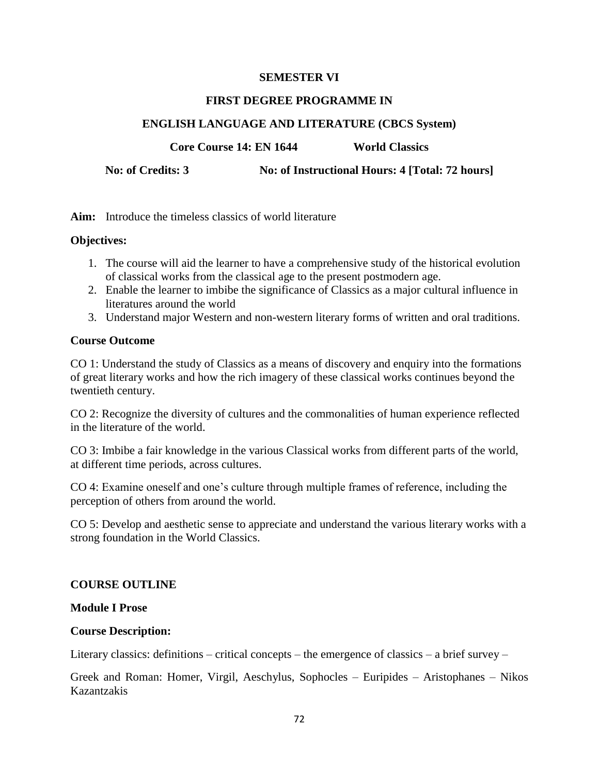#### **SEMESTER VI**

#### **FIRST DEGREE PROGRAMME IN**

### **ENGLISH LANGUAGE AND LITERATURE (CBCS System)**

**Core Course 14: EN 1644** World Classics

**No: of Credits: 3 No: of Instructional Hours: 4 [Total: 72 hours]**

**Aim:** Introduce the timeless classics of world literature

#### **Objectives:**

- 1. The course will aid the learner to have a comprehensive study of the historical evolution of classical works from the classical age to the present postmodern age.
- 2. Enable the learner to imbibe the significance of Classics as a major cultural influence in literatures around the world
- 3. Understand major Western and non-western literary forms of written and oral traditions.

#### **Course Outcome**

CO 1: Understand the study of Classics as a means of discovery and enquiry into the formations of great literary works and how the rich imagery of these classical works continues beyond the twentieth century.

CO 2: Recognize the diversity of cultures and the commonalities of human experience reflected in the literature of the world.

CO 3: Imbibe a fair knowledge in the various Classical works from different parts of the world, at different time periods, across cultures.

CO 4: Examine oneself and one's culture through multiple frames of reference, including the perception of others from around the world.

CO 5: Develop and aesthetic sense to appreciate and understand the various literary works with a strong foundation in the World Classics.

#### **COURSE OUTLINE**

#### **Module I Prose**

#### **Course Description:**

Literary classics: definitions – critical concepts – the emergence of classics – a brief survey –

Greek and Roman: Homer, Virgil, Aeschylus, Sophocles – Euripides – Aristophanes – Nikos Kazantzakis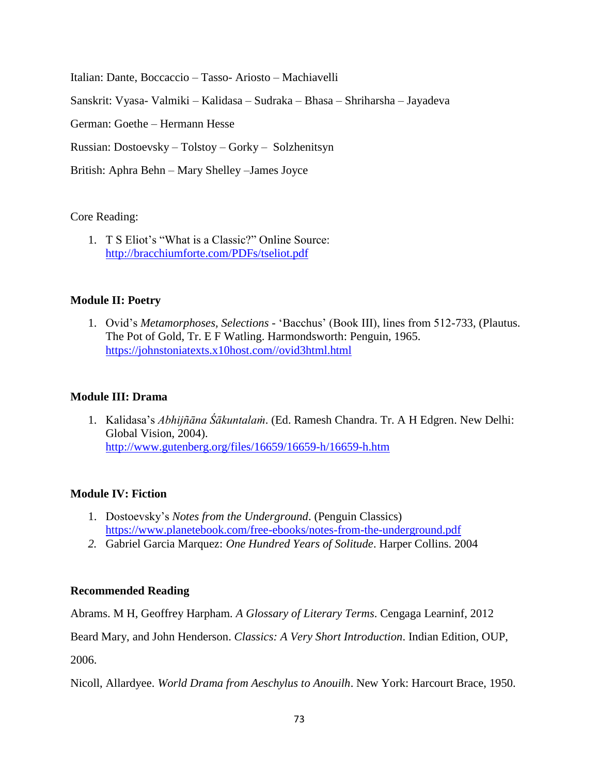Italian: Dante, Boccaccio – Tasso- Ariosto – Machiavelli Sanskrit: Vyasa- Valmiki – Kalidasa – Sudraka – Bhasa – Shriharsha – Jayadeva German: Goethe – Hermann Hesse Russian: Dostoevsky – Tolstoy – Gorky – Solzhenitsyn British: Aphra Behn – Mary Shelley –James Joyce

## Core Reading:

1. T S Eliot's "What is a Classic?" Online Source: <http://bracchiumforte.com/PDFs/tseliot.pdf>

# **Module II: Poetry**

1. Ovid's *Metamorphoses, Selections* - ‗Bacchus' (Book III), lines from 512-733, (Plautus. The Pot of Gold, Tr. E F Watling. Harmondsworth: Penguin, 1965. [https://johnstoniatexts.x10host.com//ovid3html.html](https://johnstoniatexts.x10host.com/ovid3html.html)

# **Module III: Drama**

1. Kalidasa's *Abhijñāna Śākuntalaṁ*. (Ed. Ramesh Chandra. Tr. A H Edgren. New Delhi: Global Vision, 2004). <http://www.gutenberg.org/files/16659/16659-h/16659-h.htm>

# **Module IV: Fiction**

- 1. Dostoevsky's *Notes from the Underground*. (Penguin Classics) <https://www.planetebook.com/free-ebooks/notes-from-the-underground.pdf>
- *2.* Gabriel Garcia Marquez: *One Hundred Years of Solitude*. Harper Collins. 2004

# **Recommended Reading**

Abrams. M H, Geoffrey Harpham*. A Glossary of Literary Terms*. Cengaga Learninf, 2012

Beard Mary, and John Henderson. *Classics: A Very Short Introduction*. Indian Edition, OUP,

2006.

Nicoll, Allardyee. *World Drama from Aeschylus to Anouilh*. New York: Harcourt Brace, 1950.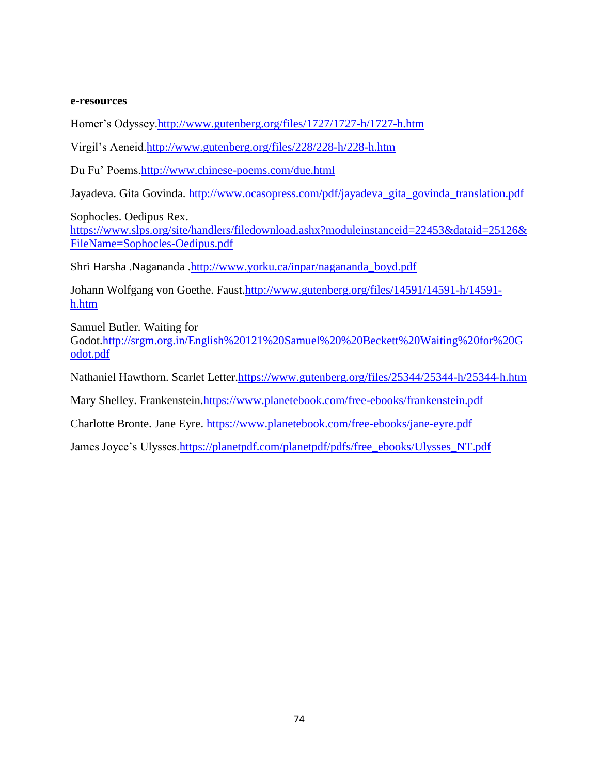#### **e-resources**

Homer's Odyssey[.http://www.gutenberg.org/files/1727/1727-h/1727-h.htm](http://www.gutenberg.org/files/1727/1727-h/1727-h.htm)

Virgil's Aeneid[.http://www.gutenberg.org/files/228/228-h/228-h.htm](http://www.gutenberg.org/files/228/228-h/228-h.htm)

Du Fu' Poems[.http://www.chinese-poems.com/due.html](http://www.chinese-poems.com/due.html)

Jayadeva. Gita Govinda. [http://www.ocasopress.com/pdf/jayadeva\\_gita\\_govinda\\_translation.pdf](http://www.ocasopress.com/pdf/jayadeva_gita_govinda_translation.pdf)

Sophocles. Oedipus Rex.

[https://www.slps.org/site/handlers/filedownload.ashx?moduleinstanceid=22453&dataid=25126&](https://www.slps.org/site/handlers/filedownload.ashx?moduleinstanceid=22453&dataid=25126&FileName=Sophocles-Oedipus.pdf) [FileName=Sophocles-Oedipus.pdf](https://www.slps.org/site/handlers/filedownload.ashx?moduleinstanceid=22453&dataid=25126&FileName=Sophocles-Oedipus.pdf)

Shri Harsha .Nagananda [.http://www.yorku.ca/inpar/nagananda\\_boyd.pdf](http://www.yorku.ca/inpar/nagananda_boyd.pdf)

Johann Wolfgang von Goethe. Faust[.http://www.gutenberg.org/files/14591/14591-h/14591](http://www.gutenberg.org/files/14591/14591-h/14591-h.htm) [h.htm](http://www.gutenberg.org/files/14591/14591-h/14591-h.htm)

Samuel Butler. Waiting for Godot[.http://srgm.org.in/English%20121%20Samuel%20%20Beckett%20Waiting%20for%20G](http://srgm.org.in/English%20121%20Samuel%20%20Beckett%20Waiting%20for%20Godot.pdf) [odot.pdf](http://srgm.org.in/English%20121%20Samuel%20%20Beckett%20Waiting%20for%20Godot.pdf)

Nathaniel Hawthorn. Scarlet Letter[.https://www.gutenberg.org/files/25344/25344-h/25344-h.htm](https://www.gutenberg.org/files/25344/25344-h/25344-h.htm)

Mary Shelley. Frankenstein[.https://www.planetebook.com/free-ebooks/frankenstein.pdf](https://www.planetebook.com/free-ebooks/frankenstein.pdf)

Charlotte Bronte. Jane Eyre.<https://www.planetebook.com/free-ebooks/jane-eyre.pdf>

James Joyce's Ulysses[.https://planetpdf.com/planetpdf/pdfs/free\\_ebooks/Ulysses\\_NT.pdf](https://planetpdf.com/planetpdf/pdfs/free_ebooks/Ulysses_NT.pdf)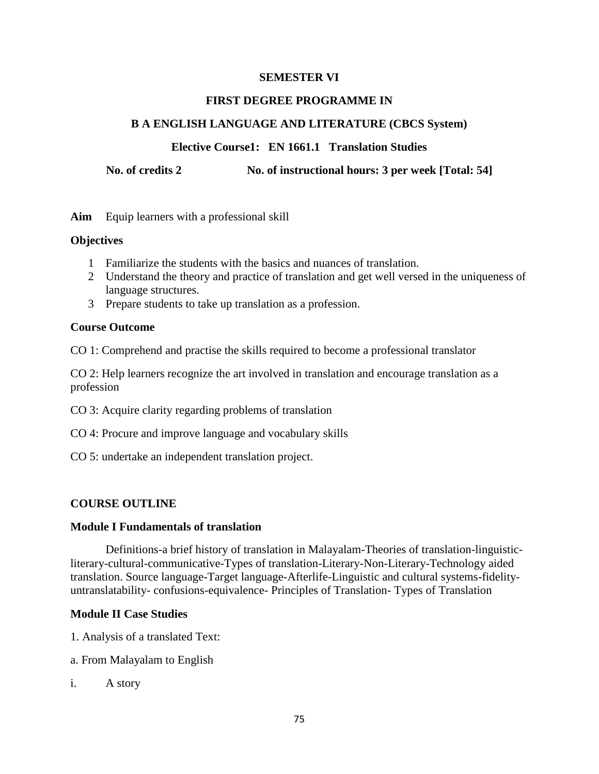## **FIRST DEGREE PROGRAMME IN**

## **B A ENGLISH LANGUAGE AND LITERATURE (CBCS System)**

## **Elective Course1: EN 1661.1 Translation Studies**

**No. of credits 2 No. of instructional hours: 3 per week [Total: 54]**

**Aim** Equip learners with a professional skill

## **Objectives**

- 1 Familiarize the students with the basics and nuances of translation.
- 2 Understand the theory and practice of translation and get well versed in the uniqueness of language structures.
- 3 Prepare students to take up translation as a profession.

## **Course Outcome**

CO 1: Comprehend and practise the skills required to become a professional translator

CO 2: Help learners recognize the art involved in translation and encourage translation as a profession

- CO 3: Acquire clarity regarding problems of translation
- CO 4: Procure and improve language and vocabulary skills
- CO 5: undertake an independent translation project.

# **COURSE OUTLINE**

## **Module I Fundamentals of translation**

Definitions-a brief history of translation in Malayalam-Theories of translation-linguisticliterary-cultural-communicative-Types of translation-Literary-Non-Literary-Technology aided translation. Source language-Target language-Afterlife-Linguistic and cultural systems-fidelityuntranslatability- confusions-equivalence- Principles of Translation- Types of Translation

## **Module II Case Studies**

- 1. Analysis of a translated Text:
- a. From Malayalam to English
- i. A story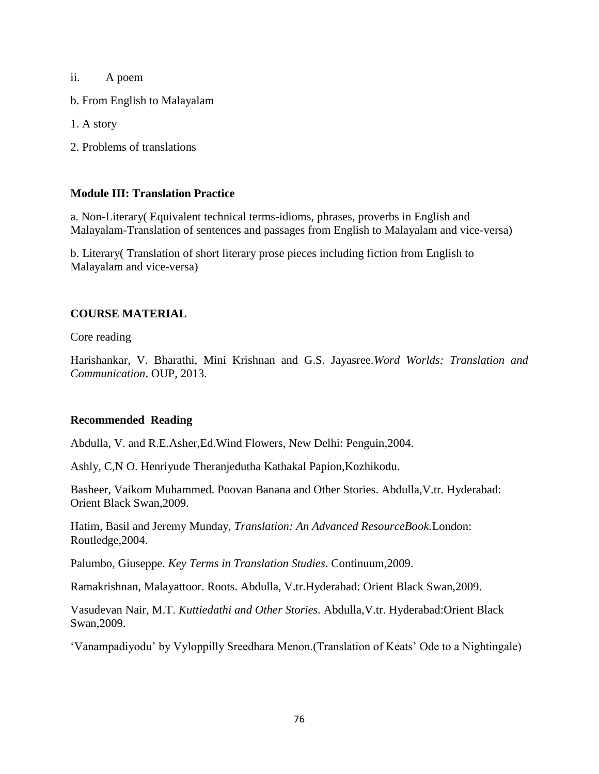ii. A poem

b. From English to Malayalam

1. A story

2. Problems of translations

## **Module III: Translation Practice**

a. Non-Literary( Equivalent technical terms-idioms, phrases, proverbs in English and Malayalam-Translation of sentences and passages from English to Malayalam and vice-versa)

b. Literary( Translation of short literary prose pieces including fiction from English to Malayalam and vice-versa)

## **COURSE MATERIAL**

Core reading

Harishankar, V. Bharathi, Mini Krishnan and G.S. Jayasree.*Word Worlds: Translation and Communication*. OUP, 2013.

## **Recommended Reading**

Abdulla, V. and R.E.Asher,Ed.Wind Flowers, New Delhi: Penguin,2004.

Ashly, C,N O. Henriyude Theranjedutha Kathakal Papion,Kozhikodu.

Basheer, Vaikom Muhammed. Poovan Banana and Other Stories. Abdulla,V.tr. Hyderabad: Orient Black Swan,2009.

Hatim, Basil and Jeremy Munday, *Translation: An Advanced ResourceBook*.London: Routledge,2004.

Palumbo, Giuseppe. *Key Terms in Translation Studies*. Continuum,2009.

Ramakrishnan, Malayattoor. Roots. Abdulla, V.tr.Hyderabad: Orient Black Swan,2009.

Vasudevan Nair, M.T. *Kuttiedathi and Other Stories.* Abdulla,V.tr. Hyderabad:Orient Black Swan,2009.

‗Vanampadiyodu' by Vyloppilly Sreedhara Menon.(Translation of Keats' Ode to a Nightingale)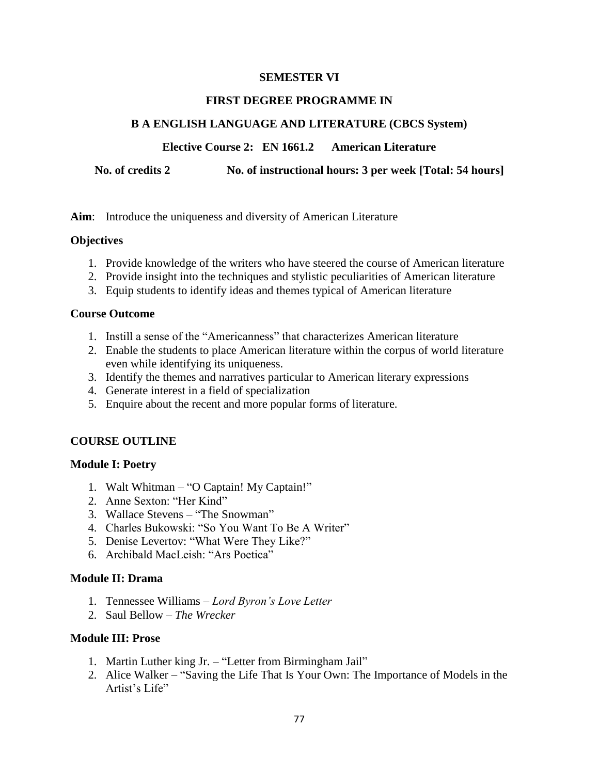## **FIRST DEGREE PROGRAMME IN**

# **B A ENGLISH LANGUAGE AND LITERATURE (CBCS System)**

## **Elective Course 2: EN 1661.2 American Literature**

**No. of credits 2 No. of instructional hours: 3 per week [Total: 54 hours]**

**Aim**: Introduce the uniqueness and diversity of American Literature

## **Objectives**

- 1. Provide knowledge of the writers who have steered the course of American literature
- 2. Provide insight into the techniques and stylistic peculiarities of American literature
- 3. Equip students to identify ideas and themes typical of American literature

## **Course Outcome**

- 1. Instill a sense of the "Americanness" that characterizes American literature
- 2. Enable the students to place American literature within the corpus of world literature even while identifying its uniqueness.
- 3. Identify the themes and narratives particular to American literary expressions
- 4. Generate interest in a field of specialization
- 5. Enquire about the recent and more popular forms of literature.

# **COURSE OUTLINE**

## **Module I: Poetry**

- 1. Walt Whitman "O Captain! My Captain!"
- 2. Anne Sexton: "Her Kind"
- 3. Wallace Stevens "The Snowman"
- 4. Charles Bukowski: "So You Want To Be A Writer"
- 5. Denise Levertov: "What Were They Like?"
- 6. Archibald MacLeish: "Ars Poetica"

## **Module II: Drama**

- 1. Tennessee Williams *Lord Byron's Love Letter*
- 2. Saul Bellow *The Wrecker*

## **Module III: Prose**

- 1. Martin Luther king Jr. "Letter from Birmingham Jail"
- 2. Alice Walker "Saving the Life That Is Your Own: The Importance of Models in the Artist's Life"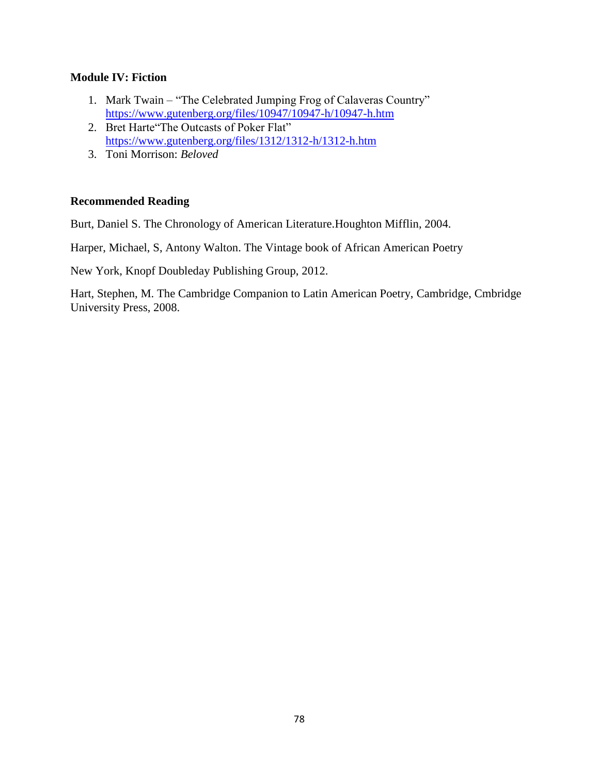## **Module IV: Fiction**

- 1. Mark Twain "The Celebrated Jumping Frog of Calaveras Country" <https://www.gutenberg.org/files/10947/10947-h/10947-h.htm>
- 2. Bret Harte "The Outcasts of Poker Flat" <https://www.gutenberg.org/files/1312/1312-h/1312-h.htm>
- 3. Toni Morrison: *Beloved*

## **Recommended Reading**

Burt, Daniel S. The Chronology of American Literature.Houghton Mifflin, 2004.

Harper, Michael, S, Antony Walton. The Vintage book of African American Poetry

New York, Knopf Doubleday Publishing Group, 2012.

Hart, Stephen, M. The Cambridge Companion to Latin American Poetry, Cambridge, Cmbridge University Press, 2008.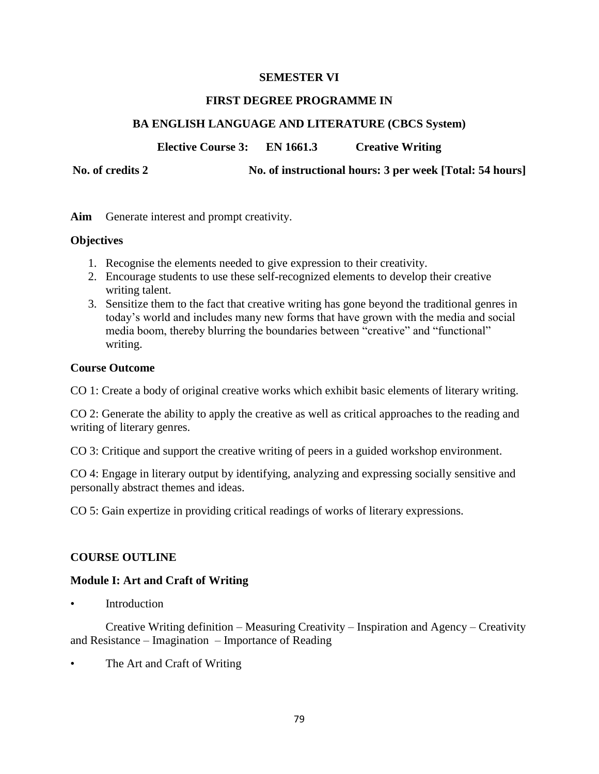## **FIRST DEGREE PROGRAMME IN**

# **BA ENGLISH LANGUAGE AND LITERATURE (CBCS System)**

**Elective Course 3: EN 1661.3 Creative Writing**

**No. of credits 2 No. of instructional hours: 3 per week [Total: 54 hours]**

**Aim** Generate interest and prompt creativity.

## **Objectives**

- 1. Recognise the elements needed to give expression to their creativity.
- 2. Encourage students to use these self-recognized elements to develop their creative writing talent.
- 3. Sensitize them to the fact that creative writing has gone beyond the traditional genres in today's world and includes many new forms that have grown with the media and social media boom, thereby blurring the boundaries between "creative" and "functional" writing.

## **Course Outcome**

CO 1: Create a body of original creative works which exhibit basic elements of literary writing.

CO 2: Generate the ability to apply the creative as well as critical approaches to the reading and writing of literary genres.

CO 3: Critique and support the creative writing of peers in a guided workshop environment.

CO 4: Engage in literary output by identifying, analyzing and expressing socially sensitive and personally abstract themes and ideas.

CO 5: Gain expertize in providing critical readings of works of literary expressions.

# **COURSE OUTLINE**

# **Module I: Art and Craft of Writing**

**Introduction** 

Creative Writing definition – Measuring Creativity – Inspiration and Agency – Creativity and Resistance – Imagination – Importance of Reading

The Art and Craft of Writing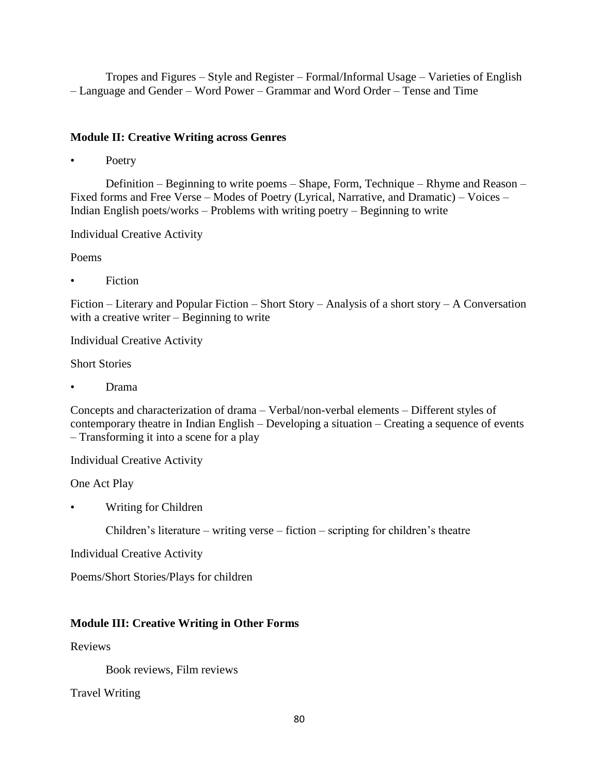Tropes and Figures – Style and Register – Formal/Informal Usage – Varieties of English – Language and Gender – Word Power – Grammar and Word Order – Tense and Time

# **Module II: Creative Writing across Genres**

Poetry

Definition – Beginning to write poems – Shape, Form, Technique – Rhyme and Reason – Fixed forms and Free Verse – Modes of Poetry (Lyrical, Narrative, and Dramatic) – Voices – Indian English poets/works – Problems with writing poetry – Beginning to write

Individual Creative Activity

Poems

**Fiction** 

Fiction – Literary and Popular Fiction – Short Story – Analysis of a short story – A Conversation with a creative writer – Beginning to write

Individual Creative Activity

Short Stories

• Drama

Concepts and characterization of drama – Verbal/non-verbal elements – Different styles of contemporary theatre in Indian English – Developing a situation – Creating a sequence of events – Transforming it into a scene for a play

Individual Creative Activity

One Act Play

• Writing for Children

Children's literature – writing verse – fiction – scripting for children's theatre

Individual Creative Activity

Poems/Short Stories/Plays for children

# **Module III: Creative Writing in Other Forms**

Reviews

Book reviews, Film reviews

Travel Writing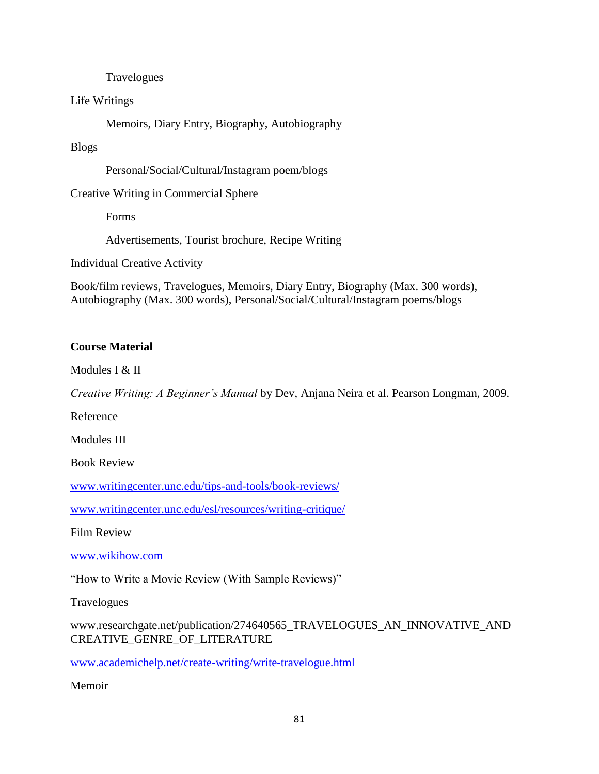## Travelogues

## Life Writings

Memoirs, Diary Entry, Biography, Autobiography

# Blogs

Personal/Social/Cultural/Instagram poem/blogs

# Creative Writing in Commercial Sphere

Forms

Advertisements, Tourist brochure, Recipe Writing

Individual Creative Activity

Book/film reviews, Travelogues, Memoirs, Diary Entry, Biography (Max. 300 words), Autobiography (Max. 300 words), Personal/Social/Cultural/Instagram poems/blogs

# **Course Material**

Modules I & II

*Creative Writing: A Beginner's Manual* by Dev, Anjana Neira et al. Pearson Longman, 2009.

Reference

Modules III

Book Review

[www.writingcenter.unc.edu/tips-and-tools/book-reviews/](http://www.writingcenter.unc.edu/tips-and-tools/book-reviews/)

[www.writingcenter.unc.edu/esl/resources/writing-critique/](http://www.writingcenter.unc.edu/esl/resources/writing-critique/)

Film Review

[www.wikihow.com](http://www.wikihow.com/)

"How to Write a Movie Review (With Sample Reviews)"

**Travelogues** 

www.researchgate.net/publication/274640565\_TRAVELOGUES\_AN\_INNOVATIVE\_AND CREATIVE\_GENRE\_OF\_LITERATURE

[www.academichelp.net/create-writing/write-travelogue.html](http://www.academichelp.net/create-writing/write-travelogue.html)

Memoir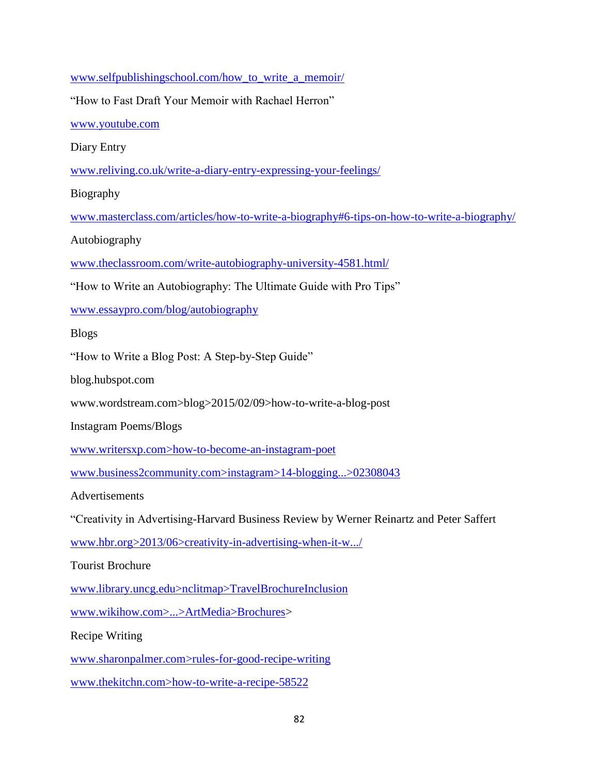[www.selfpublishingschool.com/how\\_to\\_write\\_a\\_memoir/](http://www.selfpublishingschool.com/how_to_write_a_memoir/) "How to Fast Draft Your Memoir with Rachael Herron" [www.youtube.com](http://www.youtube.com/) Diary Entry [www.reliving.co.uk/write-a-diary-entry-expressing-your-feelings/](http://www.reliving.co.uk/write-a-diary-entry-expressing-your-feelings/) Biography [www.masterclass.com/articles/how-to-write-a-biography#6-tips-on-how-to-write-a-biography/](http://www.masterclass.com/articles/how-to-write-a-biography#6-tips-on-how-to-write-a-biography/) Autobiography [www.theclassroom.com/write-autobiography-university-4581.html/](http://www.theclassroom.com/write-autobiography-university-4581.html/) "How to Write an Autobiography: The Ultimate Guide with Pro Tips" [www.essaypro.com/blog/autobiography](http://www.essaypro.com/blog/autobiography) Blogs "How to Write a Blog Post: A Step-by-Step Guide" blog.hubspot.com www.wordstream.com>blog>2015/02/09>how-to-write-a-blog-post Instagram Poems/Blogs www.writersxp.com>how-to-become-an-instagram-poet www.business2community.com>instagram>14-blogging...>02308043 Advertisements ―Creativity in Advertising-Harvard Business Review by Werner Reinartz and Peter Saffert www.hbr.org>2013/06>creativity-in-advertising-when-it-w.../ Tourist Brochure www.library.uncg.edu>nclitmap>TravelBrochureInclusion www.wikihow.com>...>ArtMedia>Brochures> Recipe Writing www.sharonpalmer.com>rules-for-good-recipe-writing www.thekitchn.com>how-to-write-a-recipe-58522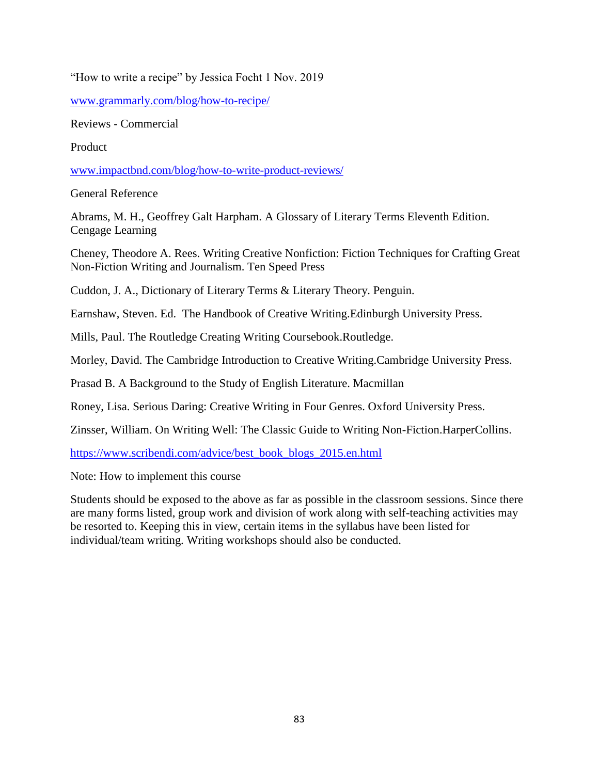"How to write a recipe" by Jessica Focht 1 Nov. 2019

[www.grammarly.com/blog/how-to-recipe/](http://www.grammarly.com/blog/how-to-recipe/)

Reviews - Commercial

Product

[www.impactbnd.com/blog/how-to-write-product-reviews/](http://www.impactbnd.com/blog/how-to-write-product-reviews/)

General Reference

Abrams, M. H., Geoffrey Galt Harpham. A Glossary of Literary Terms Eleventh Edition. Cengage Learning

Cheney, Theodore A. Rees. Writing Creative Nonfiction: Fiction Techniques for Crafting Great Non-Fiction Writing and Journalism. Ten Speed Press

Cuddon, J. A., Dictionary of Literary Terms & Literary Theory. Penguin.

Earnshaw, Steven. Ed. The Handbook of Creative Writing.Edinburgh University Press.

Mills, Paul. The Routledge Creating Writing Coursebook.Routledge.

Morley, David. The Cambridge Introduction to Creative Writing.Cambridge University Press.

Prasad B. A Background to the Study of English Literature. Macmillan

Roney, Lisa. Serious Daring: Creative Writing in Four Genres. Oxford University Press.

Zinsser, William. On Writing Well: The Classic Guide to Writing Non-Fiction.HarperCollins.

[https://www.scribendi.com/advice/best\\_book\\_blogs\\_2015.en.html](https://www.scribendi.com/advice/best_book_blogs_2015.en.html)

Note: How to implement this course

Students should be exposed to the above as far as possible in the classroom sessions. Since there are many forms listed, group work and division of work along with self-teaching activities may be resorted to. Keeping this in view, certain items in the syllabus have been listed for individual/team writing. Writing workshops should also be conducted.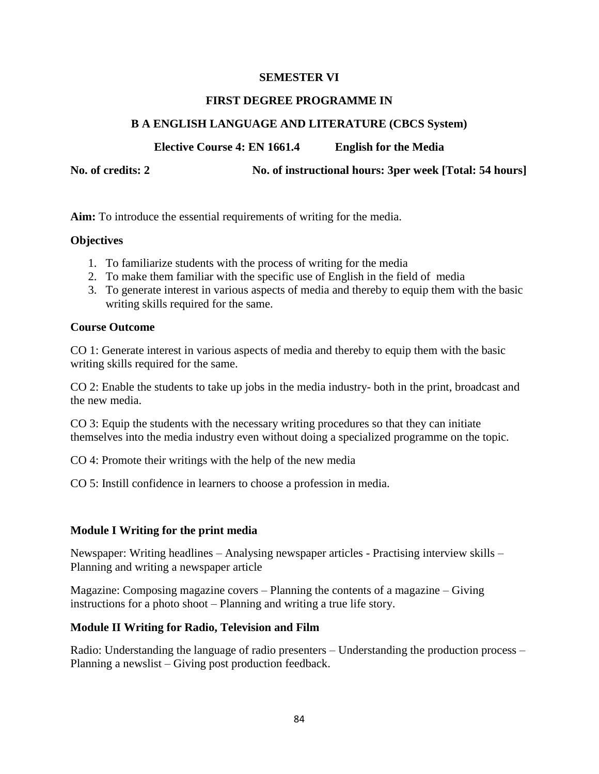## **FIRST DEGREE PROGRAMME IN**

## **B A ENGLISH LANGUAGE AND LITERATURE (CBCS System)**

**Elective Course 4: EN 1661.4 English for the Media**

**No. of credits: 2 No. of instructional hours: 3per week [Total: 54 hours]**

**Aim:** To introduce the essential requirements of writing for the media.

## **Objectives**

- 1. To familiarize students with the process of writing for the media
- 2. To make them familiar with the specific use of English in the field of media
- 3. To generate interest in various aspects of media and thereby to equip them with the basic writing skills required for the same.

## **Course Outcome**

CO 1: Generate interest in various aspects of media and thereby to equip them with the basic writing skills required for the same.

CO 2: Enable the students to take up jobs in the media industry- both in the print, broadcast and the new media.

CO 3: Equip the students with the necessary writing procedures so that they can initiate themselves into the media industry even without doing a specialized programme on the topic.

CO 4: Promote their writings with the help of the new media

CO 5: Instill confidence in learners to choose a profession in media.

## **Module I Writing for the print media**

Newspaper: Writing headlines – Analysing newspaper articles - Practising interview skills – Planning and writing a newspaper article

Magazine: Composing magazine covers – Planning the contents of a magazine – Giving instructions for a photo shoot – Planning and writing a true life story.

# **Module II Writing for Radio, Television and Film**

Radio: Understanding the language of radio presenters – Understanding the production process – Planning a newslist – Giving post production feedback.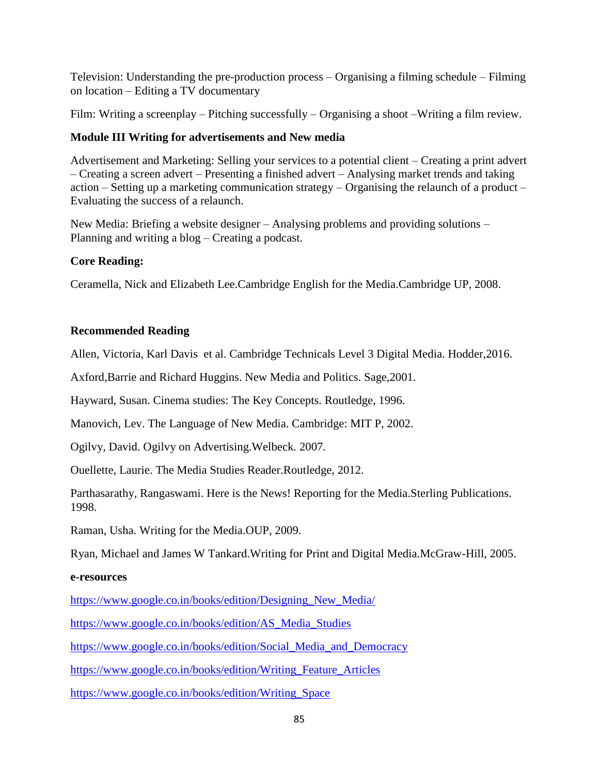Television: Understanding the pre-production process – Organising a filming schedule – Filming on location – Editing a TV documentary

Film: Writing a screenplay – Pitching successfully – Organising a shoot –Writing a film review.

# **Module III Writing for advertisements and New media**

Advertisement and Marketing: Selling your services to a potential client – Creating a print advert – Creating a screen advert – Presenting a finished advert – Analysing market trends and taking action – Setting up a marketing communication strategy – Organising the relaunch of a product – Evaluating the success of a relaunch.

New Media: Briefing a website designer – Analysing problems and providing solutions – Planning and writing a blog – Creating a podcast.

# **Core Reading:**

Ceramella, Nick and Elizabeth Lee.Cambridge English for the Media.Cambridge UP, 2008.

# **Recommended Reading**

Allen, Victoria, Karl Davis et al. Cambridge Technicals Level 3 Digital Media. Hodder,2016.

Axford,Barrie and Richard Huggins. New Media and Politics. Sage,2001.

Hayward, Susan. Cinema studies: The Key Concepts. Routledge, 1996.

Manovich, Lev. The Language of New Media. Cambridge: MIT P, 2002.

Ogilvy, David. Ogilvy on Advertising.Welbeck. 2007.

Ouellette, Laurie. The Media Studies Reader.Routledge, 2012.

Parthasarathy, Rangaswami. Here is the News! Reporting for the Media.Sterling Publications. 1998.

Raman, Usha. Writing for the Media.OUP, 2009.

Ryan, Michael and James W Tankard.Writing for Print and Digital Media.McGraw-Hill, 2005.

# **e-resources**

[https://www.google.co.in/books/edition/Designing\\_New\\_Media/](https://www.google.co.in/books/edition/Designing_New_Media/)

[https://www.google.co.in/books/edition/AS\\_Media\\_Studies](https://www.google.co.in/books/edition/AS_Media_Studies)

https://www.google.co.in/books/edition/Social Media and Democracy

[https://www.google.co.in/books/edition/Writing\\_Feature\\_Articles](https://www.google.co.in/books/edition/Writing_Feature_Articles)

[https://www.google.co.in/books/edition/Writing\\_Space](https://www.google.co.in/books/edition/Writing_Space)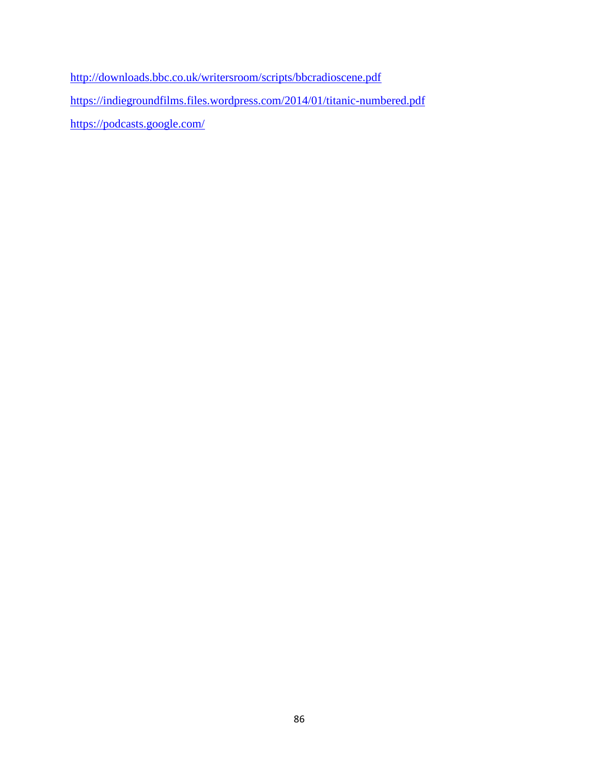<http://downloads.bbc.co.uk/writersroom/scripts/bbcradioscene.pdf> <https://indiegroundfilms.files.wordpress.com/2014/01/titanic-numbered.pdf> <https://podcasts.google.com/>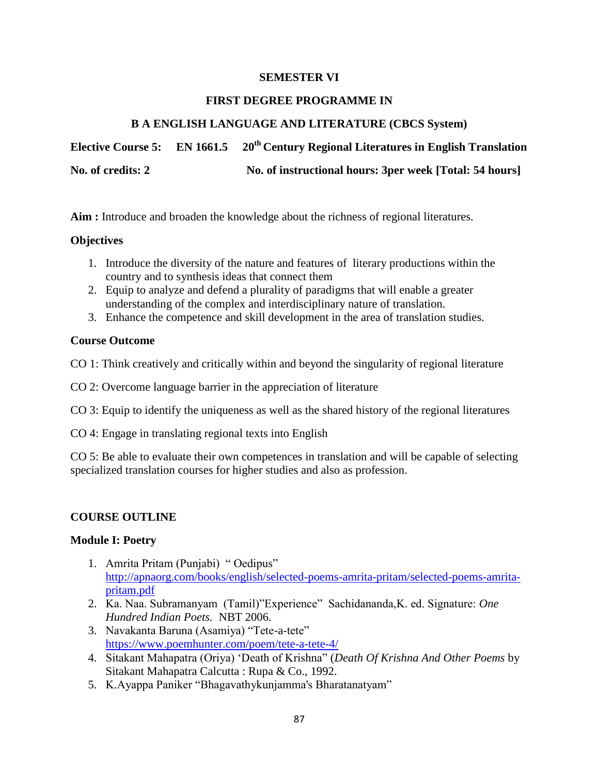## **FIRST DEGREE PROGRAMME IN**

# **B A ENGLISH LANGUAGE AND LITERATURE (CBCS System)**

**Elective Course 5: EN 1661.5 20th Century Regional Literatures in English Translation No. of credits: 2 No. of instructional hours: 3per week [Total: 54 hours]**

**Aim :** Introduce and broaden the knowledge about the richness of regional literatures.

## **Objectives**

- 1. Introduce the diversity of the nature and features of literary productions within the country and to synthesis ideas that connect them
- 2. Equip to analyze and defend a plurality of paradigms that will enable a greater understanding of the complex and interdisciplinary nature of translation.
- 3. Enhance the competence and skill development in the area of translation studies.

## **Course Outcome**

CO 1: Think creatively and critically within and beyond the singularity of regional literature

CO 2: Overcome language barrier in the appreciation of literature

CO 3: Equip to identify the uniqueness as well as the shared history of the regional literatures

CO 4: Engage in translating regional texts into English

CO 5: Be able to evaluate their own competences in translation and will be capable of selecting specialized translation courses for higher studies and also as profession.

# **COURSE OUTLINE**

## **Module I: Poetry**

- 1. Amrita Pritam (Punjabi) "Oedipus" [http://apnaorg.com/books/english/selected-poems-amrita-pritam/selected-poems-amrita](http://apnaorg.com/books/english/selected-poems-amrita-pritam/selected-poems-amrita-pritam.pdf)[pritam.pdf](http://apnaorg.com/books/english/selected-poems-amrita-pritam/selected-poems-amrita-pritam.pdf)
- 2. Ka. Naa. Subramanyam (Tamil)"Experience" Sachidananda, K. ed. Signature: *One Hundred Indian Poets.* NBT 2006.
- 3. Navakanta Baruna (Asamiya) "Tete-a-tete" <https://www.poemhunter.com/poem/tete-a-tete-4/>
- 4. Sitakant Mahapatra (Oriya) 'Death of Krishna'' (*Death Of Krishna And Other Poems* by Sitakant Mahapatra Calcutta : Rupa & Co., 1992.
- 5. K.Ayappa Paniker "Bhagavathykunjamma's Bharatanatyam"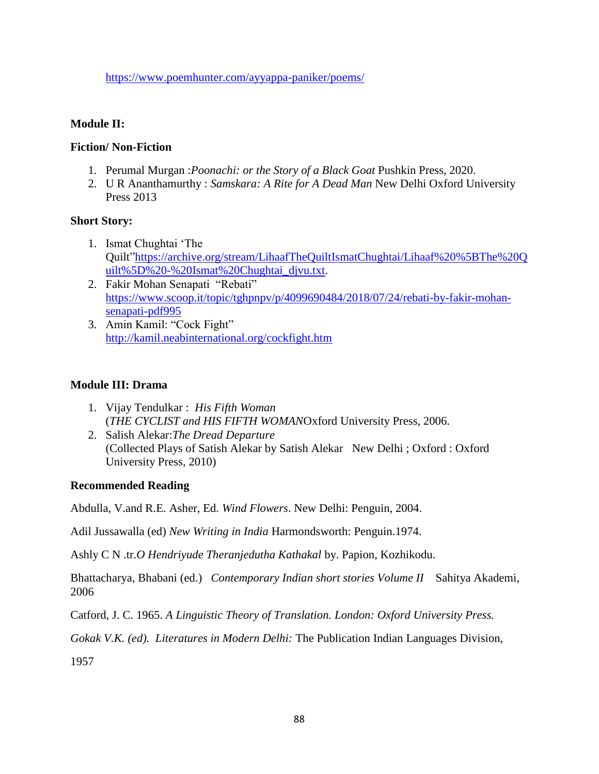<https://www.poemhunter.com/ayyappa-paniker/poems/>

# **Module II:**

## **Fiction/ Non-Fiction**

- 1. Perumal Murgan :*Poonachi: or the Story of a Black Goat* Pushkin Press, 2020.
- 2. U R Ananthamurthy : *Samskara: A Rite for A Dead Man* New Delhi Oxford University Press 2013

## **Short Story:**

- 1. Ismat Chughtai 'The Quilt[‖https://archive.org/stream/LihaafTheQuiltIsmatChughtai/Lihaaf%20%5BThe%20Q](https://archive.org/stream/LihaafTheQuiltIsmatChughtai/Lihaaf%20%5BThe%20Quilt%5D%20-%20Ismat%20Chughtai_djvu.txt) [uilt%5D%20-%20Ismat%20Chughtai\\_djvu.txt.](https://archive.org/stream/LihaafTheQuiltIsmatChughtai/Lihaaf%20%5BThe%20Quilt%5D%20-%20Ismat%20Chughtai_djvu.txt)
- 2. Fakir Mohan Senapati "Rebati" [https://www.scoop.it/topic/tghpnpv/p/4099690484/2018/07/24/rebati-by-fakir-mohan](https://www.scoop.it/topic/tghpnpv/p/4099690484/2018/07/24/rebati-by-fakir-mohan-senapati-pdf995)[senapati-pdf995](https://www.scoop.it/topic/tghpnpv/p/4099690484/2018/07/24/rebati-by-fakir-mohan-senapati-pdf995)
- 3. Amin Kamil: "Cock Fight" <http://kamil.neabinternational.org/cockfight.htm>

## **Module III: Drama**

- 1. Vijay Tendulkar : *His Fifth Woman* (*THE CYCLIST and HIS FIFTH WOMAN*Oxford University Press, 2006.
- 2. Salish Alekar:*The Dread Departure* (Collected Plays of Satish Alekar by Satish Alekar New Delhi ; Oxford : Oxford University Press, 2010)

## **Recommended Reading**

Abdulla, V.and R.E. Asher, Ed. *Wind Flowers*. New Delhi: Penguin, 2004.

Adil Jussawalla (ed) *New Writing in India* Harmondsworth: Penguin.1974.

Ashly C N .tr.*O Hendriyude Theranjedutha Kathakal* by. Papion, Kozhikodu.

Bhattacharya, Bhabani (ed.) *Contemporary Indian short stories Volume II* Sahitya Akademi, 2006

Catford, J. C. 1965. *A Linguistic Theory of Translation. London: Oxford University Press.*

*Gokak V.K. (ed). Literatures in Modern Delhi:* The Publication Indian Languages Division,

1957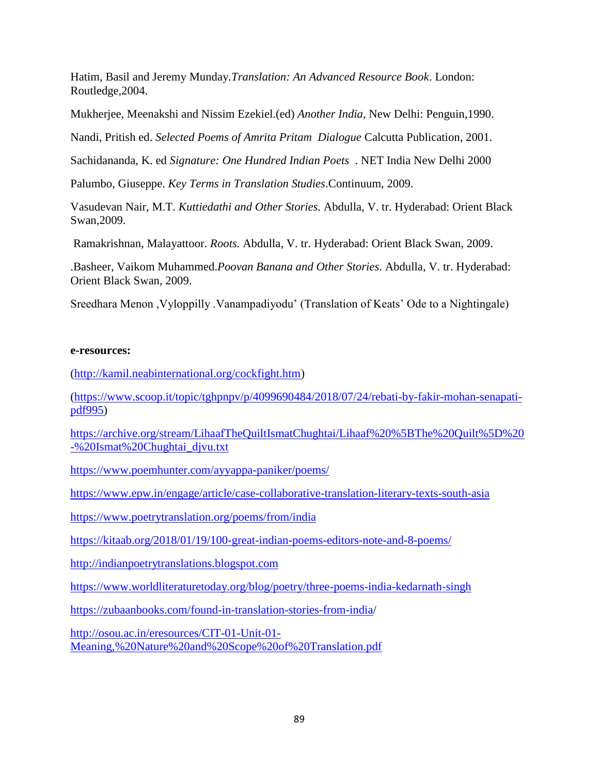Hatim, Basil and Jeremy Munday.*Translation: An Advanced Resource Book*. London: Routledge,2004.

Mukherjee, Meenakshi and Nissim Ezekiel.(ed) *Another India*, New Delhi: Penguin,1990.

Nandi, Pritish ed. *Selected Poems of Amrita Pritam Dialogue* Calcutta Publication, 2001.

Sachidananda, K. ed *Signature: One Hundred Indian Poets* . NET India New Delhi 2000

Palumbo, Giuseppe. *Key Terms in Translation Studies*.Continuum, 2009.

Vasudevan Nair, M.T. *Kuttiedathi and Other Stories.* Abdulla, V. tr. Hyderabad: Orient Black Swan,2009.

Ramakrishnan, Malayattoor. *Roots.* Abdulla, V. tr. Hyderabad: Orient Black Swan, 2009.

.Basheer, Vaikom Muhammed.*Poovan Banana and Other Stories*. Abdulla, V. tr. Hyderabad: Orient Black Swan, 2009.

Sreedhara Menon ,Vyloppilly .Vanampadiyodu' (Translation of Keats' Ode to a Nightingale)

## **e-resources:**

[\(http://kamil.neabinternational.org/cockfight.htm\)](http://kamil.neabinternational.org/cockfight.htm)

[\(https://www.scoop.it/topic/tghpnpv/p/4099690484/2018/07/24/rebati-by-fakir-mohan-senapati](https://www.scoop.it/topic/tghpnpv/p/4099690484/2018/07/24/rebati-by-fakir-mohan-senapati-pdf995)[pdf995\)](https://www.scoop.it/topic/tghpnpv/p/4099690484/2018/07/24/rebati-by-fakir-mohan-senapati-pdf995)

[https://archive.org/stream/LihaafTheQuiltIsmatChughtai/Lihaaf%20%5BThe%20Quilt%5D%20](https://archive.org/stream/LihaafTheQuiltIsmatChughtai/Lihaaf%20%5BThe%20Quilt%5D%20-%20Ismat%20Chughtai_djvu.txt) [-%20Ismat%20Chughtai\\_djvu.txt](https://archive.org/stream/LihaafTheQuiltIsmatChughtai/Lihaaf%20%5BThe%20Quilt%5D%20-%20Ismat%20Chughtai_djvu.txt)

<https://www.poemhunter.com/ayyappa-paniker/poems/>

<https://www.epw.in/engage/article/case-collaborative-translation-literary-texts-south-asia>

<https://www.poetrytranslation.org/poems/from/india>

<https://kitaab.org/2018/01/19/100-great-indian-poems-editors-note-and-8-poems/>

[http://indianpoetrytranslations.blogspot.com](http://indianpoetrytranslations.blogspot.com/)

<https://www.worldliteraturetoday.org/blog/poetry/three-poems-india-kedarnath-singh>

[https://zubaanbooks.com/found-in-translation-stories-from-india/](https://zubaanbooks.com/found-in-translation-stories-from-india)

[http://osou.ac.in/eresources/CIT-01-Unit-01-](http://osou.ac.in/eresources/CIT-01-Unit-01-Meaning,%20Nature%20and%20Scope%20of%20Translation.pdf)

[Meaning,%20Nature%20and%20Scope%20of%20Translation.pdf](http://osou.ac.in/eresources/CIT-01-Unit-01-Meaning,%20Nature%20and%20Scope%20of%20Translation.pdf)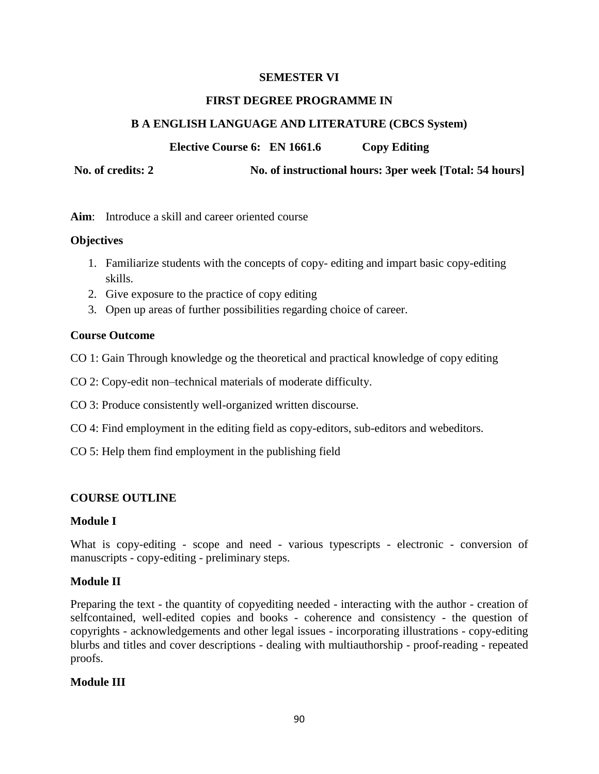## **FIRST DEGREE PROGRAMME IN**

# **B A ENGLISH LANGUAGE AND LITERATURE (CBCS System)**

**Elective Course 6: EN 1661.6 Copy Editing**

**No. of credits: 2 No. of instructional hours: 3per week [Total: 54 hours]**

**Aim**: Introduce a skill and career oriented course

# **Objectives**

- 1. Familiarize students with the concepts of copy- editing and impart basic copy-editing skills.
- 2. Give exposure to the practice of copy editing
- 3. Open up areas of further possibilities regarding choice of career.

# **Course Outcome**

- CO 1: Gain Through knowledge og the theoretical and practical knowledge of copy editing
- CO 2: Copy-edit non–technical materials of moderate difficulty.
- CO 3: Produce consistently well-organized written discourse.
- CO 4: Find employment in the editing field as copy-editors, sub-editors and webeditors.
- CO 5: Help them find employment in the publishing field

# **COURSE OUTLINE**

# **Module I**

What is copy-editing - scope and need - various typescripts - electronic - conversion of manuscripts - copy-editing - preliminary steps.

# **Module II**

Preparing the text - the quantity of copyediting needed - interacting with the author - creation of selfcontained, well-edited copies and books - coherence and consistency - the question of copyrights - acknowledgements and other legal issues - incorporating illustrations - copy-editing blurbs and titles and cover descriptions - dealing with multiauthorship - proof-reading - repeated proofs.

# **Module III**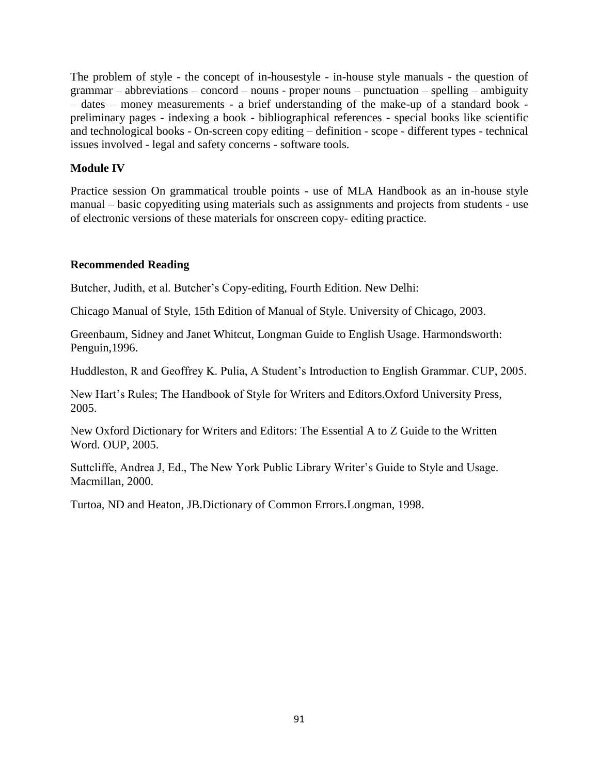The problem of style - the concept of in-housestyle - in-house style manuals - the question of grammar – abbreviations – concord – nouns - proper nouns – punctuation – spelling – ambiguity – dates – money measurements - a brief understanding of the make-up of a standard book preliminary pages - indexing a book - bibliographical references - special books like scientific and technological books - On-screen copy editing – definition - scope - different types - technical issues involved - legal and safety concerns - software tools.

# **Module IV**

Practice session On grammatical trouble points - use of MLA Handbook as an in-house style manual – basic copyediting using materials such as assignments and projects from students - use of electronic versions of these materials for onscreen copy- editing practice.

## **Recommended Reading**

Butcher, Judith, et al. Butcher's Copy-editing, Fourth Edition. New Delhi:

Chicago Manual of Style, 15th Edition of Manual of Style. University of Chicago, 2003.

Greenbaum, Sidney and Janet Whitcut, Longman Guide to English Usage. Harmondsworth: Penguin,1996.

Huddleston, R and Geoffrey K. Pulia, A Student's Introduction to English Grammar. CUP, 2005.

New Hart's Rules; The Handbook of Style for Writers and Editors.Oxford University Press, 2005.

New Oxford Dictionary for Writers and Editors: The Essential A to Z Guide to the Written Word. OUP, 2005.

Suttcliffe, Andrea J, Ed., The New York Public Library Writer's Guide to Style and Usage. Macmillan, 2000.

Turtoa, ND and Heaton, JB.Dictionary of Common Errors.Longman, 1998.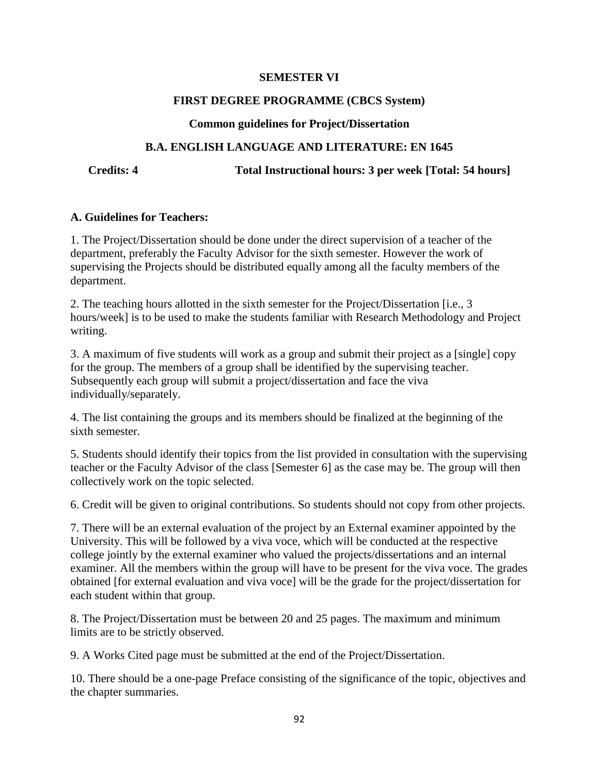## **FIRST DEGREE PROGRAMME (CBCS System)**

## **Common guidelines for Project/Dissertation**

# **B.A. ENGLISH LANGUAGE AND LITERATURE: EN 1645**

**Credits: 4 Total Instructional hours: 3 per week [Total: 54 hours]**

## **A. Guidelines for Teachers:**

1. The Project/Dissertation should be done under the direct supervision of a teacher of the department, preferably the Faculty Advisor for the sixth semester. However the work of supervising the Projects should be distributed equally among all the faculty members of the department.

2. The teaching hours allotted in the sixth semester for the Project/Dissertation [i.e., 3 hours/week] is to be used to make the students familiar with Research Methodology and Project writing.

3. A maximum of five students will work as a group and submit their project as a [single] copy for the group. The members of a group shall be identified by the supervising teacher. Subsequently each group will submit a project/dissertation and face the viva individually/separately.

4. The list containing the groups and its members should be finalized at the beginning of the sixth semester.

5. Students should identify their topics from the list provided in consultation with the supervising teacher or the Faculty Advisor of the class [Semester 6] as the case may be. The group will then collectively work on the topic selected.

6. Credit will be given to original contributions. So students should not copy from other projects.

7. There will be an external evaluation of the project by an External examiner appointed by the University. This will be followed by a viva voce, which will be conducted at the respective college jointly by the external examiner who valued the projects/dissertations and an internal examiner. All the members within the group will have to be present for the viva voce. The grades obtained [for external evaluation and viva voce] will be the grade for the project/dissertation for each student within that group.

8. The Project/Dissertation must be between 20 and 25 pages. The maximum and minimum limits are to be strictly observed.

9. A Works Cited page must be submitted at the end of the Project/Dissertation.

10. There should be a one-page Preface consisting of the significance of the topic, objectives and the chapter summaries.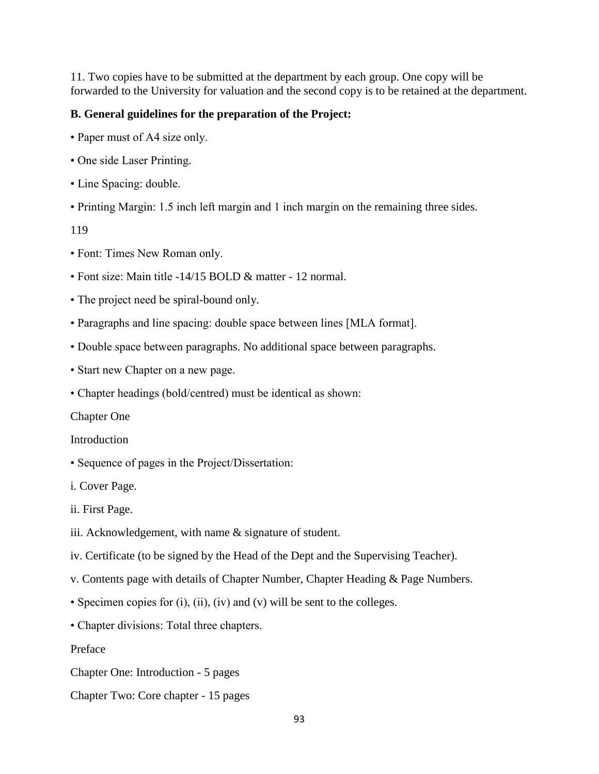11. Two copies have to be submitted at the department by each group. One copy will be forwarded to the University for valuation and the second copy is to be retained at the department.

## **B. General guidelines for the preparation of the Project:**

- Paper must of A4 size only.
- One side Laser Printing.
- Line Spacing: double.
- Printing Margin: 1.5 inch left margin and 1 inch margin on the remaining three sides.

119

- Font: Times New Roman only.
- Font size: Main title -14/15 BOLD & matter 12 normal.
- The project need be spiral-bound only.
- Paragraphs and line spacing: double space between lines [MLA format].
- Double space between paragraphs. No additional space between paragraphs.
- Start new Chapter on a new page.
- Chapter headings (bold/centred) must be identical as shown:

Chapter One

**Introduction** 

• Sequence of pages in the Project/Dissertation:

i. Cover Page.

ii. First Page.

- iii. Acknowledgement, with name & signature of student.
- iv. Certificate (to be signed by the Head of the Dept and the Supervising Teacher).
- v. Contents page with details of Chapter Number, Chapter Heading & Page Numbers.
- Specimen copies for (i), (ii), (iv) and (v) will be sent to the colleges.
- Chapter divisions: Total three chapters.

Preface

- Chapter One: Introduction 5 pages
- Chapter Two: Core chapter 15 pages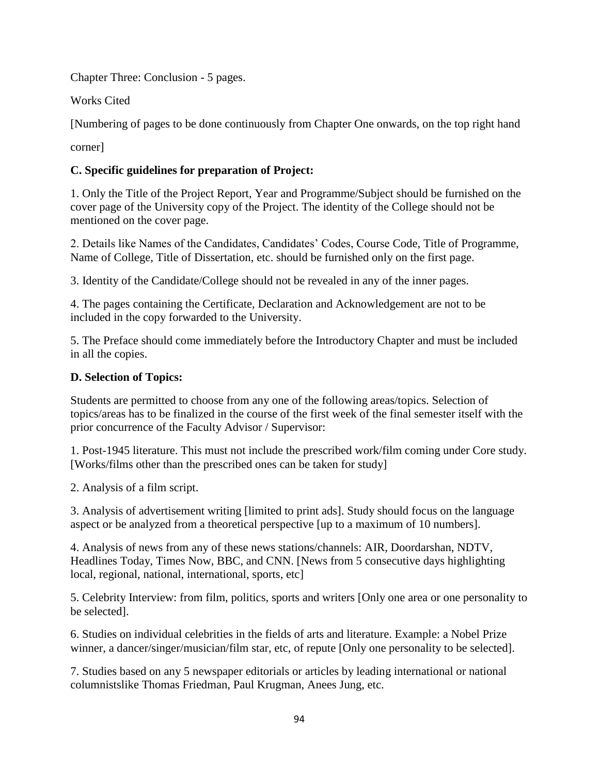Chapter Three: Conclusion - 5 pages.

Works Cited

[Numbering of pages to be done continuously from Chapter One onwards, on the top right hand

corner]

# **C. Specific guidelines for preparation of Project:**

1. Only the Title of the Project Report, Year and Programme/Subject should be furnished on the cover page of the University copy of the Project. The identity of the College should not be mentioned on the cover page.

2. Details like Names of the Candidates, Candidates' Codes, Course Code, Title of Programme, Name of College, Title of Dissertation, etc. should be furnished only on the first page.

3. Identity of the Candidate/College should not be revealed in any of the inner pages.

4. The pages containing the Certificate, Declaration and Acknowledgement are not to be included in the copy forwarded to the University.

5. The Preface should come immediately before the Introductory Chapter and must be included in all the copies.

# **D. Selection of Topics:**

Students are permitted to choose from any one of the following areas/topics. Selection of topics/areas has to be finalized in the course of the first week of the final semester itself with the prior concurrence of the Faculty Advisor / Supervisor:

1. Post-1945 literature. This must not include the prescribed work/film coming under Core study. [Works/films other than the prescribed ones can be taken for study]

2. Analysis of a film script.

3. Analysis of advertisement writing [limited to print ads]. Study should focus on the language aspect or be analyzed from a theoretical perspective [up to a maximum of 10 numbers].

4. Analysis of news from any of these news stations/channels: AIR, Doordarshan, NDTV, Headlines Today, Times Now, BBC, and CNN. [News from 5 consecutive days highlighting local, regional, national, international, sports, etc]

5. Celebrity Interview: from film, politics, sports and writers [Only one area or one personality to be selected].

6. Studies on individual celebrities in the fields of arts and literature. Example: a Nobel Prize winner, a dancer/singer/musician/film star, etc, of repute [Only one personality to be selected].

7. Studies based on any 5 newspaper editorials or articles by leading international or national columnistslike Thomas Friedman, Paul Krugman, Anees Jung, etc.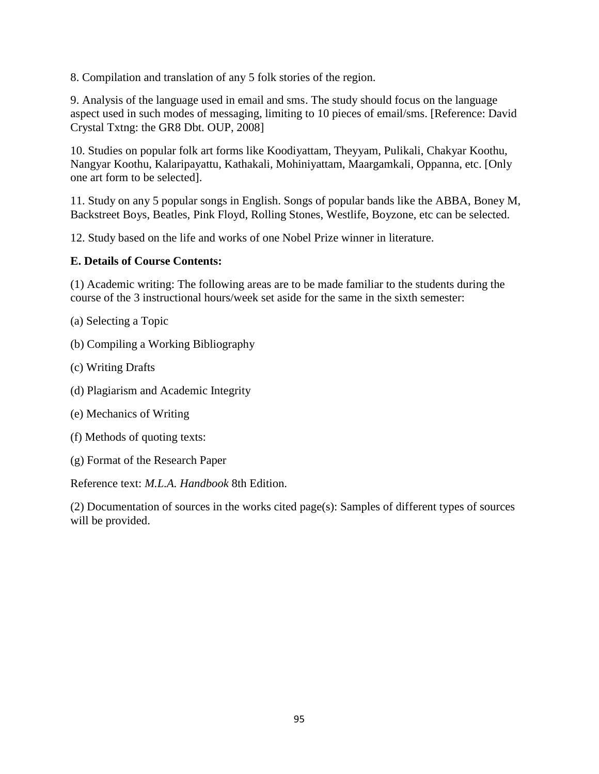8. Compilation and translation of any 5 folk stories of the region.

9. Analysis of the language used in email and sms. The study should focus on the language aspect used in such modes of messaging, limiting to 10 pieces of email/sms. [Reference: David Crystal Txtng: the GR8 Dbt. OUP, 2008]

10. Studies on popular folk art forms like Koodiyattam, Theyyam, Pulikali, Chakyar Koothu, Nangyar Koothu, Kalaripayattu, Kathakali, Mohiniyattam, Maargamkali, Oppanna, etc. [Only one art form to be selected].

11. Study on any 5 popular songs in English. Songs of popular bands like the ABBA, Boney M, Backstreet Boys, Beatles, Pink Floyd, Rolling Stones, Westlife, Boyzone, etc can be selected.

12. Study based on the life and works of one Nobel Prize winner in literature.

## **E. Details of Course Contents:**

(1) Academic writing: The following areas are to be made familiar to the students during the course of the 3 instructional hours/week set aside for the same in the sixth semester:

- (a) Selecting a Topic
- (b) Compiling a Working Bibliography
- (c) Writing Drafts
- (d) Plagiarism and Academic Integrity
- (e) Mechanics of Writing
- (f) Methods of quoting texts:
- (g) Format of the Research Paper

Reference text: *M.L.A. Handbook* 8th Edition.

(2) Documentation of sources in the works cited page(s): Samples of different types of sources will be provided.